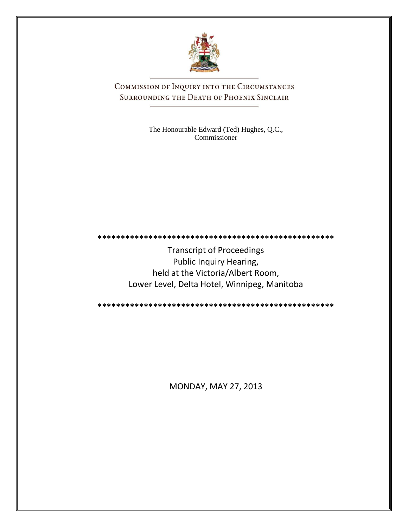

COMMISSION OF INQUIRY INTO THE CIRCUMSTANCES SURROUNDING THE DEATH OF PHOENIX SINCLAIR

> The Honourable Edward (Ted) Hughes, Q.C., Commissioner

**\*\*\*\*\*\*\*\*\*\*\*\*\*\*\*\*\*\*\*\*\*\*\*\*\*\*\*\*\*\*\*\*\*\*\*\*\*\*\*\*\*\*\*\*\*\*\*\*\*\*\***

Transcript of Proceedings Public Inquiry Hearing, held at the Victoria/Albert Room, Lower Level, Delta Hotel, Winnipeg, Manitoba

**\*\*\*\*\*\*\*\*\*\*\*\*\*\*\*\*\*\*\*\*\*\*\*\*\*\*\*\*\*\*\*\*\*\*\*\*\*\*\*\*\*\*\*\*\*\*\*\*\*\*\***

MONDAY, MAY 27, 2013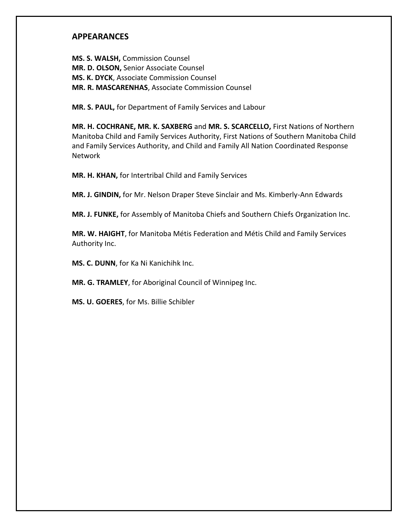### **APPEARANCES**

**MS. S. WALSH,** Commission Counsel **MR. D. OLSON,** Senior Associate Counsel **MS. K. DYCK**, Associate Commission Counsel **MR. R. MASCARENHAS**, Associate Commission Counsel

**MR. S. PAUL,** for Department of Family Services and Labour

**MR. H. COCHRANE, MR. K. SAXBERG** and **MR. S. SCARCELLO,** First Nations of Northern Manitoba Child and Family Services Authority, First Nations of Southern Manitoba Child and Family Services Authority, and Child and Family All Nation Coordinated Response Network

**MR. H. KHAN,** for Intertribal Child and Family Services

**MR. J. GINDIN,** for Mr. Nelson Draper Steve Sinclair and Ms. Kimberly-Ann Edwards

**MR. J. FUNKE,** for Assembly of Manitoba Chiefs and Southern Chiefs Organization Inc.

**MR. W. HAIGHT**, for Manitoba Métis Federation and Métis Child and Family Services Authority Inc.

**MS. C. DUNN**, for Ka Ni Kanichihk Inc.

**MR. G. TRAMLEY**, for Aboriginal Council of Winnipeg Inc.

**MS. U. GOERES**, for Ms. Billie Schibler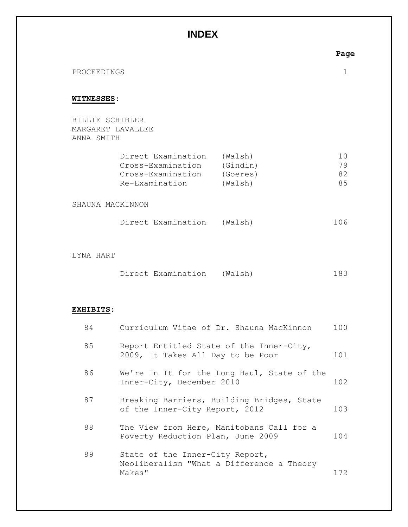## **INDEX**

|                                                    |                                                                                                          |         | Page                 |
|----------------------------------------------------|----------------------------------------------------------------------------------------------------------|---------|----------------------|
| PROCEEDINGS                                        |                                                                                                          |         | 1                    |
| WITNESSES:                                         |                                                                                                          |         |                      |
| BILLIE SCHIBLER<br>MARGARET LAVALLEE<br>ANNA SMITH |                                                                                                          |         |                      |
|                                                    | Direct Examination (Walsh)<br>Cross-Examination (Gindin)<br>Cross-Examination (Goeres)<br>Re-Examination | (Walsh) | 10<br>79<br>82<br>85 |
| SHAUNA MACKINNON                                   |                                                                                                          |         |                      |
|                                                    | Direct Examination (Walsh)                                                                               |         | 106                  |
| LYNA HART                                          | Direct Examination (Walsh)                                                                               |         | 183                  |
| EXHIBITS:                                          |                                                                                                          |         |                      |
| 84                                                 | Curriculum Vitae of Dr. Shauna MacKinnon                                                                 |         |                      |
| 85                                                 | Report Entitled State of the Inner-City,<br>2009, It Takes All Day to be Poor<br>101                     |         |                      |
| 86                                                 | We're In It for the Long Haul, State of the<br>Inner-City, December 2010<br>102                          |         |                      |
| 87                                                 | Breaking Barriers, Building Bridges, State<br>of the Inner-City Report, 2012<br>103                      |         |                      |
| 88                                                 | The View from Here, Manitobans Call for a<br>Poverty Reduction Plan, June 2009<br>104                    |         |                      |

89 State of the Inner-City Report, Neoliberalism "What a Difference a Theory Makes" 172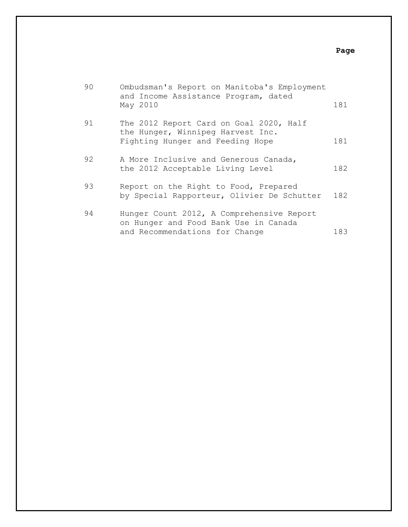### **Page**

| 90 | Ombudsman's Report on Manitoba's Employment<br>and Income Assistance Program, dated<br>May 2010                      | 181 |
|----|----------------------------------------------------------------------------------------------------------------------|-----|
| 91 | The 2012 Report Card on Goal 2020, Half<br>the Hunger, Winnipeg Harvest Inc.<br>Fighting Hunger and Feeding Hope     | 181 |
| 92 | A More Inclusive and Generous Canada,<br>the 2012 Acceptable Living Level                                            | 182 |
| 93 | Report on the Right to Food, Prepared<br>by Special Rapporteur, Olivier De Schutter                                  |     |
| 94 | Hunger Count 2012, A Comprehensive Report<br>on Hunger and Food Bank Use in Canada<br>and Recommendations for Change | 183 |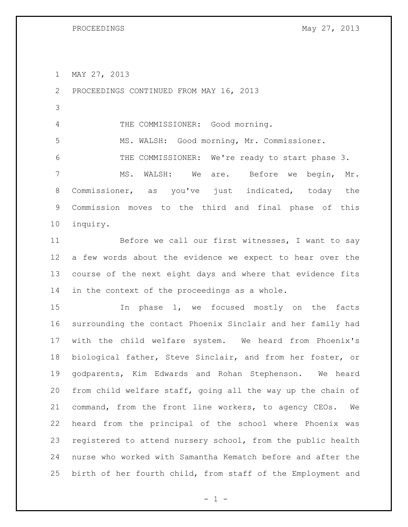MAY 27, 2013

 PROCEEDINGS CONTINUED FROM MAY 16, 2013 THE COMMISSIONER: Good morning. MS. WALSH: Good morning, Mr. Commissioner. THE COMMISSIONER: We're ready to start phase 3. MS. WALSH: We are. Before we begin, Mr. Commissioner, as you've just indicated, today the Commission moves to the third and final phase of this inquiry. Before we call our first witnesses, I want to say

 a few words about the evidence we expect to hear over the course of the next eight days and where that evidence fits in the context of the proceedings as a whole.

 In phase 1, we focused mostly on the facts surrounding the contact Phoenix Sinclair and her family had with the child welfare system. We heard from Phoenix's biological father, Steve Sinclair, and from her foster, or godparents, Kim Edwards and Rohan Stephenson. We heard from child welfare staff, going all the way up the chain of command, from the front line workers, to agency CEOs. We heard from the principal of the school where Phoenix was registered to attend nursery school, from the public health nurse who worked with Samantha Kematch before and after the birth of her fourth child, from staff of the Employment and

 $- 1 -$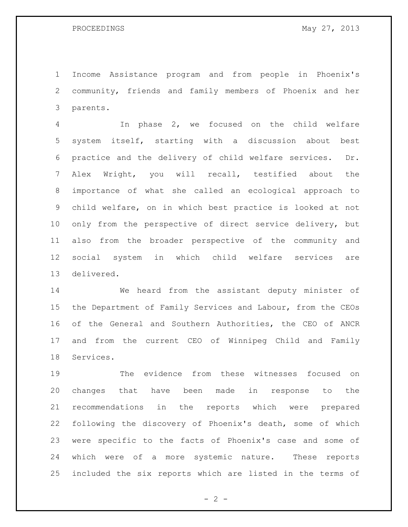Income Assistance program and from people in Phoenix's community, friends and family members of Phoenix and her parents.

 In phase 2, we focused on the child welfare system itself, starting with a discussion about best practice and the delivery of child welfare services. Dr. Alex Wright, you will recall, testified about the importance of what she called an ecological approach to child welfare, on in which best practice is looked at not only from the perspective of direct service delivery, but also from the broader perspective of the community and social system in which child welfare services are delivered.

 We heard from the assistant deputy minister of the Department of Family Services and Labour, from the CEOs of the General and Southern Authorities, the CEO of ANCR and from the current CEO of Winnipeg Child and Family Services.

 The evidence from these witnesses focused on changes that have been made in response to the recommendations in the reports which were prepared following the discovery of Phoenix's death, some of which were specific to the facts of Phoenix's case and some of which were of a more systemic nature. These reports included the six reports which are listed in the terms of

 $- 2 -$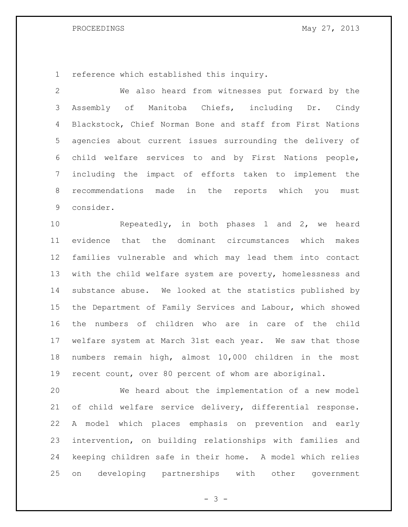reference which established this inquiry.

 We also heard from witnesses put forward by the Assembly of Manitoba Chiefs, including Dr. Cindy Blackstock, Chief Norman Bone and staff from First Nations agencies about current issues surrounding the delivery of child welfare services to and by First Nations people, including the impact of efforts taken to implement the recommendations made in the reports which you must consider.

 Repeatedly, in both phases 1 and 2, we heard evidence that the dominant circumstances which makes families vulnerable and which may lead them into contact with the child welfare system are poverty, homelessness and substance abuse. We looked at the statistics published by the Department of Family Services and Labour, which showed the numbers of children who are in care of the child welfare system at March 31st each year. We saw that those numbers remain high, almost 10,000 children in the most recent count, over 80 percent of whom are aboriginal.

 We heard about the implementation of a new model of child welfare service delivery, differential response. A model which places emphasis on prevention and early intervention, on building relationships with families and keeping children safe in their home. A model which relies on developing partnerships with other government

 $- 3 -$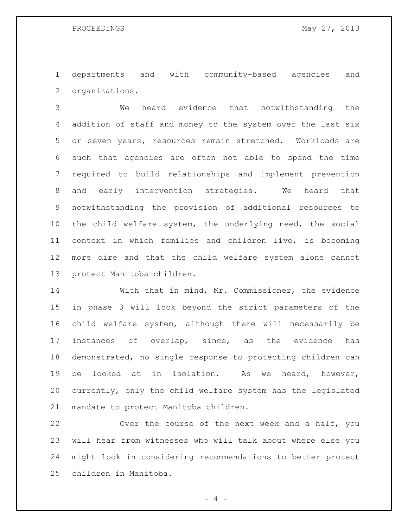departments and with community-based agencies and organizations.

 We heard evidence that notwithstanding the addition of staff and money to the system over the last six or seven years, resources remain stretched. Workloads are such that agencies are often not able to spend the time required to build relationships and implement prevention and early intervention strategies. We heard that notwithstanding the provision of additional resources to the child welfare system, the underlying need, the social context in which families and children live, is becoming more dire and that the child welfare system alone cannot protect Manitoba children.

 With that in mind, Mr. Commissioner, the evidence in phase 3 will look beyond the strict parameters of the child welfare system, although there will necessarily be instances of overlap, since, as the evidence has demonstrated, no single response to protecting children can be looked at in isolation. As we heard, however, currently, only the child welfare system has the legislated mandate to protect Manitoba children.

 Over the course of the next week and a half, you will hear from witnesses who will talk about where else you might look in considering recommendations to better protect children in Manitoba.

 $- 4 -$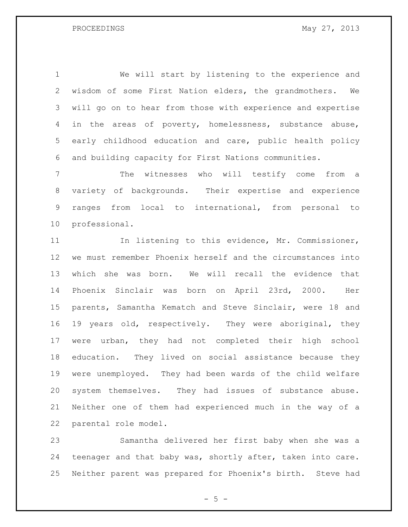We will start by listening to the experience and wisdom of some First Nation elders, the grandmothers. We will go on to hear from those with experience and expertise in the areas of poverty, homelessness, substance abuse, early childhood education and care, public health policy and building capacity for First Nations communities.

 The witnesses who will testify come from a variety of backgrounds. Their expertise and experience ranges from local to international, from personal to professional.

 In listening to this evidence, Mr. Commissioner, we must remember Phoenix herself and the circumstances into which she was born. We will recall the evidence that Phoenix Sinclair was born on April 23rd, 2000. Her parents, Samantha Kematch and Steve Sinclair, were 18 and 19 years old, respectively. They were aboriginal, they were urban, they had not completed their high school education. They lived on social assistance because they were unemployed. They had been wards of the child welfare system themselves. They had issues of substance abuse. Neither one of them had experienced much in the way of a parental role model.

 Samantha delivered her first baby when she was a teenager and that baby was, shortly after, taken into care. Neither parent was prepared for Phoenix's birth. Steve had

 $- 5 -$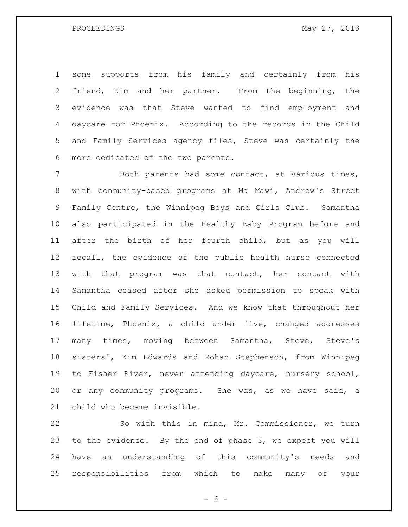some supports from his family and certainly from his friend, Kim and her partner. From the beginning, the evidence was that Steve wanted to find employment and daycare for Phoenix. According to the records in the Child and Family Services agency files, Steve was certainly the more dedicated of the two parents.

 Both parents had some contact, at various times, with community-based programs at Ma Mawi, Andrew's Street Family Centre, the Winnipeg Boys and Girls Club. Samantha also participated in the Healthy Baby Program before and after the birth of her fourth child, but as you will recall, the evidence of the public health nurse connected with that program was that contact, her contact with Samantha ceased after she asked permission to speak with Child and Family Services. And we know that throughout her lifetime, Phoenix, a child under five, changed addresses many times, moving between Samantha, Steve, Steve's sisters', Kim Edwards and Rohan Stephenson, from Winnipeg to Fisher River, never attending daycare, nursery school, or any community programs. She was, as we have said, a child who became invisible.

 So with this in mind, Mr. Commissioner, we turn to the evidence. By the end of phase 3, we expect you will have an understanding of this community's needs and responsibilities from which to make many of your

 $- 6 -$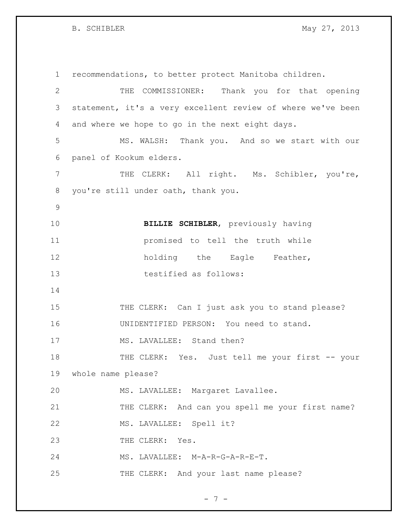B. SCHIBLER May 27, 2013

 recommendations, to better protect Manitoba children. THE COMMISSIONER: Thank you for that opening statement, it's a very excellent review of where we've been and where we hope to go in the next eight days. MS. WALSH: Thank you. And so we start with our panel of Kookum elders. 7 THE CLERK: All right. Ms. Schibler, you're, you're still under oath, thank you. **BILLIE SCHIBLER**, previously having promised to tell the truth while 12 holding the Eagle Feather, testified as follows: 15 THE CLERK: Can I just ask you to stand please? UNIDENTIFIED PERSON: You need to stand. 17 MS. LAVALLEE: Stand then? 18 THE CLERK: Yes. Just tell me your first -- your whole name please? MS. LAVALLEE: Margaret Lavallee. 21 THE CLERK: And can you spell me your first name? MS. LAVALLEE: Spell it? 23 THE CLERK: Yes. MS. LAVALLEE: M-A-R-G-A-R-E-T. 25 THE CLERK: And your last name please?

 $- 7 -$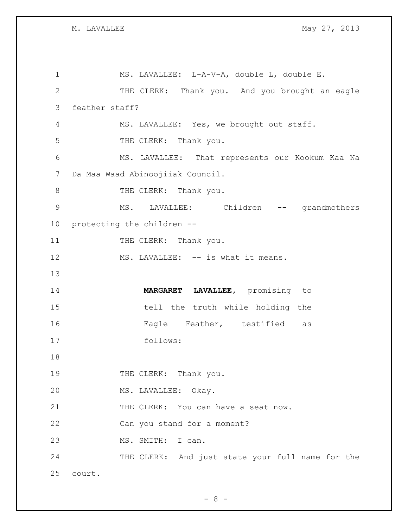M. LAVALLEE May 27, 2013

| 1             | MS. LAVALLEE: L-A-V-A, double L, double E.       |  |  |
|---------------|--------------------------------------------------|--|--|
| $\mathbf{2}$  | THE CLERK: Thank you. And you brought an eagle   |  |  |
| 3             | feather staff?                                   |  |  |
| 4             | MS. LAVALLEE: Yes, we brought out staff.         |  |  |
| 5             | THE CLERK: Thank you.                            |  |  |
| 6             | MS. LAVALLEE: That represents our Kookum Kaa Na  |  |  |
| 7             | Da Maa Waad Abinoojiiak Council.                 |  |  |
| 8             | THE CLERK: Thank you.                            |  |  |
| $\mathcal{G}$ | MS. LAVALLEE: Children -- grandmothers           |  |  |
| 10            | protecting the children --                       |  |  |
| 11            | THE CLERK: Thank you.                            |  |  |
| 12            | MS. LAVALLEE: -- is what it means.               |  |  |
| 13            |                                                  |  |  |
| 14            | MARGARET LAVALLEE, promising to                  |  |  |
| 15            | tell the truth while holding the                 |  |  |
| 16            | Eagle Feather, testified<br>as                   |  |  |
| 17            | follows:                                         |  |  |
| 18            |                                                  |  |  |
| 19            | THE CLERK: Thank you.                            |  |  |
| 20            | MS. LAVALLEE: Okay.                              |  |  |
| 21            | THE CLERK: You can have a seat now.              |  |  |
| 22            | Can you stand for a moment?                      |  |  |
| 23            | MS. SMITH: I can.                                |  |  |
| 24            | THE CLERK: And just state your full name for the |  |  |
| 25            | court.                                           |  |  |

- 8 -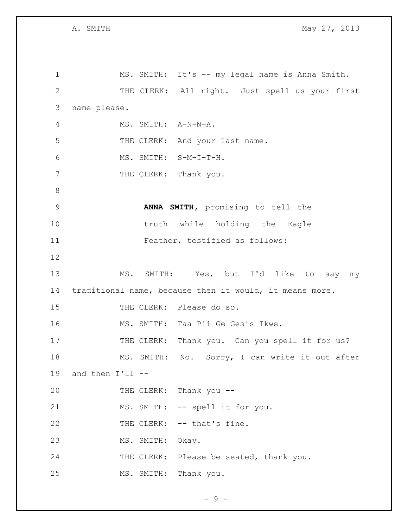A. SMITH May 27, 2013

| $\mathbf 1$ |                                                         |                  | MS. SMITH: It's -- my legal name is Anna Smith. |  |
|-------------|---------------------------------------------------------|------------------|-------------------------------------------------|--|
| 2           |                                                         |                  | THE CLERK: All right. Just spell us your first  |  |
| 3           | name please.                                            |                  |                                                 |  |
| 4           |                                                         |                  | MS. SMITH: A-N-N-A.                             |  |
| 5           |                                                         |                  | THE CLERK: And your last name.                  |  |
| 6           |                                                         |                  | MS. SMITH: S-M-I-T-H.                           |  |
| 7           |                                                         |                  | THE CLERK: Thank you.                           |  |
| 8           |                                                         |                  |                                                 |  |
| $\mathsf 9$ |                                                         |                  | ANNA SMITH, promising to tell the               |  |
| 10          |                                                         |                  | truth while holding the Eagle                   |  |
| 11          |                                                         |                  | Feather, testified as follows:                  |  |
| 12          |                                                         |                  |                                                 |  |
| 13          |                                                         |                  | MS. SMITH: Yes, but I'd like to<br>say my       |  |
| 14          | traditional name, because then it would, it means more. |                  |                                                 |  |
| 15          |                                                         |                  | THE CLERK: Please do so.                        |  |
| 16          |                                                         |                  | MS. SMITH: Taa Pii Ge Gesis Ikwe.               |  |
| 17          |                                                         |                  | THE CLERK: Thank you. Can you spell it for us?  |  |
| 18          |                                                         |                  | MS. SMITH: No. Sorry, I can write it out after  |  |
| 19          | and then I'll --                                        |                  |                                                 |  |
| 20          |                                                         |                  | THE CLERK: Thank you --                         |  |
| 21          |                                                         |                  | MS. SMITH: -- spell it for you.                 |  |
| 22          |                                                         |                  | THE CLERK: -- that's fine.                      |  |
| 23          |                                                         | MS. SMITH: Okay. |                                                 |  |
| 24          |                                                         |                  | THE CLERK: Please be seated, thank you.         |  |
| 25          |                                                         |                  | MS. SMITH: Thank you.                           |  |

- 9 -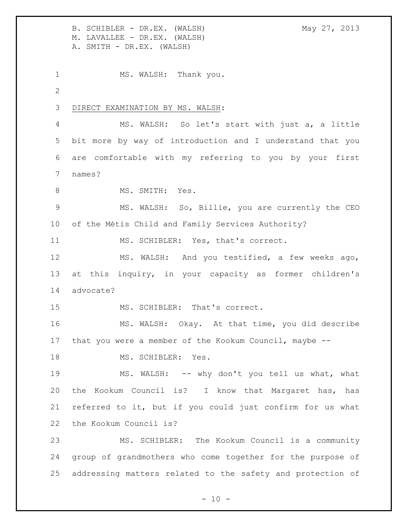B. SCHIBLER - DR.EX. (WALSH) May 27, 2013 M. LAVALLEE - DR.EX. (WALSH) A. SMITH - DR.EX. (WALSH) 1 MS. WALSH: Thank you. DIRECT EXAMINATION BY MS. WALSH: MS. WALSH: So let's start with just a, a little bit more by way of introduction and I understand that you are comfortable with my referring to you by your first names? 8 MS. SMITH: Yes. MS. WALSH: So, Billie, you are currently the CEO of the Métis Child and Family Services Authority? 11 MS. SCHIBLER: Yes, that's correct. MS. WALSH: And you testified, a few weeks ago, at this inquiry, in your capacity as former children's advocate? 15 MS. SCHIBLER: That's correct. MS. WALSH: Okay. At that time, you did describe that you were a member of the Kookum Council, maybe -- 18 MS. SCHIBLER: Yes. MS. WALSH: -- why don't you tell us what, what the Kookum Council is? I know that Margaret has, has referred to it, but if you could just confirm for us what the Kookum Council is? MS. SCHIBLER: The Kookum Council is a community group of grandmothers who come together for the purpose of addressing matters related to the safety and protection of

 $- 10 -$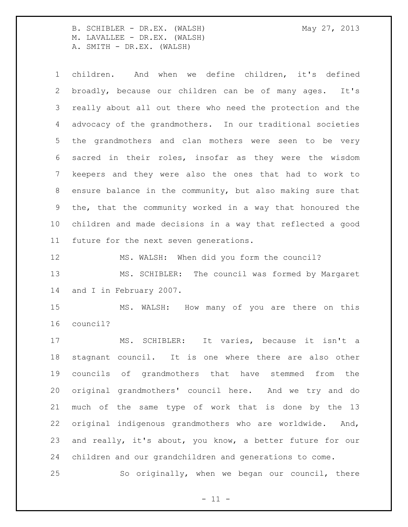children. And when we define children, it's defined broadly, because our children can be of many ages. It's really about all out there who need the protection and the advocacy of the grandmothers. In our traditional societies the grandmothers and clan mothers were seen to be very sacred in their roles, insofar as they were the wisdom keepers and they were also the ones that had to work to ensure balance in the community, but also making sure that the, that the community worked in a way that honoured the children and made decisions in a way that reflected a good

future for the next seven generations.

MS. WALSH: When did you form the council?

 MS. SCHIBLER: The council was formed by Margaret 14 and I in February 2007.

 MS. WALSH: How many of you are there on this council?

 MS. SCHIBLER: It varies, because it isn't a stagnant council. It is one where there are also other councils of grandmothers that have stemmed from the original grandmothers' council here. And we try and do much of the same type of work that is done by the 13 original indigenous grandmothers who are worldwide. And, and really, it's about, you know, a better future for our children and our grandchildren and generations to come.

So originally, when we began our council, there

 $- 11 -$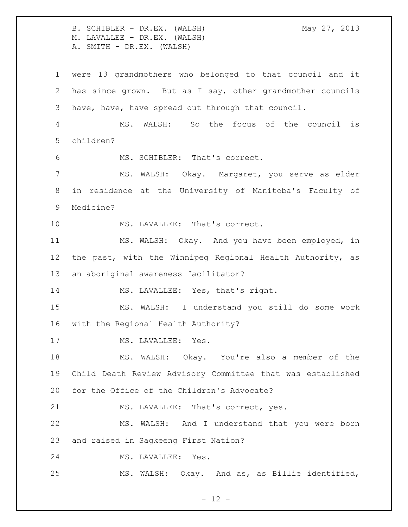B. SCHIBLER - DR.EX. (WALSH) May 27, 2013 M. LAVALLEE - DR.EX. (WALSH) A. SMITH - DR.EX. (WALSH) were 13 grandmothers who belonged to that council and it has since grown. But as I say, other grandmother councils have, have, have spread out through that council. MS. WALSH: So the focus of the council is children? MS. SCHIBLER: That's correct. MS. WALSH: Okay. Margaret, you serve as elder in residence at the University of Manitoba's Faculty of Medicine? 10 MS. LAVALLEE: That's correct. MS. WALSH: Okay. And you have been employed, in the past, with the Winnipeg Regional Health Authority, as an aboriginal awareness facilitator? 14 MS. LAVALLEE: Yes, that's right. MS. WALSH: I understand you still do some work with the Regional Health Authority? 17 MS. LAVALLEE: Yes. MS. WALSH: Okay. You're also a member of the Child Death Review Advisory Committee that was established for the Office of the Children's Advocate? 21 MS. LAVALLEE: That's correct, yes. MS. WALSH: And I understand that you were born and raised in Sagkeeng First Nation? MS. LAVALLEE: Yes. MS. WALSH: Okay. And as, as Billie identified,

 $- 12 -$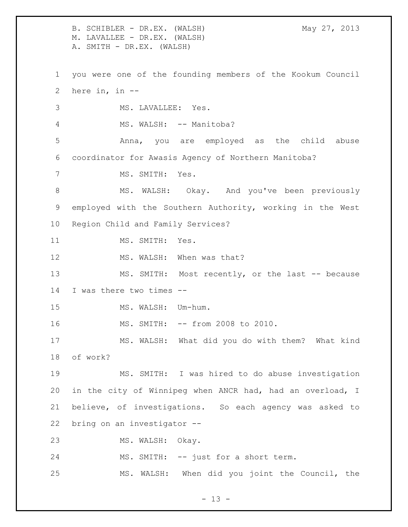B. SCHIBLER - DR.EX. (WALSH) May 27, 2013 M. LAVALLEE - DR.EX. (WALSH) A. SMITH - DR.EX. (WALSH) you were one of the founding members of the Kookum Council here in, in -- MS. LAVALLEE: Yes. 4 MS. WALSH: -- Manitoba? Anna, you are employed as the child abuse coordinator for Awasis Agency of Northern Manitoba? MS. SMITH: Yes. 8 MS. WALSH: Okay. And you've been previously employed with the Southern Authority, working in the West Region Child and Family Services? 11 MS. SMITH: Yes. 12 MS. WALSH: When was that? 13 MS. SMITH: Most recently, or the last -- because I was there two times -- 15 MS. WALSH: Um-hum. MS. SMITH: -- from 2008 to 2010. MS. WALSH: What did you do with them? What kind of work? MS. SMITH: I was hired to do abuse investigation in the city of Winnipeg when ANCR had, had an overload, I believe, of investigations. So each agency was asked to bring on an investigator -- MS. WALSH: Okay. MS. SMITH: -- just for a short term. MS. WALSH: When did you joint the Council, the

 $- 13 -$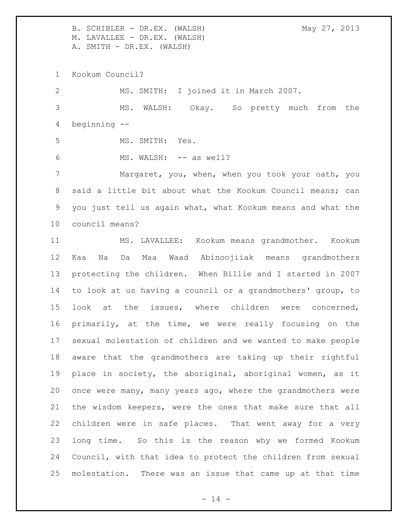B. SCHIBLER - DR.EX. (WALSH) May 27, 2013 M. LAVALLEE - DR.EX. (WALSH) A. SMITH - DR.EX. (WALSH) Kookum Council? MS. SMITH: I joined it in March 2007. MS. WALSH: Okay. So pretty much from the beginning -- MS. SMITH: Yes. 6 MS. WALSH: -- as well? Margaret, you, when, when you took your oath, you said a little bit about what the Kookum Council means; can you just tell us again what, what Kookum means and what the council means? MS. LAVALLEE: Kookum means grandmother. Kookum Kaa Na Da Maa Waad Abinoojiiak means grandmothers protecting the children. When Billie and I started in 2007 to look at us having a council or a grandmothers' group, to look at the issues, where children were concerned, primarily, at the time, we were really focusing on the sexual molestation of children and we wanted to make people aware that the grandmothers are taking up their rightful place in society, the aboriginal, aboriginal women, as it once were many, many years ago, where the grandmothers were the wisdom keepers, were the ones that make sure that all children were in safe places. That went away for a very long time. So this is the reason why we formed Kookum Council, with that idea to protect the children from sexual

 $- 14 -$ 

molestation. There was an issue that came up at that time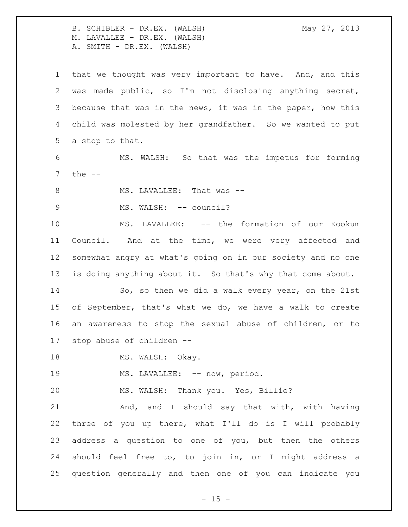that we thought was very important to have. And, and this was made public, so I'm not disclosing anything secret, because that was in the news, it was in the paper, how this child was molested by her grandfather. So we wanted to put a stop to that. MS. WALSH: So that was the impetus for forming the -- 8 MS. LAVALLEE: That was --9 MS. WALSH: -- council? MS. LAVALLEE: -- the formation of our Kookum Council. And at the time, we were very affected and somewhat angry at what's going on in our society and no one is doing anything about it. So that's why that come about. So, so then we did a walk every year, on the 21st of September, that's what we do, we have a walk to create an awareness to stop the sexual abuse of children, or to stop abuse of children -- 18 MS. WALSH: Okay. 19 MS. LAVALLEE: -- now, period. MS. WALSH: Thank you. Yes, Billie? 21 And, and I should say that with, with having three of you up there, what I'll do is I will probably address a question to one of you, but then the others should feel free to, to join in, or I might address a question generally and then one of you can indicate you

 $- 15 -$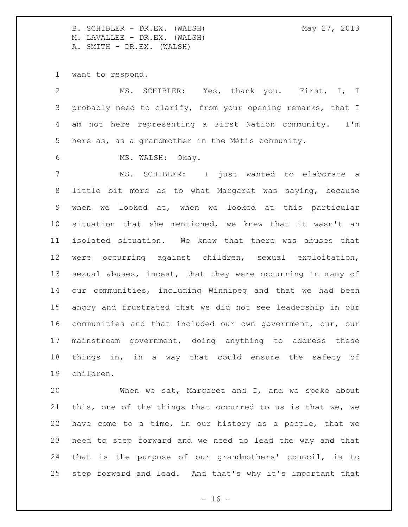want to respond.

 MS. SCHIBLER: Yes, thank you. First, I, I probably need to clarify, from your opening remarks, that I am not here representing a First Nation community. I'm here as, as a grandmother in the Métis community. MS. WALSH: Okay. MS. SCHIBLER: I just wanted to elaborate a little bit more as to what Margaret was saying, because when we looked at, when we looked at this particular situation that she mentioned, we knew that it wasn't an isolated situation. We knew that there was abuses that were occurring against children, sexual exploitation, sexual abuses, incest, that they were occurring in many of our communities, including Winnipeg and that we had been angry and frustrated that we did not see leadership in our communities and that included our own government, our, our mainstream government, doing anything to address these things in, in a way that could ensure the safety of children.

 When we sat, Margaret and I, and we spoke about this, one of the things that occurred to us is that we, we have come to a time, in our history as a people, that we need to step forward and we need to lead the way and that that is the purpose of our grandmothers' council, is to step forward and lead. And that's why it's important that

 $- 16 -$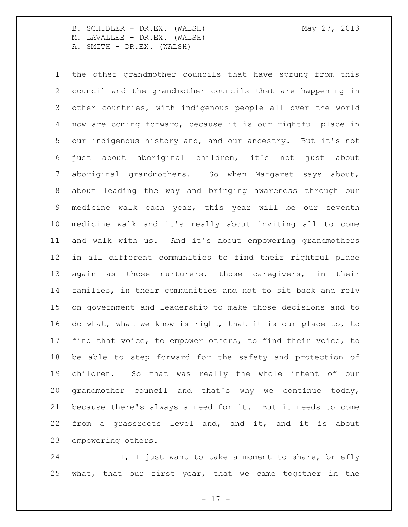the other grandmother councils that have sprung from this council and the grandmother councils that are happening in other countries, with indigenous people all over the world now are coming forward, because it is our rightful place in our indigenous history and, and our ancestry. But it's not just about aboriginal children, it's not just about aboriginal grandmothers. So when Margaret says about, about leading the way and bringing awareness through our medicine walk each year, this year will be our seventh medicine walk and it's really about inviting all to come and walk with us. And it's about empowering grandmothers in all different communities to find their rightful place again as those nurturers, those caregivers, in their families, in their communities and not to sit back and rely on government and leadership to make those decisions and to do what, what we know is right, that it is our place to, to find that voice, to empower others, to find their voice, to be able to step forward for the safety and protection of children. So that was really the whole intent of our grandmother council and that's why we continue today, because there's always a need for it. But it needs to come from a grassroots level and, and it, and it is about empowering others.

24 I, I just want to take a moment to share, briefly what, that our first year, that we came together in the

- 17 -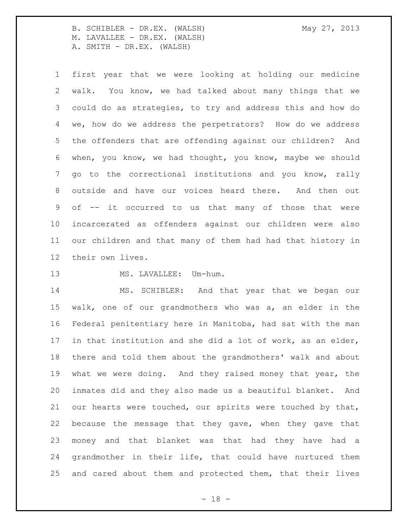first year that we were looking at holding our medicine walk. You know, we had talked about many things that we could do as strategies, to try and address this and how do we, how do we address the perpetrators? How do we address the offenders that are offending against our children? And when, you know, we had thought, you know, maybe we should go to the correctional institutions and you know, rally outside and have our voices heard there. And then out of -- it occurred to us that many of those that were incarcerated as offenders against our children were also our children and that many of them had had that history in their own lives.

### 13 MS. LAVALLEE: Um-hum.

 MS. SCHIBLER: And that year that we began our walk, one of our grandmothers who was a, an elder in the Federal penitentiary here in Manitoba, had sat with the man in that institution and she did a lot of work, as an elder, there and told them about the grandmothers' walk and about what we were doing. And they raised money that year, the inmates did and they also made us a beautiful blanket. And 21 our hearts were touched, our spirits were touched by that, because the message that they gave, when they gave that money and that blanket was that had they have had a grandmother in their life, that could have nurtured them and cared about them and protected them, that their lives

- 18 -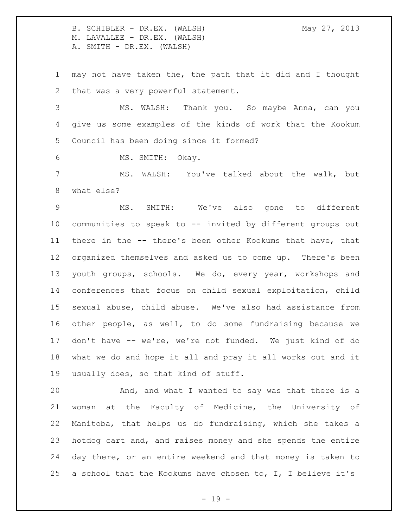may not have taken the, the path that it did and I thought that was a very powerful statement.

 MS. WALSH: Thank you. So maybe Anna, can you give us some examples of the kinds of work that the Kookum Council has been doing since it formed?

6 MS. SMITH: Okay.

 MS. WALSH: You've talked about the walk, but what else?

 MS. SMITH: We've also gone to different communities to speak to -- invited by different groups out there in the -- there's been other Kookums that have, that organized themselves and asked us to come up. There's been youth groups, schools. We do, every year, workshops and conferences that focus on child sexual exploitation, child sexual abuse, child abuse. We've also had assistance from other people, as well, to do some fundraising because we don't have -- we're, we're not funded. We just kind of do what we do and hope it all and pray it all works out and it usually does, so that kind of stuff.

 And, and what I wanted to say was that there is a woman at the Faculty of Medicine, the University of Manitoba, that helps us do fundraising, which she takes a hotdog cart and, and raises money and she spends the entire day there, or an entire weekend and that money is taken to a school that the Kookums have chosen to, I, I believe it's

- 19 -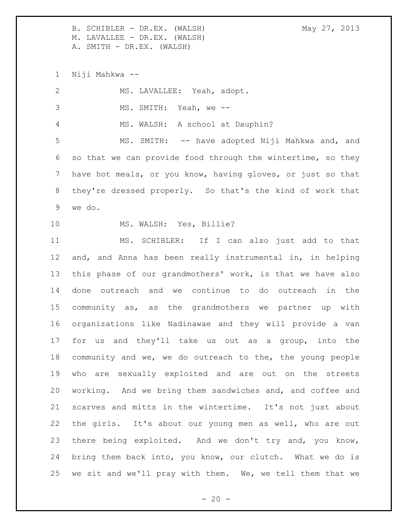Niji Mahkwa -- MS. LAVALLEE: Yeah, adopt. MS. SMITH: Yeah, we -- MS. WALSH: A school at Dauphin? MS. SMITH: -- have adopted Niji Mahkwa and, and so that we can provide food through the wintertime, so they have hot meals, or you know, having gloves, or just so that they're dressed properly. So that's the kind of work that we do. MS. WALSH: Yes, Billie? MS. SCHIBLER: If I can also just add to that and, and Anna has been really instrumental in, in helping this phase of our grandmothers' work, is that we have also done outreach and we continue to do outreach in the community as, as the grandmothers we partner up with organizations like Nadinawae and they will provide a van for us and they'll take us out as a group, into the community and we, we do outreach to the, the young people who are sexually exploited and are out on the streets working. And we bring them sandwiches and, and coffee and scarves and mitts in the wintertime. It's not just about the girls. It's about our young men as well, who are out there being exploited. And we don't try and, you know,

 bring them back into, you know, our clutch. What we do is we sit and we'll pray with them. We, we tell them that we

 $- 20 -$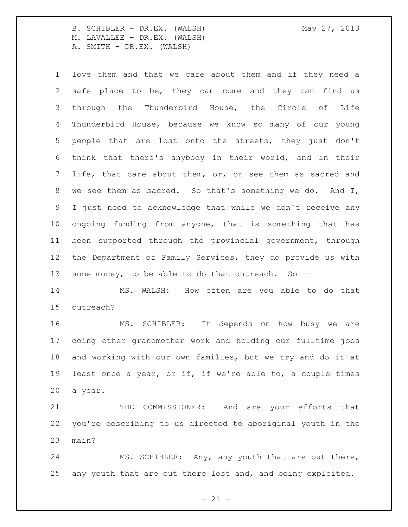love them and that we care about them and if they need a safe place to be, they can come and they can find us through the Thunderbird House, the Circle of Life Thunderbird House, because we know so many of our young people that are lost onto the streets, they just don't think that there's anybody in their world, and in their life, that care about them, or, or see them as sacred and we see them as sacred. So that's something we do. And I, I just need to acknowledge that while we don't receive any ongoing funding from anyone, that is something that has been supported through the provincial government, through the Department of Family Services, they do provide us with some money, to be able to do that outreach. So --

 MS. WALSH: How often are you able to do that outreach?

 MS. SCHIBLER: It depends on how busy we are doing other grandmother work and holding our fulltime jobs and working with our own families, but we try and do it at least once a year, or if, if we're able to, a couple times a year.

21 THE COMMISSIONER: And are your efforts that you're describing to us directed to aboriginal youth in the main?

 MS. SCHIBLER: Any, any youth that are out there, any youth that are out there lost and, and being exploited.

 $- 21 -$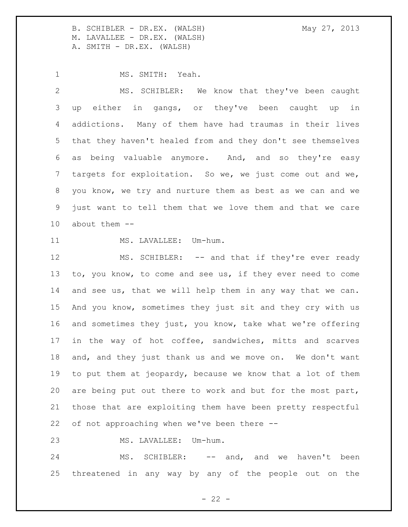MS. SMITH: Yeah.

 MS. SCHIBLER: We know that they've been caught up either in gangs, or they've been caught up in addictions. Many of them have had traumas in their lives that they haven't healed from and they don't see themselves as being valuable anymore. And, and so they're easy targets for exploitation. So we, we just come out and we, you know, we try and nurture them as best as we can and we just want to tell them that we love them and that we care about them --

11 MS. LAVALLEE: Um-hum.

12 MS. SCHIBLER: -- and that if they're ever ready to, you know, to come and see us, if they ever need to come and see us, that we will help them in any way that we can. And you know, sometimes they just sit and they cry with us and sometimes they just, you know, take what we're offering in the way of hot coffee, sandwiches, mitts and scarves and, and they just thank us and we move on. We don't want to put them at jeopardy, because we know that a lot of them are being put out there to work and but for the most part, those that are exploiting them have been pretty respectful of not approaching when we've been there --

MS. LAVALLEE: Um-hum.

24 MS. SCHIBLER: -- and, and we haven't been threatened in any way by any of the people out on the

 $- 22 -$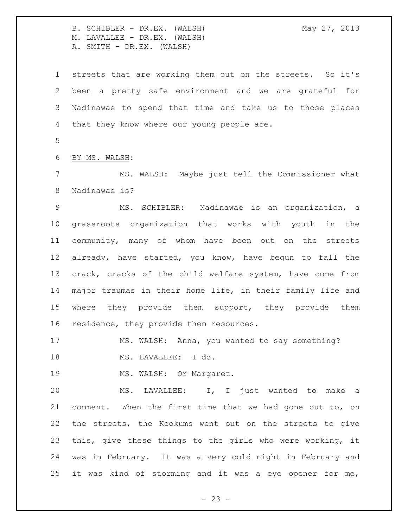streets that are working them out on the streets. So it's been a pretty safe environment and we are grateful for Nadinawae to spend that time and take us to those places that they know where our young people are.

BY MS. WALSH:

 MS. WALSH: Maybe just tell the Commissioner what Nadinawae is?

 MS. SCHIBLER: Nadinawae is an organization, a grassroots organization that works with youth in the community, many of whom have been out on the streets already, have started, you know, have begun to fall the crack, cracks of the child welfare system, have come from major traumas in their home life, in their family life and 15 where they provide them support, they provide them 16 residence, they provide them resources.

MS. WALSH: Anna, you wanted to say something?

MS. LAVALLEE: I do.

19 MS. WALSH: Or Margaret.

 MS. LAVALLEE: I, I just wanted to make a comment. When the first time that we had gone out to, on the streets, the Kookums went out on the streets to give this, give these things to the girls who were working, it was in February. It was a very cold night in February and 25 it was kind of storming and it was a eye opener for me,

 $- 23 -$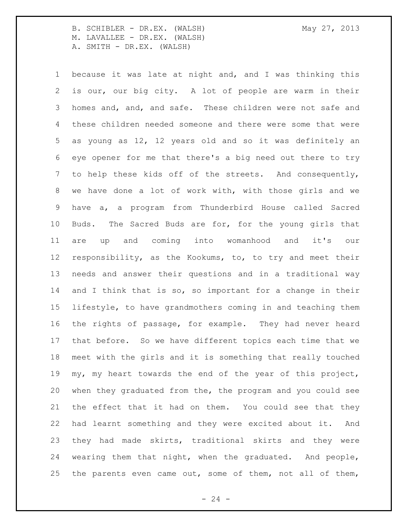because it was late at night and, and I was thinking this is our, our big city. A lot of people are warm in their homes and, and, and safe. These children were not safe and these children needed someone and there were some that were as young as 12, 12 years old and so it was definitely an eye opener for me that there's a big need out there to try to help these kids off of the streets. And consequently, we have done a lot of work with, with those girls and we have a, a program from Thunderbird House called Sacred Buds. The Sacred Buds are for, for the young girls that are up and coming into womanhood and it's our responsibility, as the Kookums, to, to try and meet their needs and answer their questions and in a traditional way 14 and I think that is so, so important for a change in their lifestyle, to have grandmothers coming in and teaching them the rights of passage, for example. They had never heard that before. So we have different topics each time that we meet with the girls and it is something that really touched my, my heart towards the end of the year of this project, when they graduated from the, the program and you could see the effect that it had on them. You could see that they had learnt something and they were excited about it. And they had made skirts, traditional skirts and they were wearing them that night, when the graduated. And people, the parents even came out, some of them, not all of them,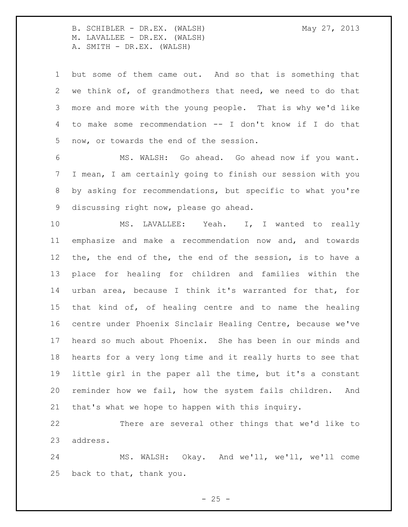but some of them came out. And so that is something that we think of, of grandmothers that need, we need to do that more and more with the young people. That is why we'd like to make some recommendation -- I don't know if I do that now, or towards the end of the session.

 MS. WALSH: Go ahead. Go ahead now if you want. I mean, I am certainly going to finish our session with you by asking for recommendations, but specific to what you're discussing right now, please go ahead.

 MS. LAVALLEE: Yeah. I, I wanted to really emphasize and make a recommendation now and, and towards the, the end of the, the end of the session, is to have a place for healing for children and families within the urban area, because I think it's warranted for that, for that kind of, of healing centre and to name the healing centre under Phoenix Sinclair Healing Centre, because we've heard so much about Phoenix. She has been in our minds and hearts for a very long time and it really hurts to see that little girl in the paper all the time, but it's a constant reminder how we fail, how the system fails children. And that's what we hope to happen with this inquiry.

 There are several other things that we'd like to address.

 MS. WALSH: Okay. And we'll, we'll, we'll come back to that, thank you.

 $- 25 -$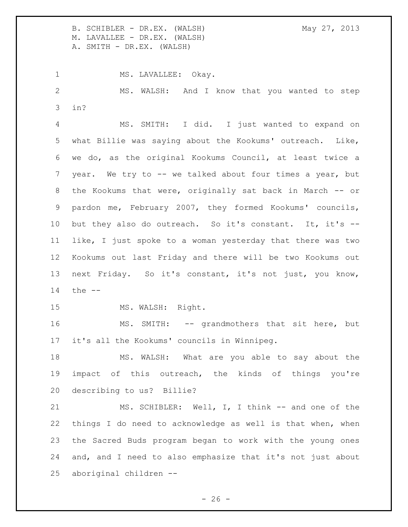1 MS. LAVALLEE: Okay. MS. WALSH: And I know that you wanted to step in?

 MS. SMITH: I did. I just wanted to expand on what Billie was saying about the Kookums' outreach. Like, we do, as the original Kookums Council, at least twice a 7 year. We try to -- we talked about four times a year, but the Kookums that were, originally sat back in March -- or pardon me, February 2007, they formed Kookums' councils, but they also do outreach. So it's constant. It, it's -- like, I just spoke to a woman yesterday that there was two Kookums out last Friday and there will be two Kookums out next Friday. So it's constant, it's not just, you know, the --

15 MS. WALSH: Right.

16 MS. SMITH: -- grandmothers that sit here, but it's all the Kookums' councils in Winnipeg.

 MS. WALSH: What are you able to say about the impact of this outreach, the kinds of things you're describing to us? Billie?

 MS. SCHIBLER: Well, I, I think -- and one of the things I do need to acknowledge as well is that when, when the Sacred Buds program began to work with the young ones and, and I need to also emphasize that it's not just about aboriginal children --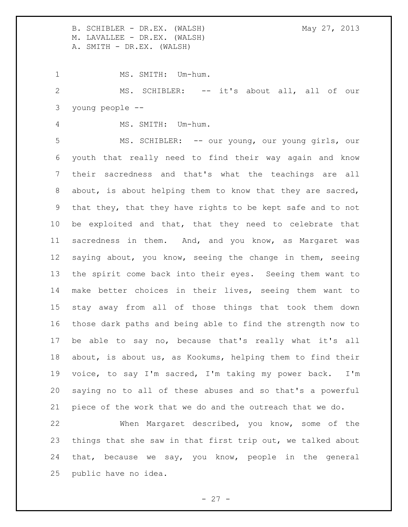1 MS. SMITH: Um-hum. MS. SCHIBLER: -- it's about all, all of our young people --

MS. SMITH: Um-hum.

 MS. SCHIBLER: -- our young, our young girls, our youth that really need to find their way again and know their sacredness and that's what the teachings are all about, is about helping them to know that they are sacred, that they, that they have rights to be kept safe and to not be exploited and that, that they need to celebrate that sacredness in them. And, and you know, as Margaret was saying about, you know, seeing the change in them, seeing the spirit come back into their eyes. Seeing them want to make better choices in their lives, seeing them want to stay away from all of those things that took them down those dark paths and being able to find the strength now to be able to say no, because that's really what it's all about, is about us, as Kookums, helping them to find their voice, to say I'm sacred, I'm taking my power back. I'm saying no to all of these abuses and so that's a powerful piece of the work that we do and the outreach that we do.

 When Margaret described, you know, some of the things that she saw in that first trip out, we talked about that, because we say, you know, people in the general public have no idea.

 $- 27 -$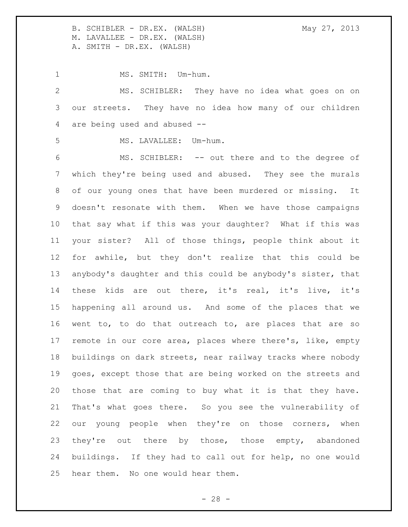1 MS. SMITH: Um-hum. MS. SCHIBLER: They have no idea what goes on on our streets. They have no idea how many of our children are being used and abused -- 5 MS. LAVALLEE: Um-hum. MS. SCHIBLER: -- out there and to the degree of which they're being used and abused. They see the murals of our young ones that have been murdered or missing. It doesn't resonate with them. When we have those campaigns that say what if this was your daughter? What if this was your sister? All of those things, people think about it for awhile, but they don't realize that this could be anybody's daughter and this could be anybody's sister, that these kids are out there, it's real, it's live, it's happening all around us. And some of the places that we went to, to do that outreach to, are places that are so 17 remote in our core area, places where there's, like, empty buildings on dark streets, near railway tracks where nobody goes, except those that are being worked on the streets and those that are coming to buy what it is that they have. That's what goes there. So you see the vulnerability of 22 our young people when they're on those corners, when 23 they're out there by those, those empty, abandoned buildings. If they had to call out for help, no one would hear them. No one would hear them.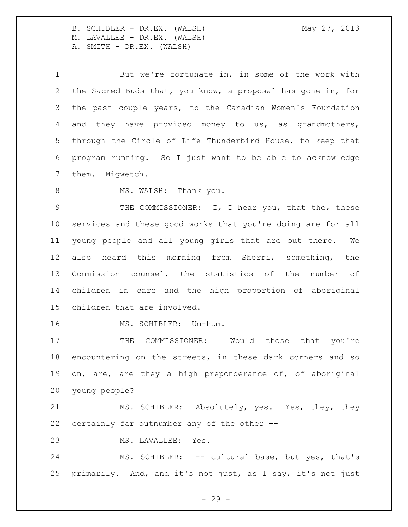But we're fortunate in, in some of the work with the Sacred Buds that, you know, a proposal has gone in, for the past couple years, to the Canadian Women's Foundation and they have provided money to us, as grandmothers, through the Circle of Life Thunderbird House, to keep that program running. So I just want to be able to acknowledge them. Migwetch.

8 MS. WALSH: Thank you.

 THE COMMISSIONER: I, I hear you, that the, these services and these good works that you're doing are for all young people and all young girls that are out there. We also heard this morning from Sherri, something, the Commission counsel, the statistics of the number of children in care and the high proportion of aboriginal children that are involved.

16 MS. SCHIBLER: Um-hum.

 THE COMMISSIONER: Would those that you're encountering on the streets, in these dark corners and so on, are, are they a high preponderance of, of aboriginal young people?

 MS. SCHIBLER: Absolutely, yes. Yes, they, they certainly far outnumber any of the other --

MS. LAVALLEE: Yes.

24 MS. SCHIBLER: -- cultural base, but yes, that's primarily. And, and it's not just, as I say, it's not just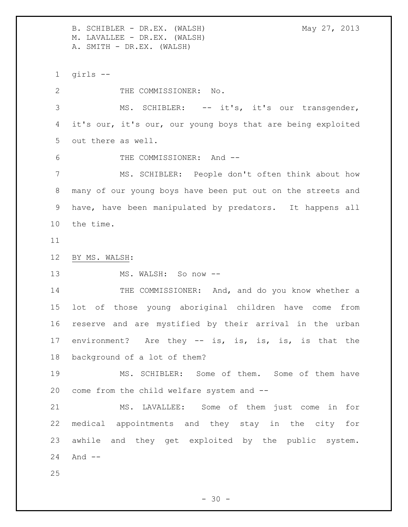girls --

THE COMMISSIONER: No.

 MS. SCHIBLER: -- it's, it's our transgender, it's our, it's our, our young boys that are being exploited out there as well.

THE COMMISSIONER: And --

 MS. SCHIBLER: People don't often think about how many of our young boys have been put out on the streets and have, have been manipulated by predators. It happens all the time.

BY MS. WALSH:

13 MS. WALSH: So now --

14 THE COMMISSIONER: And, and do you know whether a lot of those young aboriginal children have come from reserve and are mystified by their arrival in the urban environment? Are they -- is, is, is, is, is that the background of a lot of them?

 MS. SCHIBLER: Some of them. Some of them have come from the child welfare system and --

 MS. LAVALLEE: Some of them just come in for medical appointments and they stay in the city for awhile and they get exploited by the public system. And --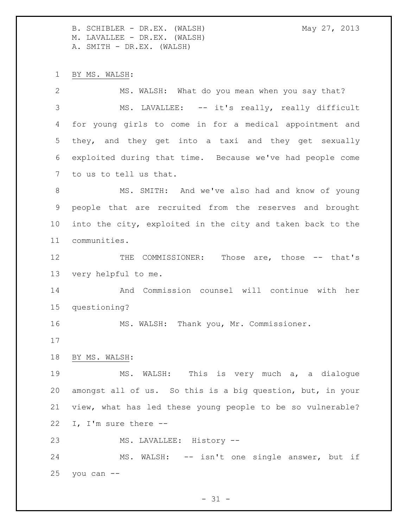BY MS. WALSH:

 MS. WALSH: What do you mean when you say that? MS. LAVALLEE: -- it's really, really difficult for young girls to come in for a medical appointment and they, and they get into a taxi and they get sexually exploited during that time. Because we've had people come to us to tell us that.

8 MS. SMITH: And we've also had and know of young people that are recruited from the reserves and brought into the city, exploited in the city and taken back to the communities.

12 THE COMMISSIONER: Those are, those -- that's very helpful to me.

 And Commission counsel will continue with her questioning?

MS. WALSH: Thank you, Mr. Commissioner.

BY MS. WALSH:

 MS. WALSH: This is very much a, a dialogue amongst all of us. So this is a big question, but, in your view, what has led these young people to be so vulnerable? I, I'm sure there --

MS. LAVALLEE: History --

 MS. WALSH: -- isn't one single answer, but if you can  $-$ 

 $- 31 -$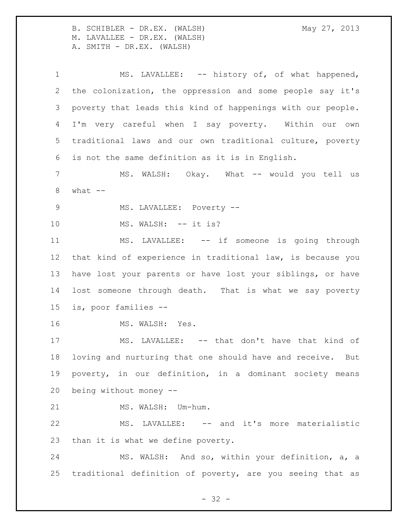# 1 MS. LAVALLEE: -- history of, of what happened, the colonization, the oppression and some people say it's poverty that leads this kind of happenings with our people. I'm very careful when I say poverty. Within our own traditional laws and our own traditional culture, poverty is not the same definition as it is in English. 7 MS. WALSH: Okay. What -- would you tell us what  $-$ 9 MS. LAVALLEE: Poverty --10 MS. WALSH: -- it is? MS. LAVALLEE: -- if someone is going through that kind of experience in traditional law, is because you have lost your parents or have lost your siblings, or have lost someone through death. That is what we say poverty is, poor families -- 16 MS. WALSH: Yes. 17 MS. LAVALLEE: -- that don't have that kind of loving and nurturing that one should have and receive. But poverty, in our definition, in a dominant society means being without money -- 21 MS. WALSH: Um-hum. MS. LAVALLEE: -- and it's more materialistic

than it is what we define poverty.

 MS. WALSH: And so, within your definition, a, a traditional definition of poverty, are you seeing that as

 $- 32 -$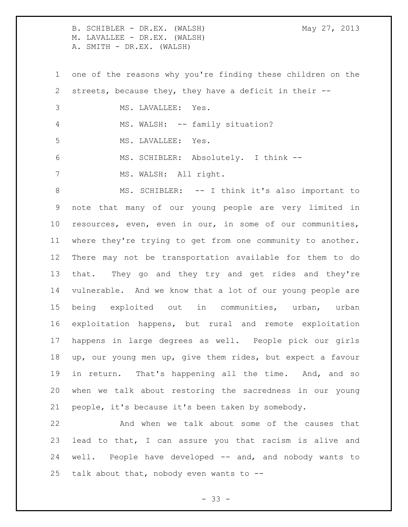one of the reasons why you're finding these children on the streets, because they, they have a deficit in their -- MS. LAVALLEE: Yes. MS. WALSH: -- family situation? MS. LAVALLEE: Yes. MS. SCHIBLER: Absolutely. I think -- 7 MS. WALSH: All right.

 MS. SCHIBLER: -- I think it's also important to note that many of our young people are very limited in resources, even, even in our, in some of our communities, where they're trying to get from one community to another. There may not be transportation available for them to do that. They go and they try and get rides and they're vulnerable. And we know that a lot of our young people are being exploited out in communities, urban, urban exploitation happens, but rural and remote exploitation happens in large degrees as well. People pick our girls up, our young men up, give them rides, but expect a favour in return. That's happening all the time. And, and so when we talk about restoring the sacredness in our young people, it's because it's been taken by somebody.

 And when we talk about some of the causes that lead to that, I can assure you that racism is alive and well. People have developed -- and, and nobody wants to talk about that, nobody even wants to --

 $- 33 -$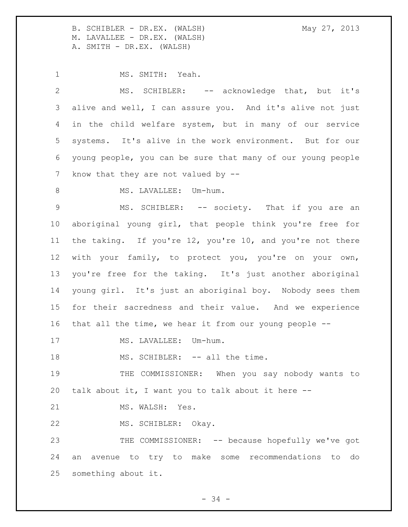MS. SMITH: Yeah. MS. SCHIBLER: -- acknowledge that, but it's alive and well, I can assure you. And it's alive not just in the child welfare system, but in many of our service systems. It's alive in the work environment. But for our young people, you can be sure that many of our young people 7 know that they are not valued by --8 MS. LAVALLEE: Um-hum. MS. SCHIBLER: -- society. That if you are an aboriginal young girl, that people think you're free for the taking. If you're 12, you're 10, and you're not there with your family, to protect you, you're on your own, you're free for the taking. It's just another aboriginal young girl. It's just an aboriginal boy. Nobody sees them for their sacredness and their value. And we experience that all the time, we hear it from our young people -- 17 MS. LAVALLEE: Um-hum. 18 MS. SCHIBLER: -- all the time. THE COMMISSIONER: When you say nobody wants to talk about it, I want you to talk about it here -- 21 MS. WALSH: Yes. MS. SCHIBLER: Okay. THE COMMISSIONER: -- because hopefully we've got

 an avenue to try to make some recommendations to do something about it.

- 34 -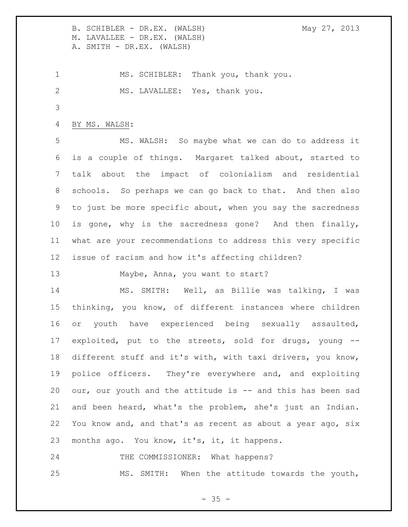MS. SCHIBLER: Thank you, thank you. MS. LAVALLEE: Yes, thank you.

BY MS. WALSH:

 MS. WALSH: So maybe what we can do to address it is a couple of things. Margaret talked about, started to talk about the impact of colonialism and residential schools. So perhaps we can go back to that. And then also to just be more specific about, when you say the sacredness is gone, why is the sacredness gone? And then finally, what are your recommendations to address this very specific issue of racism and how it's affecting children?

Maybe, Anna, you want to start?

 MS. SMITH: Well, as Billie was talking, I was thinking, you know, of different instances where children or youth have experienced being sexually assaulted, exploited, put to the streets, sold for drugs, young -- different stuff and it's with, with taxi drivers, you know, police officers. They're everywhere and, and exploiting our, our youth and the attitude is -- and this has been sad and been heard, what's the problem, she's just an Indian. You know and, and that's as recent as about a year ago, six months ago. You know, it's, it, it happens.

24 THE COMMISSIONER: What happens? MS. SMITH: When the attitude towards the youth,

 $- 35 -$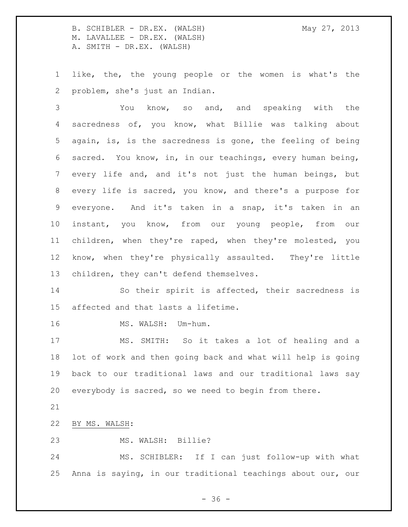You know, so and, and speaking with the sacredness of, you know, what Billie was talking about again, is, is the sacredness is gone, the feeling of being sacred. You know, in, in our teachings, every human being, every life and, and it's not just the human beings, but every life is sacred, you know, and there's a purpose for everyone. And it's taken in a snap, it's taken in an instant, you know, from our young people, from our children, when they're raped, when they're molested, you know, when they're physically assaulted. They're little children, they can't defend themselves.

 So their spirit is affected, their sacredness is affected and that lasts a lifetime.

16 MS. WALSH: Um-hum.

 MS. SMITH: So it takes a lot of healing and a lot of work and then going back and what will help is going back to our traditional laws and our traditional laws say everybody is sacred, so we need to begin from there.

BY MS. WALSH:

MS. WALSH: Billie?

 MS. SCHIBLER: If I can just follow-up with what Anna is saying, in our traditional teachings about our, our

 $- 36 -$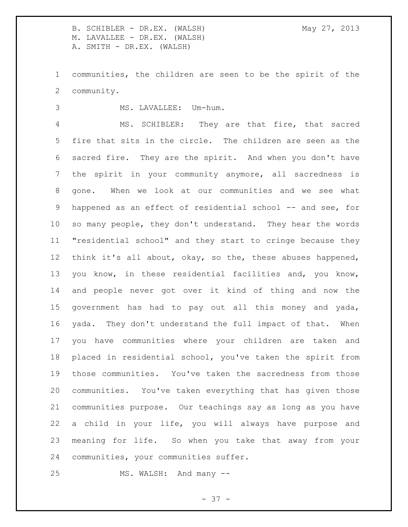communities, the children are seen to be the spirit of the community.

MS. LAVALLEE: Um-hum.

 MS. SCHIBLER: They are that fire, that sacred fire that sits in the circle. The children are seen as the sacred fire. They are the spirit. And when you don't have the spirit in your community anymore, all sacredness is gone. When we look at our communities and we see what 9 happened as an effect of residential school -- and see, for so many people, they don't understand. They hear the words "residential school" and they start to cringe because they think it's all about, okay, so the, these abuses happened, you know, in these residential facilities and, you know, and people never got over it kind of thing and now the government has had to pay out all this money and yada, yada. They don't understand the full impact of that. When you have communities where your children are taken and placed in residential school, you've taken the spirit from those communities. You've taken the sacredness from those communities. You've taken everything that has given those communities purpose. Our teachings say as long as you have a child in your life, you will always have purpose and meaning for life. So when you take that away from your communities, your communities suffer.

MS. WALSH: And many --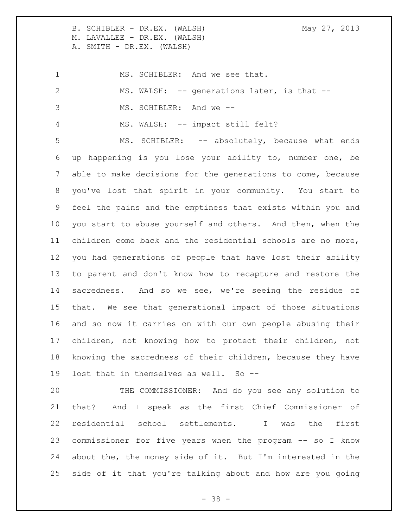# 1 MS. SCHIBLER: And we see that. MS. WALSH: -- generations later, is that -- MS. SCHIBLER: And we -- MS. WALSH: -- impact still felt?

 MS. SCHIBLER: -- absolutely, because what ends up happening is you lose your ability to, number one, be able to make decisions for the generations to come, because you've lost that spirit in your community. You start to feel the pains and the emptiness that exists within you and you start to abuse yourself and others. And then, when the children come back and the residential schools are no more, you had generations of people that have lost their ability to parent and don't know how to recapture and restore the sacredness. And so we see, we're seeing the residue of that. We see that generational impact of those situations and so now it carries on with our own people abusing their children, not knowing how to protect their children, not knowing the sacredness of their children, because they have lost that in themselves as well. So --

 THE COMMISSIONER: And do you see any solution to that? And I speak as the first Chief Commissioner of residential school settlements. I was the first commissioner for five years when the program -- so I know about the, the money side of it. But I'm interested in the side of it that you're talking about and how are you going

- 38 -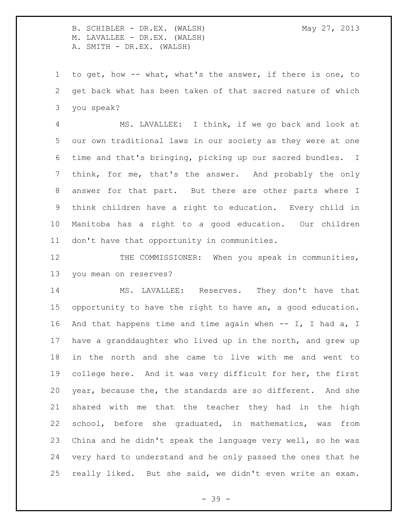to get, how -- what, what's the answer, if there is one, to get back what has been taken of that sacred nature of which you speak?

 MS. LAVALLEE: I think, if we go back and look at our own traditional laws in our society as they were at one time and that's bringing, picking up our sacred bundles. I think, for me, that's the answer. And probably the only answer for that part. But there are other parts where I think children have a right to education. Every child in Manitoba has a right to a good education. Our children don't have that opportunity in communities.

12 THE COMMISSIONER: When you speak in communities, you mean on reserves?

 MS. LAVALLEE: Reserves. They don't have that opportunity to have the right to have an, a good education. And that happens time and time again when -- I, I had a, I have a granddaughter who lived up in the north, and grew up in the north and she came to live with me and went to college here. And it was very difficult for her, the first year, because the, the standards are so different. And she shared with me that the teacher they had in the high school, before she graduated, in mathematics, was from China and he didn't speak the language very well, so he was very hard to understand and he only passed the ones that he really liked. But she said, we didn't even write an exam.

- 39 -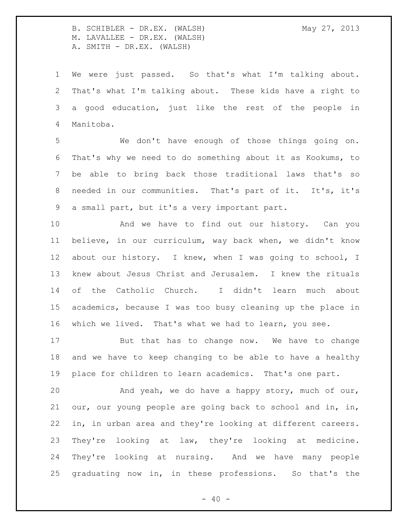We were just passed. So that's what I'm talking about. That's what I'm talking about. These kids have a right to a good education, just like the rest of the people in Manitoba.

 We don't have enough of those things going on. That's why we need to do something about it as Kookums, to be able to bring back those traditional laws that's so needed in our communities. That's part of it. It's, it's a small part, but it's a very important part.

 And we have to find out our history. Can you believe, in our curriculum, way back when, we didn't know about our history. I knew, when I was going to school, I knew about Jesus Christ and Jerusalem. I knew the rituals of the Catholic Church. I didn't learn much about academics, because I was too busy cleaning up the place in which we lived. That's what we had to learn, you see.

 But that has to change now. We have to change and we have to keep changing to be able to have a healthy place for children to learn academics. That's one part.

 And yeah, we do have a happy story, much of our, our, our young people are going back to school and in, in, in, in urban area and they're looking at different careers. They're looking at law, they're looking at medicine. They're looking at nursing. And we have many people graduating now in, in these professions. So that's the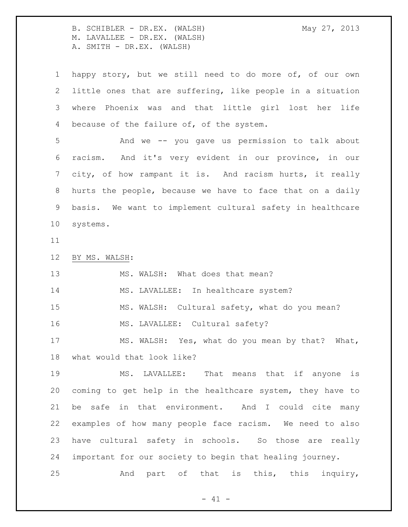| $\mathbf 1$     | happy story, but we still need to do more of, of our own   |
|-----------------|------------------------------------------------------------|
| 2               | little ones that are suffering, like people in a situation |
| 3               | where Phoenix was and that little girl lost her life       |
| 4               | because of the failure of, of the system.                  |
| 5               | And we -- you gave us permission to talk about             |
| 6               | racism. And it's very evident in our province, in our      |
| $7\phantom{.0}$ | city, of how rampant it is. And racism hurts, it really    |
| 8               | hurts the people, because we have to face that on a daily  |
| 9               | basis. We want to implement cultural safety in healthcare  |
| 10 <sub>o</sub> | systems.                                                   |
| 11              |                                                            |
| 12              | BY MS. WALSH:                                              |
| 13              | MS. WALSH: What does that mean?                            |
| 14              | MS. LAVALLEE: In healthcare system?                        |
| 15              | MS. WALSH: Cultural safety, what do you mean?              |
| 16              | MS. LAVALLEE: Cultural safety?                             |
| 17              | MS. WALSH: Yes, what do you mean by that? What,            |
| 18              | what would that look like?                                 |
| 19              | MS. LAVALLEE: That means that if anyone is                 |
| 20              | coming to get help in the healthcare system, they have to  |
| 21              | be safe in that environment. And I could cite many         |
| 22              | examples of how many people face racism. We need to also   |
| 23              | have cultural safety in schools. So those are really       |
| 24              | important for our society to begin that healing journey.   |
| 25              | And part of that is this, this inquiry,                    |

- 41 -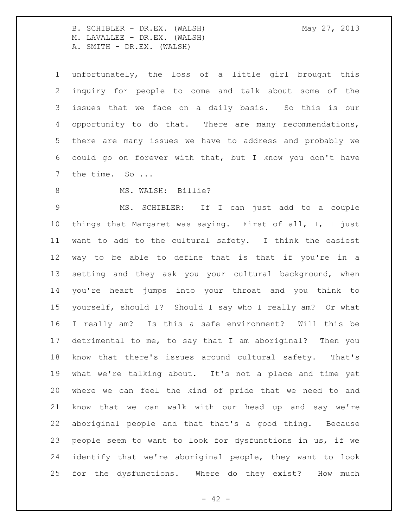unfortunately, the loss of a little girl brought this inquiry for people to come and talk about some of the issues that we face on a daily basis. So this is our opportunity to do that. There are many recommendations, there are many issues we have to address and probably we could go on forever with that, but I know you don't have 7 the time. So ...

## 8 MS. WALSH: Billie?

 MS. SCHIBLER: If I can just add to a couple things that Margaret was saying. First of all, I, I just want to add to the cultural safety. I think the easiest way to be able to define that is that if you're in a setting and they ask you your cultural background, when you're heart jumps into your throat and you think to yourself, should I? Should I say who I really am? Or what I really am? Is this a safe environment? Will this be detrimental to me, to say that I am aboriginal? Then you know that there's issues around cultural safety. That's what we're talking about. It's not a place and time yet where we can feel the kind of pride that we need to and know that we can walk with our head up and say we're aboriginal people and that that's a good thing. Because people seem to want to look for dysfunctions in us, if we identify that we're aboriginal people, they want to look for the dysfunctions. Where do they exist? How much

 $- 42 -$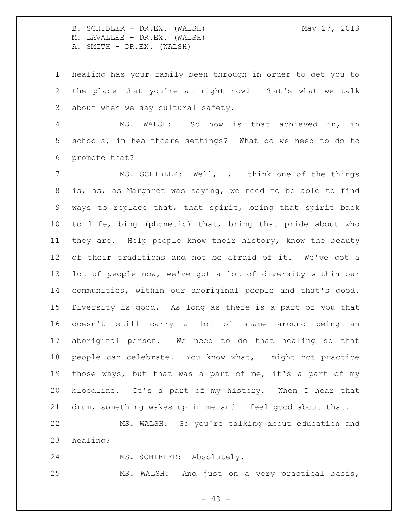healing has your family been through in order to get you to the place that you're at right now? That's what we talk about when we say cultural safety.

 MS. WALSH: So how is that achieved in, in schools, in healthcare settings? What do we need to do to promote that?

 MS. SCHIBLER: Well, I, I think one of the things is, as, as Margaret was saying, we need to be able to find ways to replace that, that spirit, bring that spirit back to life, bing (phonetic) that, bring that pride about who they are. Help people know their history, know the beauty of their traditions and not be afraid of it. We've got a lot of people now, we've got a lot of diversity within our communities, within our aboriginal people and that's good. Diversity is good. As long as there is a part of you that doesn't still carry a lot of shame around being an aboriginal person. We need to do that healing so that people can celebrate. You know what, I might not practice those ways, but that was a part of me, it's a part of my bloodline. It's a part of my history. When I hear that drum, something wakes up in me and I feel good about that.

 MS. WALSH: So you're talking about education and healing?

MS. SCHIBLER: Absolutely.

MS. WALSH: And just on a very practical basis,

- 43 -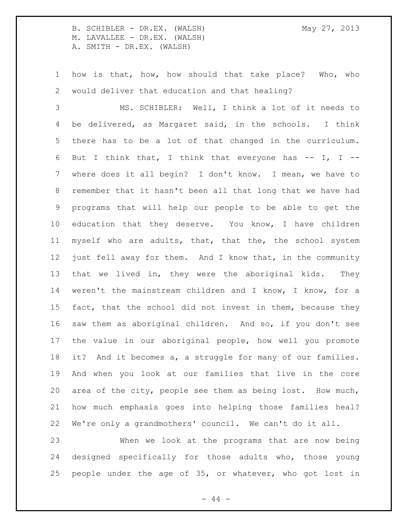how is that, how, how should that take place? Who, who would deliver that education and that healing?

 MS. SCHIBLER: Well, I think a lot of it needs to be delivered, as Margaret said, in the schools. I think there has to be a lot of that changed in the curriculum. 6 But I think that, I think that everyone has  $-$ - I, I  $-$  where does it all begin? I don't know. I mean, we have to remember that it hasn't been all that long that we have had programs that will help our people to be able to get the education that they deserve. You know, I have children myself who are adults, that, that the, the school system 12 just fell away for them. And I know that, in the community that we lived in, they were the aboriginal kids. They weren't the mainstream children and I know, I know, for a 15 fact, that the school did not invest in them, because they saw them as aboriginal children. And so, if you don't see the value in our aboriginal people, how well you promote it? And it becomes a, a struggle for many of our families. And when you look at our families that live in the core area of the city, people see them as being lost. How much, how much emphasis goes into helping those families heal? We're only a grandmothers' council. We can't do it all.

 When we look at the programs that are now being designed specifically for those adults who, those young people under the age of 35, or whatever, who got lost in

 $-44 -$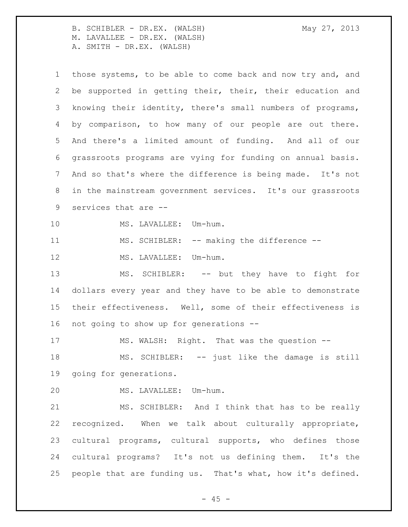those systems, to be able to come back and now try and, and be supported in getting their, their, their education and knowing their identity, there's small numbers of programs, by comparison, to how many of our people are out there. And there's a limited amount of funding. And all of our grassroots programs are vying for funding on annual basis. And so that's where the difference is being made. It's not in the mainstream government services. It's our grassroots services that are -- 10 MS. LAVALLEE: Um-hum. MS. SCHIBLER: -- making the difference -- 12 MS. LAVALLEE: Um-hum.

13 MS. SCHIBLER: -- but they have to fight for dollars every year and they have to be able to demonstrate their effectiveness. Well, some of their effectiveness is not going to show up for generations --

17 MS. WALSH: Right. That was the question --

 MS. SCHIBLER: -- just like the damage is still going for generations.

MS. LAVALLEE: Um-hum.

 MS. SCHIBLER: And I think that has to be really recognized. When we talk about culturally appropriate, cultural programs, cultural supports, who defines those cultural programs? It's not us defining them. It's the people that are funding us. That's what, how it's defined.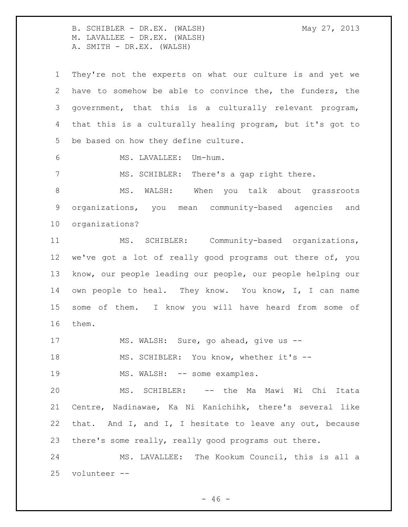They're not the experts on what our culture is and yet we have to somehow be able to convince the, the funders, the government, that this is a culturally relevant program, that this is a culturally healing program, but it's got to be based on how they define culture. MS. LAVALLEE: Um-hum. MS. SCHIBLER: There's a gap right there. 8 MS. WALSH: When you talk about grassroots organizations, you mean community-based agencies and organizations? MS. SCHIBLER: Community-based organizations, we've got a lot of really good programs out there of, you know, our people leading our people, our people helping our own people to heal. They know. You know, I, I can name some of them. I know you will have heard from some of them. 17 MS. WALSH: Sure, go ahead, give us -- MS. SCHIBLER: You know, whether it's -- 19 MS. WALSH: -- some examples. MS. SCHIBLER: -- the Ma Mawi Wi Chi Itata Centre, Nadinawae, Ka Ni Kanichihk, there's several like that. And I, and I, I hesitate to leave any out, because there's some really, really good programs out there. MS. LAVALLEE: The Kookum Council, this is all a volunteer --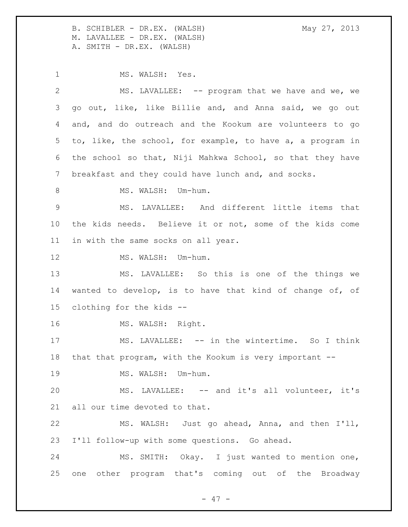## 1 MS. WALSH: Yes. MS. LAVALLEE: -- program that we have and we, we go out, like, like Billie and, and Anna said, we go out and, and do outreach and the Kookum are volunteers to go to, like, the school, for example, to have a, a program in the school so that, Niji Mahkwa School, so that they have breakfast and they could have lunch and, and socks. 8 MS. WALSH: Um-hum. MS. LAVALLEE: And different little items that the kids needs. Believe it or not, some of the kids come in with the same socks on all year. 12 MS. WALSH: Um-hum. MS. LAVALLEE: So this is one of the things we wanted to develop, is to have that kind of change of, of clothing for the kids -- 16 MS. WALSH: Right. MS. LAVALLEE: -- in the wintertime. So I think that that program, with the Kookum is very important -- 19 MS. WALSH: Um-hum. MS. LAVALLEE: -- and it's all volunteer, it's all our time devoted to that. MS. WALSH: Just go ahead, Anna, and then I'll, I'll follow-up with some questions. Go ahead. MS. SMITH: Okay. I just wanted to mention one, one other program that's coming out of the Broadway

- 47 -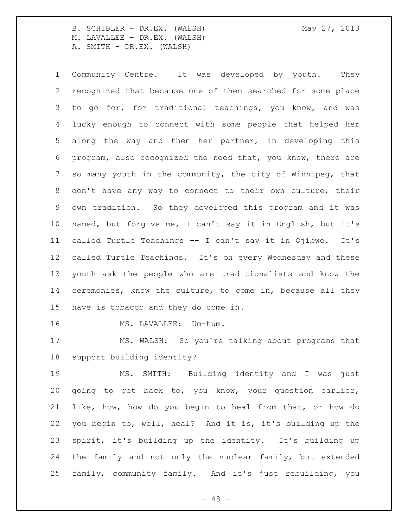Community Centre. It was developed by youth. They recognized that because one of them searched for some place to go for, for traditional teachings, you know, and was lucky enough to connect with some people that helped her along the way and then her partner, in developing this program, also recognized the need that, you know, there are so many youth in the community, the city of Winnipeg, that don't have any way to connect to their own culture, their own tradition. So they developed this program and it was named, but forgive me, I can't say it in English, but it's called Turtle Teachings -- I can't say it in Ojibwe. It's called Turtle Teachings. It's on every Wednesday and these youth ask the people who are traditionalists and know the ceremonies, know the culture, to come in, because all they have is tobacco and they do come in.

16 MS. LAVALLEE: Um-hum.

 MS. WALSH: So you're talking about programs that support building identity?

 MS. SMITH: Building identity and I was just going to get back to, you know, your question earlier, like, how, how do you begin to heal from that, or how do you begin to, well, heal? And it is, it's building up the spirit, it's building up the identity. It's building up the family and not only the nuclear family, but extended family, community family. And it's just rebuilding, you

 $- 48 -$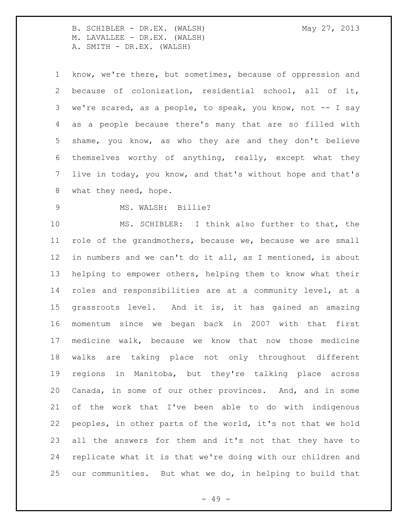know, we're there, but sometimes, because of oppression and because of colonization, residential school, all of it, we're scared, as a people, to speak, you know, not -- I say as a people because there's many that are so filled with shame, you know, as who they are and they don't believe themselves worthy of anything, really, except what they live in today, you know, and that's without hope and that's what they need, hope.

### 9 MS. WALSH: Billie?

 MS. SCHIBLER: I think also further to that, the role of the grandmothers, because we, because we are small in numbers and we can't do it all, as I mentioned, is about helping to empower others, helping them to know what their roles and responsibilities are at a community level, at a grassroots level. And it is, it has gained an amazing momentum since we began back in 2007 with that first medicine walk, because we know that now those medicine walks are taking place not only throughout different regions in Manitoba, but they're talking place across Canada, in some of our other provinces. And, and in some of the work that I've been able to do with indigenous peoples, in other parts of the world, it's not that we hold all the answers for them and it's not that they have to replicate what it is that we're doing with our children and our communities. But what we do, in helping to build that

- 49 -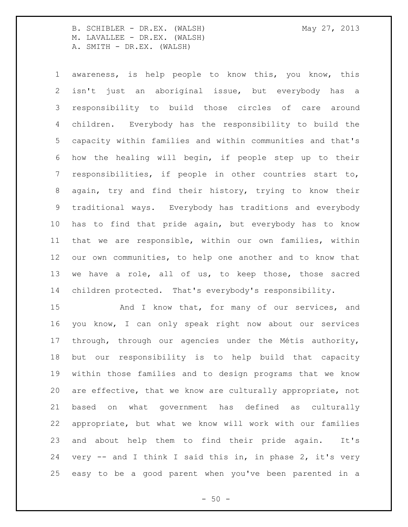awareness, is help people to know this, you know, this isn't just an aboriginal issue, but everybody has a responsibility to build those circles of care around children. Everybody has the responsibility to build the capacity within families and within communities and that's how the healing will begin, if people step up to their responsibilities, if people in other countries start to, again, try and find their history, trying to know their traditional ways. Everybody has traditions and everybody has to find that pride again, but everybody has to know that we are responsible, within our own families, within our own communities, to help one another and to know that we have a role, all of us, to keep those, those sacred children protected. That's everybody's responsibility.

15 And I know that, for many of our services, and you know, I can only speak right now about our services through, through our agencies under the Métis authority, but our responsibility is to help build that capacity within those families and to design programs that we know are effective, that we know are culturally appropriate, not based on what government has defined as culturally appropriate, but what we know will work with our families and about help them to find their pride again. It's very -- and I think I said this in, in phase 2, it's very easy to be a good parent when you've been parented in a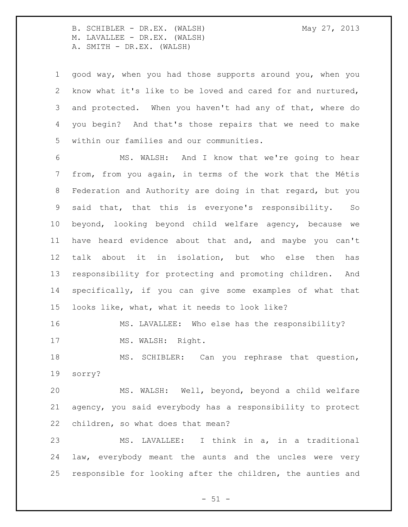good way, when you had those supports around you, when you know what it's like to be loved and cared for and nurtured, and protected. When you haven't had any of that, where do you begin? And that's those repairs that we need to make within our families and our communities. MS. WALSH: And I know that we're going to hear from, from you again, in terms of the work that the Métis Federation and Authority are doing in that regard, but you said that, that this is everyone's responsibility. So beyond, looking beyond child welfare agency, because we have heard evidence about that and, and maybe you can't talk about it in isolation, but who else then has responsibility for protecting and promoting children. And

 specifically, if you can give some examples of what that looks like, what, what it needs to look like?

 MS. LAVALLEE: Who else has the responsibility? 17 MS. WALSH: Right.

 MS. SCHIBLER: Can you rephrase that question, sorry?

 MS. WALSH: Well, beyond, beyond a child welfare agency, you said everybody has a responsibility to protect children, so what does that mean?

 MS. LAVALLEE: I think in a, in a traditional law, everybody meant the aunts and the uncles were very responsible for looking after the children, the aunties and

 $- 51 -$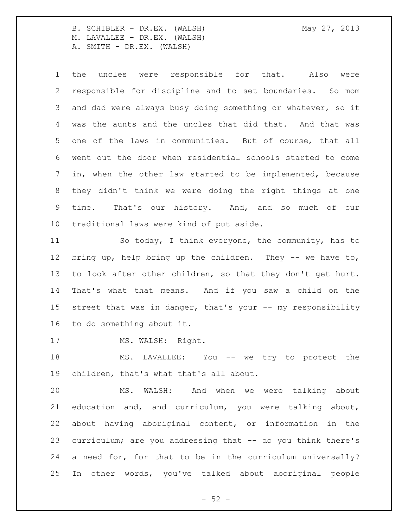the uncles were responsible for that. Also were responsible for discipline and to set boundaries. So mom and dad were always busy doing something or whatever, so it was the aunts and the uncles that did that. And that was one of the laws in communities. But of course, that all went out the door when residential schools started to come in, when the other law started to be implemented, because they didn't think we were doing the right things at one time. That's our history. And, and so much of our traditional laws were kind of put aside.

 So today, I think everyone, the community, has to bring up, help bring up the children. They -- we have to, to look after other children, so that they don't get hurt. That's what that means. And if you saw a child on the street that was in danger, that's your -- my responsibility to do something about it.

17 MS. WALSH: Right.

18 MS. LAVALLEE: You -- we try to protect the children, that's what that's all about.

 MS. WALSH: And when we were talking about education and, and curriculum, you were talking about, about having aboriginal content, or information in the curriculum; are you addressing that -- do you think there's a need for, for that to be in the curriculum universally? In other words, you've talked about aboriginal people

 $-52 -$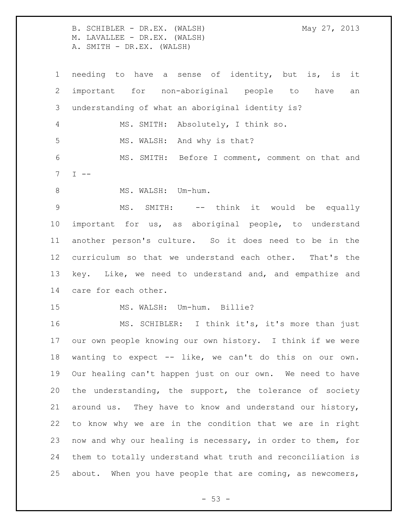needing to have a sense of identity, but is, is it important for non-aboriginal people to have an understanding of what an aboriginal identity is? MS. SMITH: Absolutely, I think so. MS. WALSH: And why is that? MS. SMITH: Before I comment, comment on that and T  $--$ 8 MS. WALSH: Um-hum. MS. SMITH: -- think it would be equally important for us, as aboriginal people, to understand another person's culture. So it does need to be in the curriculum so that we understand each other. That's the key. Like, we need to understand and, and empathize and care for each other. MS. WALSH: Um-hum. Billie? MS. SCHIBLER: I think it's, it's more than just our own people knowing our own history. I think if we were wanting to expect -- like, we can't do this on our own. Our healing can't happen just on our own. We need to have the understanding, the support, the tolerance of society around us. They have to know and understand our history, to know why we are in the condition that we are in right now and why our healing is necessary, in order to them, for them to totally understand what truth and reconciliation is about. When you have people that are coming, as newcomers,

 $-53 -$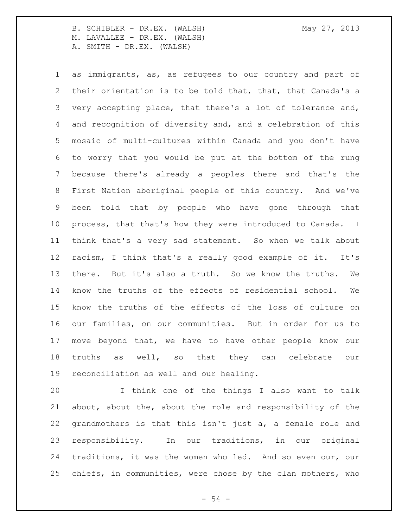as immigrants, as, as refugees to our country and part of their orientation is to be told that, that, that Canada's a very accepting place, that there's a lot of tolerance and, and recognition of diversity and, and a celebration of this mosaic of multi-cultures within Canada and you don't have to worry that you would be put at the bottom of the rung because there's already a peoples there and that's the First Nation aboriginal people of this country. And we've been told that by people who have gone through that process, that that's how they were introduced to Canada. I think that's a very sad statement. So when we talk about racism, I think that's a really good example of it. It's there. But it's also a truth. So we know the truths. We know the truths of the effects of residential school. We know the truths of the effects of the loss of culture on our families, on our communities. But in order for us to move beyond that, we have to have other people know our truths as well, so that they can celebrate our reconciliation as well and our healing.

 I think one of the things I also want to talk about, about the, about the role and responsibility of the grandmothers is that this isn't just a, a female role and responsibility. In our traditions, in our original traditions, it was the women who led. And so even our, our chiefs, in communities, were chose by the clan mothers, who

 $-54 -$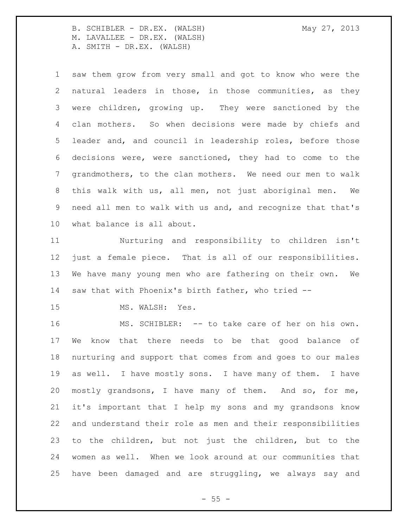saw them grow from very small and got to know who were the natural leaders in those, in those communities, as they were children, growing up. They were sanctioned by the clan mothers. So when decisions were made by chiefs and leader and, and council in leadership roles, before those decisions were, were sanctioned, they had to come to the grandmothers, to the clan mothers. We need our men to walk this walk with us, all men, not just aboriginal men. We need all men to walk with us and, and recognize that that's what balance is all about.

 Nurturing and responsibility to children isn't just a female piece. That is all of our responsibilities. We have many young men who are fathering on their own. We saw that with Phoenix's birth father, who tried --

15 MS. WALSH: Yes.

 MS. SCHIBLER: -- to take care of her on his own. We know that there needs to be that good balance of nurturing and support that comes from and goes to our males as well. I have mostly sons. I have many of them. I have mostly grandsons, I have many of them. And so, for me, it's important that I help my sons and my grandsons know and understand their role as men and their responsibilities to the children, but not just the children, but to the women as well. When we look around at our communities that have been damaged and are struggling, we always say and

 $-55 -$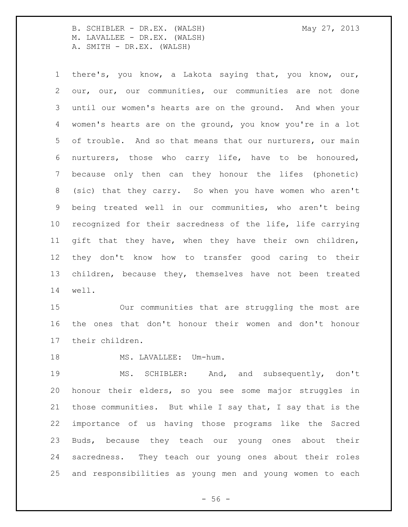there's, you know, a Lakota saying that, you know, our, our, our, our communities, our communities are not done until our women's hearts are on the ground. And when your women's hearts are on the ground, you know you're in a lot of trouble. And so that means that our nurturers, our main nurturers, those who carry life, have to be honoured, because only then can they honour the lifes (phonetic) (sic) that they carry. So when you have women who aren't being treated well in our communities, who aren't being recognized for their sacredness of the life, life carrying gift that they have, when they have their own children, they don't know how to transfer good caring to their children, because they, themselves have not been treated well.

 Our communities that are struggling the most are the ones that don't honour their women and don't honour their children.

18 MS. LAVALLEE: Um-hum.

 MS. SCHIBLER: And, and subsequently, don't honour their elders, so you see some major struggles in those communities. But while I say that, I say that is the importance of us having those programs like the Sacred Buds, because they teach our young ones about their sacredness. They teach our young ones about their roles and responsibilities as young men and young women to each

 $-56 -$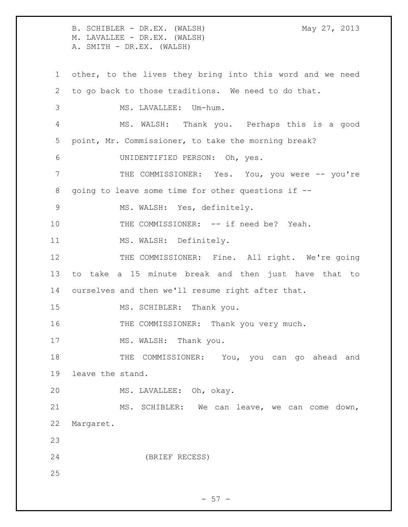B. SCHIBLER - DR.EX. (WALSH) May 27, 2013 M. LAVALLEE - DR.EX. (WALSH) A. SMITH - DR.EX. (WALSH) other, to the lives they bring into this word and we need to go back to those traditions. We need to do that. MS. LAVALLEE: Um-hum. MS. WALSH: Thank you. Perhaps this is a good point, Mr. Commissioner, to take the morning break? UNIDENTIFIED PERSON: Oh, yes. 7 THE COMMISSIONER: Yes. You, you were -- you're going to leave some time for other questions if -- MS. WALSH: Yes, definitely. 10 THE COMMISSIONER: -- if need be? Yeah. 11 MS. WALSH: Definitely. THE COMMISSIONER: Fine. All right. We're going to take a 15 minute break and then just have that to ourselves and then we'll resume right after that. 15 MS. SCHIBLER: Thank you. 16 THE COMMISSIONER: Thank you very much. 17 MS. WALSH: Thank you. THE COMMISSIONER: You, you can go ahead and leave the stand. MS. LAVALLEE: Oh, okay. 21 MS. SCHIBLER: We can leave, we can come down, Margaret. (BRIEF RECESS) 

 $-57 -$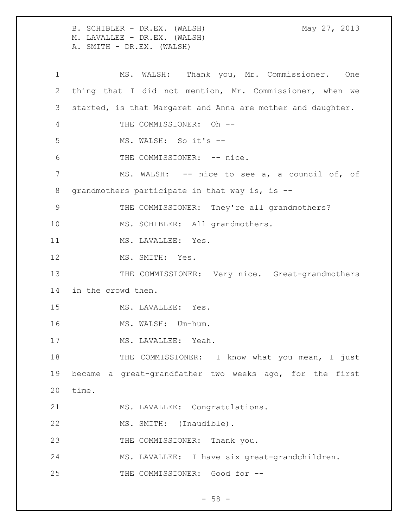B. SCHIBLER - DR.EX. (WALSH) May 27, 2013 M. LAVALLEE - DR.EX. (WALSH) A. SMITH - DR.EX. (WALSH) 1 MS. WALSH: Thank you, Mr. Commissioner. One 2 thing that I did not mention, Mr. Commissioner, when we 3 started, is that Margaret and Anna are mother and daughter. 4 THE COMMISSIONER: Oh -- 5 MS. WALSH: So it's -- 6 THE COMMISSIONER: -- nice. 7 MS. WALSH: -- nice to see a, a council of, of 8 grandmothers participate in that way is, is -- 9 THE COMMISSIONER: They're all grandmothers? 10 MS. SCHIBLER: All grandmothers. 11 MS. LAVALLEE: Yes. 12 MS. SMITH: Yes. 13 THE COMMISSIONER: Very nice. Great-grandmothers 14 in the crowd then. 15 MS. LAVALLEE: Yes. 16 MS. WALSH: Um-hum. 17 MS. LAVALLEE: Yeah. 18 THE COMMISSIONER: I know what you mean, I just 19 became a great-grandfather two weeks ago, for the first 20 time. 21 MS. LAVALLEE: Congratulations. 22 MS. SMITH: (Inaudible). 23 THE COMMISSIONER: Thank you. 24 MS. LAVALLEE: I have six great-grandchildren. 25 THE COMMISSIONER: Good for --

 $-58 -$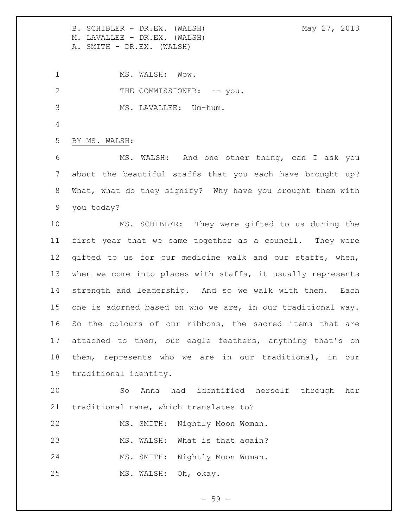1 MS. WALSH: Wow. 2 THE COMMISSIONER: -- you. MS. LAVALLEE: Um-hum.

BY MS. WALSH:

 MS. WALSH: And one other thing, can I ask you about the beautiful staffs that you each have brought up? What, what do they signify? Why have you brought them with you today?

 MS. SCHIBLER: They were gifted to us during the first year that we came together as a council. They were gifted to us for our medicine walk and our staffs, when, when we come into places with staffs, it usually represents strength and leadership. And so we walk with them. Each one is adorned based on who we are, in our traditional way. So the colours of our ribbons, the sacred items that are attached to them, our eagle feathers, anything that's on them, represents who we are in our traditional, in our traditional identity.

 So Anna had identified herself through her traditional name, which translates to?

 MS. SMITH: Nightly Moon Woman. 23 MS. WALSH: What is that again? MS. SMITH: Nightly Moon Woman. MS. WALSH: Oh, okay.

- 59 -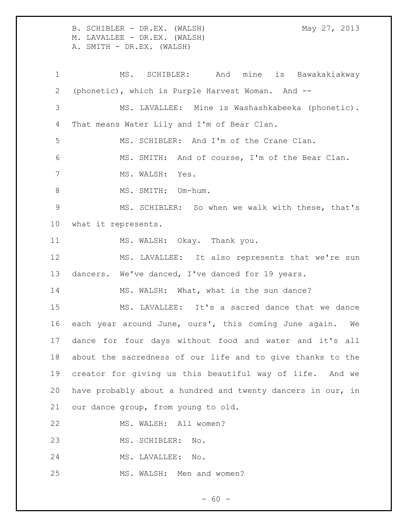B. SCHIBLER - DR.EX. (WALSH) May 27, 2013 M. LAVALLEE - DR.EX. (WALSH) A. SMITH - DR.EX. (WALSH) MS. SCHIBLER: And mine is Bawakakiakway (phonetic), which is Purple Harvest Woman. And -- MS. LAVALLEE: Mine is Washashkabeeka (phonetic). That means Water Lily and I'm of Bear Clan. MS. SCHIBLER: And I'm of the Crane Clan. MS. SMITH: And of course, I'm of the Bear Clan. MS. WALSH: Yes. 8 MS. SMITH: Um-hum. MS. SCHIBLER: So when we walk with these, that's what it represents. 11 MS. WALSH: Okay. Thank you. MS. LAVALLEE: It also represents that we're sun dancers. We've danced, I've danced for 19 years. 14 MS. WALSH: What, what is the sun dance? MS. LAVALLEE: It's a sacred dance that we dance each year around June, ours', this coming June again. We dance for four days without food and water and it's all about the sacredness of our life and to give thanks to the creator for giving us this beautiful way of life. And we have probably about a hundred and twenty dancers in our, in our dance group, from young to old. MS. WALSH: All women? MS. SCHIBLER: No. MS. LAVALLEE: No. 25 MS. WALSH: Men and women?

 $- 60 -$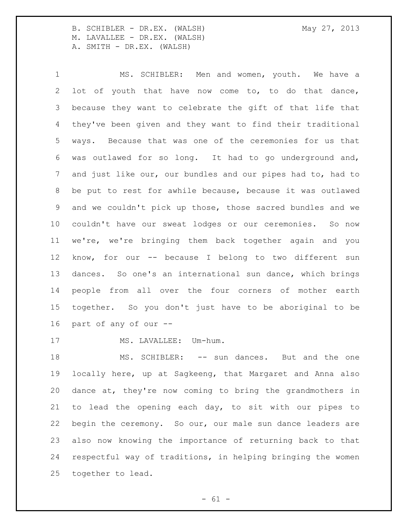MS. SCHIBLER: Men and women, youth. We have a lot of youth that have now come to, to do that dance, because they want to celebrate the gift of that life that they've been given and they want to find their traditional ways. Because that was one of the ceremonies for us that was outlawed for so long. It had to go underground and, and just like our, our bundles and our pipes had to, had to be put to rest for awhile because, because it was outlawed and we couldn't pick up those, those sacred bundles and we couldn't have our sweat lodges or our ceremonies. So now we're, we're bringing them back together again and you know, for our -- because I belong to two different sun dances. So one's an international sun dance, which brings people from all over the four corners of mother earth together. So you don't just have to be aboriginal to be part of any of our --

17 MS. LAVALLEE: Um-hum.

 MS. SCHIBLER: -- sun dances. But and the one locally here, up at Sagkeeng, that Margaret and Anna also dance at, they're now coming to bring the grandmothers in to lead the opening each day, to sit with our pipes to begin the ceremony. So our, our male sun dance leaders are also now knowing the importance of returning back to that respectful way of traditions, in helping bringing the women together to lead.

 $- 61 -$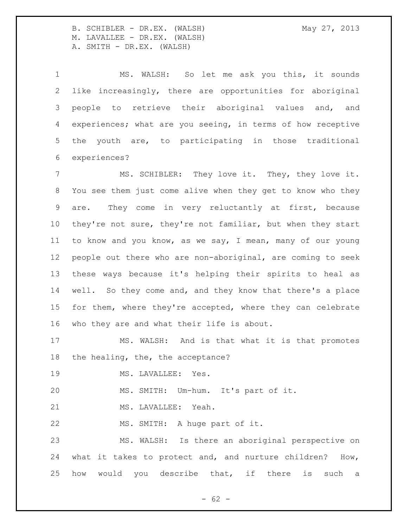MS. WALSH: So let me ask you this, it sounds like increasingly, there are opportunities for aboriginal people to retrieve their aboriginal values and, and experiences; what are you seeing, in terms of how receptive the youth are, to participating in those traditional experiences?

 MS. SCHIBLER: They love it. They, they love it. You see them just come alive when they get to know who they are. They come in very reluctantly at first, because they're not sure, they're not familiar, but when they start to know and you know, as we say, I mean, many of our young people out there who are non-aboriginal, are coming to seek these ways because it's helping their spirits to heal as well. So they come and, and they know that there's a place 15 for them, where they're accepted, where they can celebrate who they are and what their life is about.

 MS. WALSH: And is that what it is that promotes the healing, the, the acceptance?

19 MS. LAVALLEE: Yes.

MS. SMITH: Um-hum. It's part of it.

MS. LAVALLEE: Yeah.

MS. SMITH: A huge part of it.

 MS. WALSH: Is there an aboriginal perspective on what it takes to protect and, and nurture children? How, how would you describe that, if there is such a

 $- 62 -$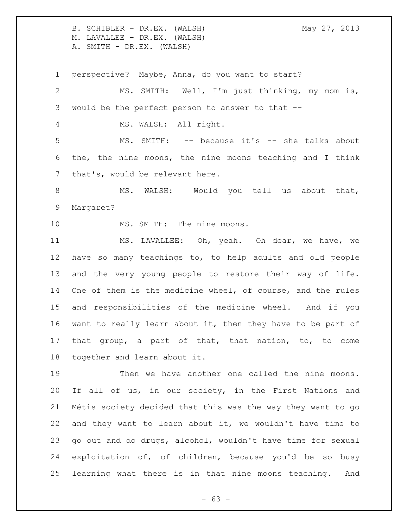perspective? Maybe, Anna, do you want to start? MS. SMITH: Well, I'm just thinking, my mom is, would be the perfect person to answer to that -- MS. WALSH: All right. MS. SMITH: -- because it's -- she talks about the, the nine moons, the nine moons teaching and I think that's, would be relevant here. 8 MS. WALSH: Would you tell us about that, Margaret? 10 MS. SMITH: The nine moons. MS. LAVALLEE: Oh, yeah. Oh dear, we have, we have so many teachings to, to help adults and old people and the very young people to restore their way of life. One of them is the medicine wheel, of course, and the rules and responsibilities of the medicine wheel. And if you 16 want to really learn about it, then they have to be part of that group, a part of that, that nation, to, to come together and learn about it. Then we have another one called the nine moons.

 If all of us, in our society, in the First Nations and Métis society decided that this was the way they want to go and they want to learn about it, we wouldn't have time to go out and do drugs, alcohol, wouldn't have time for sexual exploitation of, of children, because you'd be so busy learning what there is in that nine moons teaching. And

 $- 63 -$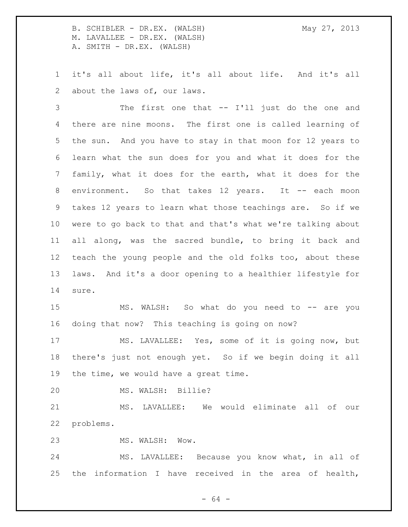it's all about life, it's all about life. And it's all about the laws of, our laws.

 The first one that -- I'll just do the one and there are nine moons. The first one is called learning of the sun. And you have to stay in that moon for 12 years to learn what the sun does for you and what it does for the family, what it does for the earth, what it does for the 8 environment. So that takes 12 years. It -- each moon takes 12 years to learn what those teachings are. So if we were to go back to that and that's what we're talking about all along, was the sacred bundle, to bring it back and teach the young people and the old folks too, about these laws. And it's a door opening to a healthier lifestyle for sure.

15 MS. WALSH: So what do you need to -- are you doing that now? This teaching is going on now?

 MS. LAVALLEE: Yes, some of it is going now, but there's just not enough yet. So if we begin doing it all the time, we would have a great time.

MS. WALSH: Billie?

 MS. LAVALLEE: We would eliminate all of our problems.

MS. WALSH: Wow.

 MS. LAVALLEE: Because you know what, in all of the information I have received in the area of health,

- 64 -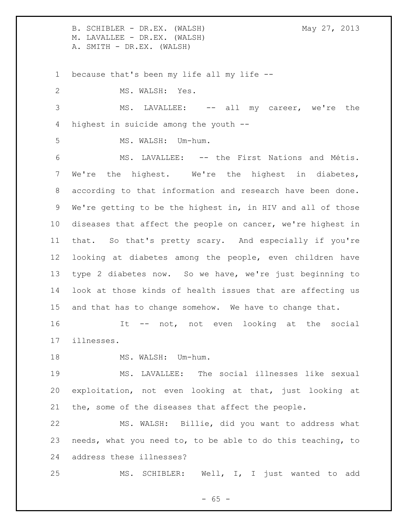B. SCHIBLER - DR.EX. (WALSH) May 27, 2013 M. LAVALLEE - DR.EX. (WALSH) A. SMITH - DR.EX. (WALSH) because that's been my life all my life -- MS. WALSH: Yes. MS. LAVALLEE: -- all my career, we're the highest in suicide among the youth -- MS. WALSH: Um-hum. MS. LAVALLEE: -- the First Nations and Métis. We're the highest. We're the highest in diabetes, according to that information and research have been done. We're getting to be the highest in, in HIV and all of those diseases that affect the people on cancer, we're highest in that. So that's pretty scary. And especially if you're looking at diabetes among the people, even children have type 2 diabetes now. So we have, we're just beginning to look at those kinds of health issues that are affecting us and that has to change somehow. We have to change that. It -- not, not even looking at the social illnesses. 18 MS. WALSH: Um-hum. MS. LAVALLEE: The social illnesses like sexual exploitation, not even looking at that, just looking at the, some of the diseases that affect the people. MS. WALSH: Billie, did you want to address what needs, what you need to, to be able to do this teaching, to address these illnesses? MS. SCHIBLER: Well, I, I just wanted to add

 $- 65 -$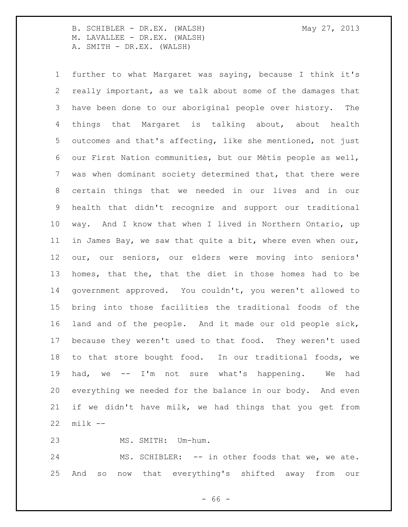further to what Margaret was saying, because I think it's really important, as we talk about some of the damages that have been done to our aboriginal people over history. The things that Margaret is talking about, about health outcomes and that's affecting, like she mentioned, not just our First Nation communities, but our Métis people as well, was when dominant society determined that, that there were certain things that we needed in our lives and in our health that didn't recognize and support our traditional way. And I know that when I lived in Northern Ontario, up in James Bay, we saw that quite a bit, where even when our, our, our seniors, our elders were moving into seniors' homes, that the, that the diet in those homes had to be government approved. You couldn't, you weren't allowed to bring into those facilities the traditional foods of the land and of the people. And it made our old people sick, because they weren't used to that food. They weren't used to that store bought food. In our traditional foods, we had, we -- I'm not sure what's happening. We had everything we needed for the balance in our body. And even if we didn't have milk, we had things that you get from milk --

MS. SMITH: Um-hum.

24 MS. SCHIBLER: -- in other foods that we, we ate. And so now that everything's shifted away from our

 $- 66 -$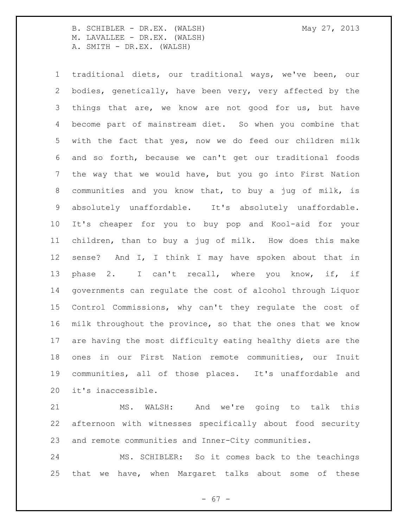traditional diets, our traditional ways, we've been, our bodies, genetically, have been very, very affected by the things that are, we know are not good for us, but have become part of mainstream diet. So when you combine that with the fact that yes, now we do feed our children milk and so forth, because we can't get our traditional foods the way that we would have, but you go into First Nation communities and you know that, to buy a jug of milk, is absolutely unaffordable. It's absolutely unaffordable. It's cheaper for you to buy pop and Kool-aid for your children, than to buy a jug of milk. How does this make sense? And I, I think I may have spoken about that in 13 phase 2. I can't recall, where you know, if, if governments can regulate the cost of alcohol through Liquor Control Commissions, why can't they regulate the cost of milk throughout the province, so that the ones that we know are having the most difficulty eating healthy diets are the ones in our First Nation remote communities, our Inuit communities, all of those places. It's unaffordable and

it's inaccessible.

 MS. WALSH: And we're going to talk this afternoon with witnesses specifically about food security and remote communities and Inner-City communities.

 MS. SCHIBLER: So it comes back to the teachings that we have, when Margaret talks about some of these

- 67 -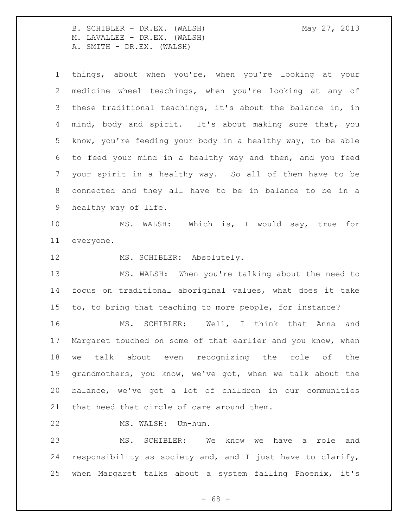things, about when you're, when you're looking at your medicine wheel teachings, when you're looking at any of these traditional teachings, it's about the balance in, in mind, body and spirit. It's about making sure that, you know, you're feeding your body in a healthy way, to be able to feed your mind in a healthy way and then, and you feed your spirit in a healthy way. So all of them have to be connected and they all have to be in balance to be in a healthy way of life.

 MS. WALSH: Which is, I would say, true for everyone.

12 MS. SCHIBLER: Absolutely.

 MS. WALSH: When you're talking about the need to focus on traditional aboriginal values, what does it take to, to bring that teaching to more people, for instance?

 MS. SCHIBLER: Well, I think that Anna and Margaret touched on some of that earlier and you know, when we talk about even recognizing the role of the grandmothers, you know, we've got, when we talk about the balance, we've got a lot of children in our communities that need that circle of care around them.

MS. WALSH: Um-hum.

 MS. SCHIBLER: We know we have a role and responsibility as society and, and I just have to clarify, when Margaret talks about a system failing Phoenix, it's

- 68 -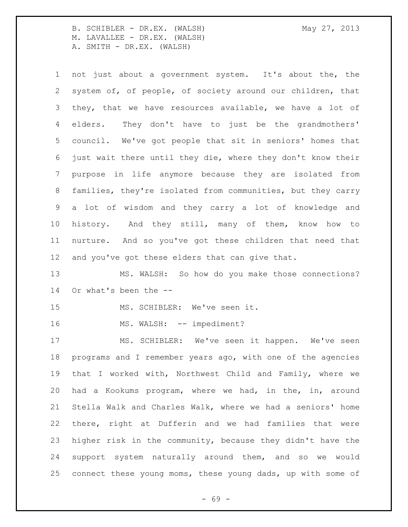not just about a government system. It's about the, the system of, of people, of society around our children, that they, that we have resources available, we have a lot of elders. They don't have to just be the grandmothers' council. We've got people that sit in seniors' homes that just wait there until they die, where they don't know their purpose in life anymore because they are isolated from families, they're isolated from communities, but they carry a lot of wisdom and they carry a lot of knowledge and history. And they still, many of them, know how to nurture. And so you've got these children that need that

and you've got these elders that can give that.

 MS. WALSH: So how do you make those connections? Or what's been the --

MS. SCHIBLER: We've seen it.

16 MS. WALSH: -- impediment?

 MS. SCHIBLER: We've seen it happen. We've seen programs and I remember years ago, with one of the agencies that I worked with, Northwest Child and Family, where we had a Kookums program, where we had, in the, in, around Stella Walk and Charles Walk, where we had a seniors' home there, right at Dufferin and we had families that were higher risk in the community, because they didn't have the support system naturally around them, and so we would connect these young moms, these young dads, up with some of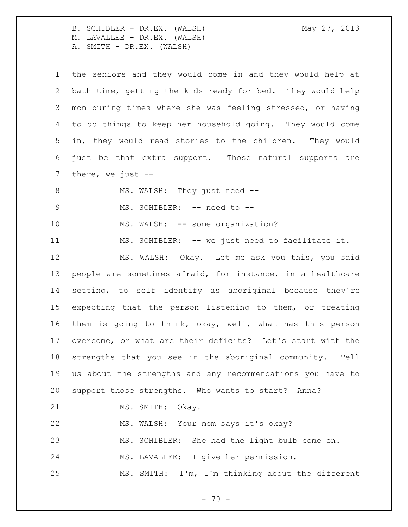the seniors and they would come in and they would help at bath time, getting the kids ready for bed. They would help mom during times where she was feeling stressed, or having to do things to keep her household going. They would come in, they would read stories to the children. They would just be that extra support. Those natural supports are there, we just -- 8 MS. WALSH: They just need --9 MS. SCHIBLER: -- need to --10 MS. WALSH: -- some organization? MS. SCHIBLER: -- we just need to facilitate it. MS. WALSH: Okay. Let me ask you this, you said people are sometimes afraid, for instance, in a healthcare setting, to self identify as aboriginal because they're expecting that the person listening to them, or treating them is going to think, okay, well, what has this person overcome, or what are their deficits? Let's start with the strengths that you see in the aboriginal community. Tell us about the strengths and any recommendations you have to support those strengths. Who wants to start? Anna? 21 MS. SMITH: Okay. MS. WALSH: Your mom says it's okay? MS. SCHIBLER: She had the light bulb come on. MS. LAVALLEE: I give her permission. MS. SMITH: I'm, I'm thinking about the different

 $- 70 -$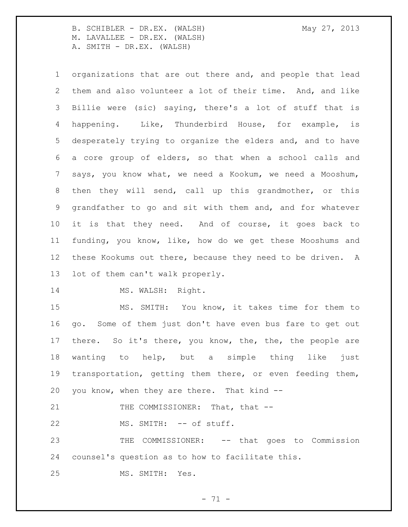organizations that are out there and, and people that lead them and also volunteer a lot of their time. And, and like Billie were (sic) saying, there's a lot of stuff that is happening. Like, Thunderbird House, for example, is

 desperately trying to organize the elders and, and to have a core group of elders, so that when a school calls and says, you know what, we need a Kookum, we need a Mooshum, then they will send, call up this grandmother, or this grandfather to go and sit with them and, and for whatever it is that they need. And of course, it goes back to funding, you know, like, how do we get these Mooshums and these Kookums out there, because they need to be driven. A lot of them can't walk properly.

14 MS. WALSH: Right.

 MS. SMITH: You know, it takes time for them to go. Some of them just don't have even bus fare to get out there. So it's there, you know, the, the, the people are wanting to help, but a simple thing like just transportation, getting them there, or even feeding them, you know, when they are there. That kind --

21 THE COMMISSIONER: That, that --

22 MS. SMITH: -- of stuff.

 THE COMMISSIONER: -- that goes to Commission counsel's question as to how to facilitate this.

MS. SMITH: Yes.

 $- 71 -$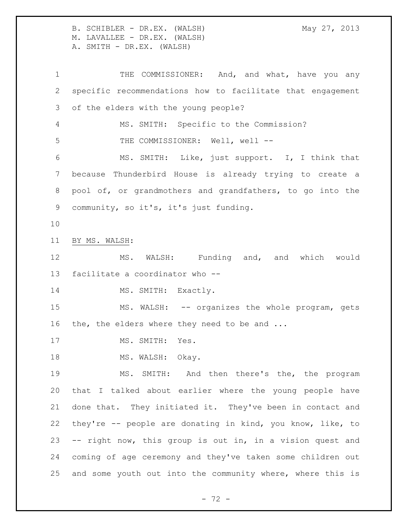THE COMMISSIONER: And, and what, have you any specific recommendations how to facilitate that engagement of the elders with the young people? MS. SMITH: Specific to the Commission? 5 THE COMMISSIONER: Well, well -- MS. SMITH: Like, just support. I, I think that because Thunderbird House is already trying to create a pool of, or grandmothers and grandfathers, to go into the community, so it's, it's just funding. BY MS. WALSH: MS. WALSH: Funding and, and which would facilitate a coordinator who -- 14 MS. SMITH: Exactly. MS. WALSH: -- organizes the whole program, gets 16 the, the elders where they need to be and ... 17 MS. SMITH: Yes. 18 MS. WALSH: Okay. MS. SMITH: And then there's the, the program that I talked about earlier where the young people have done that. They initiated it. They've been in contact and they're -- people are donating in kind, you know, like, to -- right now, this group is out in, in a vision quest and coming of age ceremony and they've taken some children out and some youth out into the community where, where this is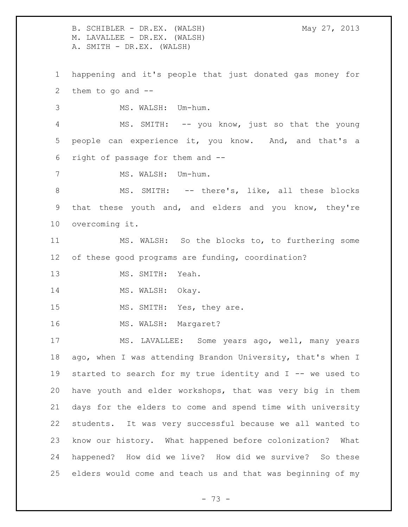B. SCHIBLER - DR.EX. (WALSH) May 27, 2013 M. LAVALLEE - DR.EX. (WALSH) A. SMITH - DR.EX. (WALSH) happening and it's people that just donated gas money for them to go and -- MS. WALSH: Um-hum. MS. SMITH: -- you know, just so that the young people can experience it, you know. And, and that's a right of passage for them and -- 7 MS. WALSH: Um-hum. 8 MS. SMITH: -- there's, like, all these blocks that these youth and, and elders and you know, they're overcoming it. MS. WALSH: So the blocks to, to furthering some of these good programs are funding, coordination? 13 MS. SMITH: Yeah. 14 MS. WALSH: Okay. 15 MS. SMITH: Yes, they are. MS. WALSH: Margaret? 17 MS. LAVALLEE: Some years ago, well, many years ago, when I was attending Brandon University, that's when I started to search for my true identity and I -- we used to have youth and elder workshops, that was very big in them days for the elders to come and spend time with university students. It was very successful because we all wanted to know our history. What happened before colonization? What happened? How did we live? How did we survive? So these elders would come and teach us and that was beginning of my

- 73 -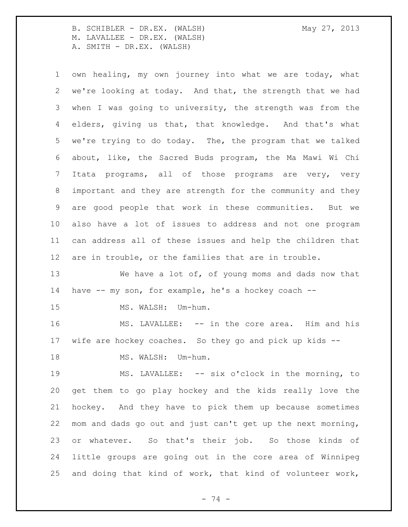own healing, my own journey into what we are today, what we're looking at today. And that, the strength that we had when I was going to university, the strength was from the elders, giving us that, that knowledge. And that's what we're trying to do today. The, the program that we talked about, like, the Sacred Buds program, the Ma Mawi Wi Chi Itata programs, all of those programs are very, very important and they are strength for the community and they are good people that work in these communities. But we also have a lot of issues to address and not one program can address all of these issues and help the children that are in trouble, or the families that are in trouble.

 We have a lot of, of young moms and dads now that have -- my son, for example, he's a hockey coach --

15 MS. WALSH: Um-hum.

 MS. LAVALLEE: -- in the core area. Him and his wife are hockey coaches. So they go and pick up kids --

18 MS. WALSH: Um-hum.

 MS. LAVALLEE: -- six o'clock in the morning, to get them to go play hockey and the kids really love the hockey. And they have to pick them up because sometimes mom and dads go out and just can't get up the next morning, or whatever. So that's their job. So those kinds of little groups are going out in the core area of Winnipeg and doing that kind of work, that kind of volunteer work,

- 74 -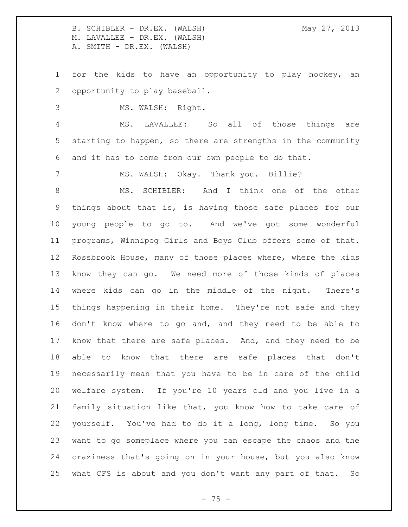for the kids to have an opportunity to play hockey, an opportunity to play baseball.

MS. WALSH: Right.

 MS. LAVALLEE: So all of those things are starting to happen, so there are strengths in the community and it has to come from our own people to do that.

7 MS. WALSH: Okay. Thank you. Billie?

8 MS. SCHIBLER: And I think one of the other things about that is, is having those safe places for our young people to go to. And we've got some wonderful programs, Winnipeg Girls and Boys Club offers some of that. Rossbrook House, many of those places where, where the kids know they can go. We need more of those kinds of places where kids can go in the middle of the night. There's things happening in their home. They're not safe and they don't know where to go and, and they need to be able to know that there are safe places. And, and they need to be able to know that there are safe places that don't necessarily mean that you have to be in care of the child welfare system. If you're 10 years old and you live in a family situation like that, you know how to take care of yourself. You've had to do it a long, long time. So you want to go someplace where you can escape the chaos and the craziness that's going on in your house, but you also know what CFS is about and you don't want any part of that. So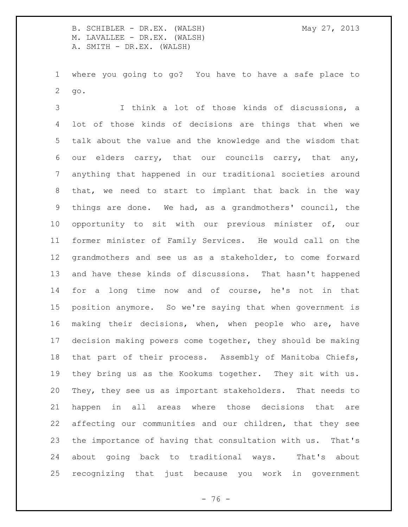where you going to go? You have to have a safe place to go.

 I think a lot of those kinds of discussions, a lot of those kinds of decisions are things that when we talk about the value and the knowledge and the wisdom that our elders carry, that our councils carry, that any, anything that happened in our traditional societies around that, we need to start to implant that back in the way things are done. We had, as a grandmothers' council, the 10 opportunity to sit with our previous minister of, our former minister of Family Services. He would call on the grandmothers and see us as a stakeholder, to come forward and have these kinds of discussions. That hasn't happened for a long time now and of course, he's not in that position anymore. So we're saying that when government is making their decisions, when, when people who are, have decision making powers come together, they should be making that part of their process. Assembly of Manitoba Chiefs, they bring us as the Kookums together. They sit with us. They, they see us as important stakeholders. That needs to happen in all areas where those decisions that are affecting our communities and our children, that they see the importance of having that consultation with us. That's about going back to traditional ways. That's about recognizing that just because you work in government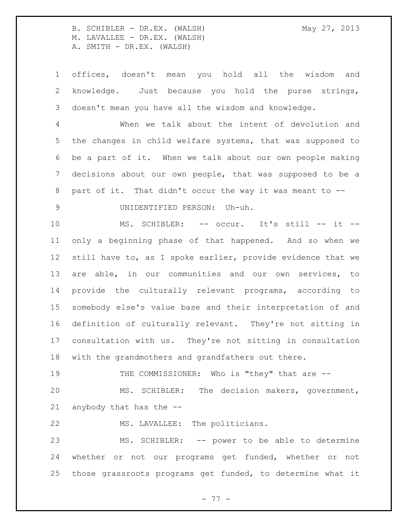offices, doesn't mean you hold all the wisdom and knowledge. Just because you hold the purse strings, doesn't mean you have all the wisdom and knowledge.

 When we talk about the intent of devolution and the changes in child welfare systems, that was supposed to be a part of it. When we talk about our own people making decisions about our own people, that was supposed to be a part of it. That didn't occur the way it was meant to --

UNIDENTIFIED PERSON: Uh-uh.

10 MS. SCHIBLER: -- occur. It's still -- it -- only a beginning phase of that happened. And so when we still have to, as I spoke earlier, provide evidence that we are able, in our communities and our own services, to provide the culturally relevant programs, according to somebody else's value base and their interpretation of and definition of culturally relevant. They're not sitting in consultation with us. They're not sitting in consultation with the grandmothers and grandfathers out there.

19 THE COMMISSIONER: Who is "they" that are --MS. SCHIBLER: The decision makers, government,

anybody that has the --

MS. LAVALLEE: The politicians.

 MS. SCHIBLER: -- power to be able to determine whether or not our programs get funded, whether or not those grassroots programs get funded, to determine what it

- 77 -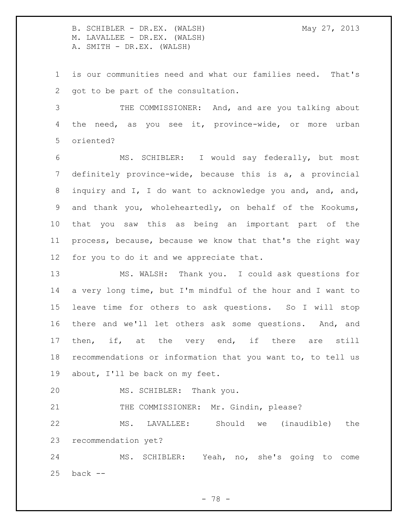is our communities need and what our families need. That's got to be part of the consultation.

 THE COMMISSIONER: And, and are you talking about 4 the need, as you see it, province-wide, or more urban oriented?

 MS. SCHIBLER: I would say federally, but most definitely province-wide, because this is a, a provincial inquiry and I, I do want to acknowledge you and, and, and, and thank you, wholeheartedly, on behalf of the Kookums, that you saw this as being an important part of the process, because, because we know that that's the right way for you to do it and we appreciate that.

 MS. WALSH: Thank you. I could ask questions for a very long time, but I'm mindful of the hour and I want to leave time for others to ask questions. So I will stop there and we'll let others ask some questions. And, and 17 then, if, at the very end, if there are still recommendations or information that you want to, to tell us about, I'll be back on my feet.

MS. SCHIBLER: Thank you.

21 THE COMMISSIONER: Mr. Gindin, please?

 MS. LAVALLEE: Should we (inaudible) the recommendation yet?

 MS. SCHIBLER: Yeah, no, she's going to come back --

- 78 -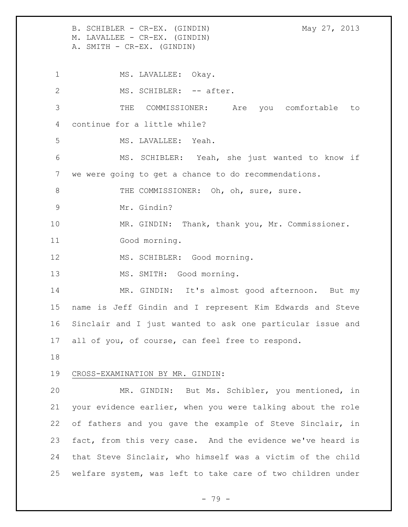B. SCHIBLER - CR-EX. (GINDIN) May 27, 2013 M. LAVALLEE - CR-EX. (GINDIN) A. SMITH - CR-EX. (GINDIN)

1 MS. LAVALLEE: Okay. 2 MS. SCHIBLER: -- after. THE COMMISSIONER: Are you comfortable to continue for a little while? MS. LAVALLEE: Yeah. MS. SCHIBLER: Yeah, she just wanted to know if we were going to get a chance to do recommendations. 8 THE COMMISSIONER: Oh, oh, sure, sure. Mr. Gindin? MR. GINDIN: Thank, thank you, Mr. Commissioner. Good morning. 12 MS. SCHIBLER: Good morning. 13 MS. SMITH: Good morning. MR. GINDIN: It's almost good afternoon. But my name is Jeff Gindin and I represent Kim Edwards and Steve Sinclair and I just wanted to ask one particular issue and all of you, of course, can feel free to respond. CROSS-EXAMINATION BY MR. GINDIN: MR. GINDIN: But Ms. Schibler, you mentioned, in your evidence earlier, when you were talking about the role 22 of fathers and you gave the example of Steve Sinclair, in fact, from this very case. And the evidence we've heard is that Steve Sinclair, who himself was a victim of the child welfare system, was left to take care of two children under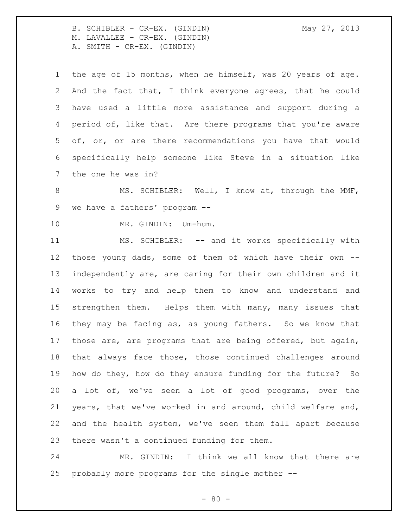B. SCHIBLER - CR-EX. (GINDIN) May 27, 2013 M. LAVALLEE - CR-EX. (GINDIN) A. SMITH - CR-EX. (GINDIN)

 the age of 15 months, when he himself, was 20 years of age. And the fact that, I think everyone agrees, that he could have used a little more assistance and support during a period of, like that. Are there programs that you're aware of, or, or are there recommendations you have that would specifically help someone like Steve in a situation like the one he was in?

8 MS. SCHIBLER: Well, I know at, through the MMF, we have a fathers' program --

MR. GINDIN: Um-hum.

11 MS. SCHIBLER: -- and it works specifically with those young dads, some of them of which have their own -- independently are, are caring for their own children and it works to try and help them to know and understand and strengthen them. Helps them with many, many issues that they may be facing as, as young fathers. So we know that those are, are programs that are being offered, but again, that always face those, those continued challenges around how do they, how do they ensure funding for the future? So a lot of, we've seen a lot of good programs, over the years, that we've worked in and around, child welfare and, and the health system, we've seen them fall apart because there wasn't a continued funding for them.

 MR. GINDIN: I think we all know that there are probably more programs for the single mother --

 $- 80 -$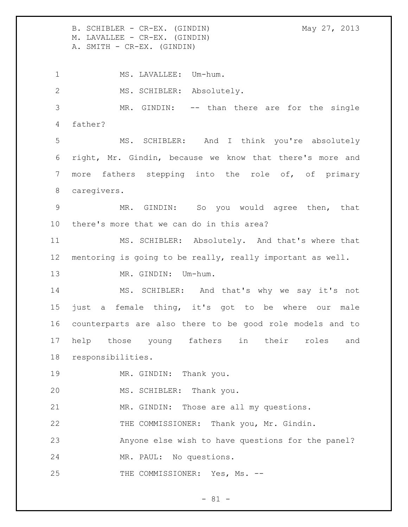B. SCHIBLER - CR-EX. (GINDIN) May 27, 2013 M. LAVALLEE - CR-EX. (GINDIN) A. SMITH - CR-EX. (GINDIN)

1 MS. LAVALLEE: Um-hum. MS. SCHIBLER: Absolutely. MR. GINDIN: -- than there are for the single father? MS. SCHIBLER: And I think you're absolutely right, Mr. Gindin, because we know that there's more and more fathers stepping into the role of, of primary caregivers. MR. GINDIN: So you would agree then, that there's more that we can do in this area? MS. SCHIBLER: Absolutely. And that's where that mentoring is going to be really, really important as well. 13 MR. GINDIN: Um-hum. MS. SCHIBLER: And that's why we say it's not just a female thing, it's got to be where our male counterparts are also there to be good role models and to help those young fathers in their roles and responsibilities. MR. GINDIN: Thank you. MS. SCHIBLER: Thank you. MR. GINDIN: Those are all my questions. THE COMMISSIONER: Thank you, Mr. Gindin. Anyone else wish to have questions for the panel? MR. PAUL: No questions. 25 THE COMMISSIONER: Yes, Ms. --

 $- 81 -$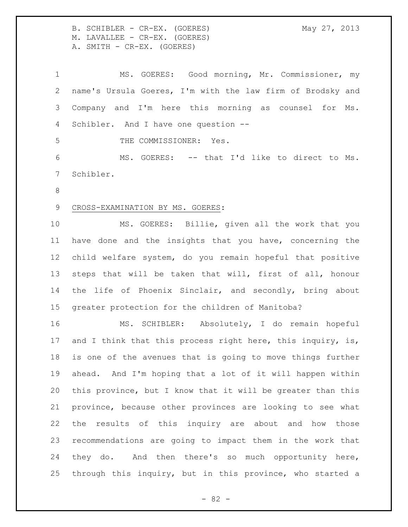B. SCHIBLER - CR-EX. (GOERES) May 27, 2013 M. LAVALLEE - CR-EX. (GOERES) A. SMITH - CR-EX. (GOERES)

 MS. GOERES: Good morning, Mr. Commissioner, my name's Ursula Goeres, I'm with the law firm of Brodsky and Company and I'm here this morning as counsel for Ms. Schibler. And I have one question -- THE COMMISSIONER: Yes. MS. GOERES: -- that I'd like to direct to Ms. Schibler. CROSS-EXAMINATION BY MS. GOERES: MS. GOERES: Billie, given all the work that you have done and the insights that you have, concerning the child welfare system, do you remain hopeful that positive steps that will be taken that will, first of all, honour the life of Phoenix Sinclair, and secondly, bring about greater protection for the children of Manitoba? MS. SCHIBLER: Absolutely, I do remain hopeful 17 and I think that this process right here, this inquiry, is, is one of the avenues that is going to move things further ahead. And I'm hoping that a lot of it will happen within this province, but I know that it will be greater than this province, because other provinces are looking to see what the results of this inquiry are about and how those recommendations are going to impact them in the work that they do. And then there's so much opportunity here, through this inquiry, but in this province, who started a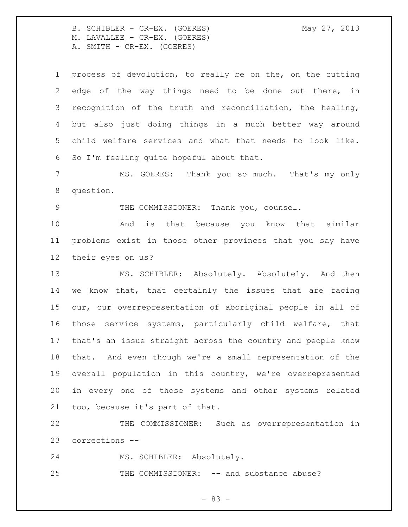B. SCHIBLER - CR-EX. (GOERES) May 27, 2013 M. LAVALLEE - CR-EX. (GOERES) A. SMITH - CR-EX. (GOERES)

 process of devolution, to really be on the, on the cutting edge of the way things need to be done out there, in recognition of the truth and reconciliation, the healing, but also just doing things in a much better way around child welfare services and what that needs to look like. So I'm feeling quite hopeful about that.

 MS. GOERES: Thank you so much. That's my only question.

9 THE COMMISSIONER: Thank you, counsel.

 And is that because you know that similar problems exist in those other provinces that you say have their eyes on us?

 MS. SCHIBLER: Absolutely. Absolutely. And then we know that, that certainly the issues that are facing our, our overrepresentation of aboriginal people in all of those service systems, particularly child welfare, that that's an issue straight across the country and people know that. And even though we're a small representation of the overall population in this country, we're overrepresented in every one of those systems and other systems related too, because it's part of that.

 THE COMMISSIONER: Such as overrepresentation in corrections --

MS. SCHIBLER: Absolutely.

25 THE COMMISSIONER: -- and substance abuse?

- 83 -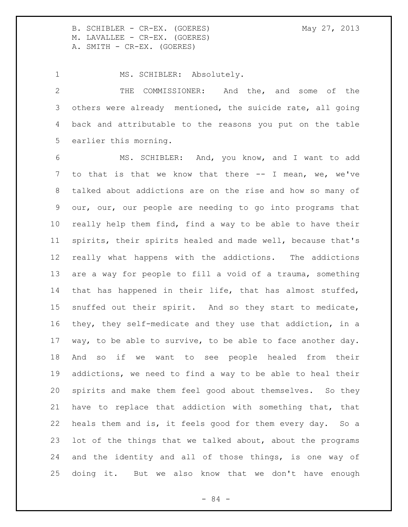B. SCHIBLER - CR-EX. (GOERES) May 27, 2013 M. LAVALLEE - CR-EX. (GOERES) A. SMITH - CR-EX. (GOERES)

1 MS. SCHIBLER: Absolutely.

 THE COMMISSIONER: And the, and some of the others were already mentioned, the suicide rate, all going back and attributable to the reasons you put on the table earlier this morning.

 MS. SCHIBLER: And, you know, and I want to add to that is that we know that there -- I mean, we, we've talked about addictions are on the rise and how so many of our, our, our people are needing to go into programs that really help them find, find a way to be able to have their spirits, their spirits healed and made well, because that's really what happens with the addictions. The addictions are a way for people to fill a void of a trauma, something that has happened in their life, that has almost stuffed, snuffed out their spirit. And so they start to medicate, they, they self-medicate and they use that addiction, in a way, to be able to survive, to be able to face another day. And so if we want to see people healed from their addictions, we need to find a way to be able to heal their spirits and make them feel good about themselves. So they have to replace that addiction with something that, that 22 heals them and is, it feels good for them every day. So a lot of the things that we talked about, about the programs and the identity and all of those things, is one way of doing it. But we also know that we don't have enough

- 84 -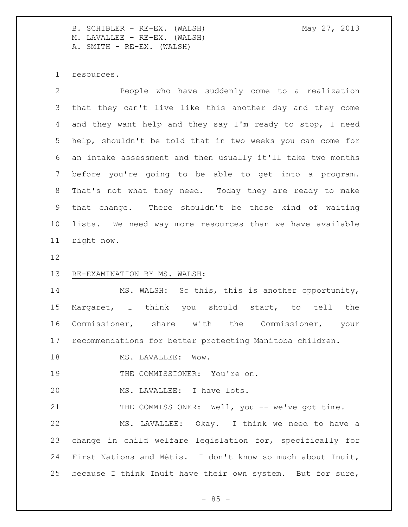resources.

 People who have suddenly come to a realization that they can't live like this another day and they come and they want help and they say I'm ready to stop, I need help, shouldn't be told that in two weeks you can come for an intake assessment and then usually it'll take two months before you're going to be able to get into a program. That's not what they need. Today they are ready to make that change. There shouldn't be those kind of waiting lists. We need way more resources than we have available right now. RE-EXAMINATION BY MS. WALSH: MS. WALSH: So this, this is another opportunity, Margaret, I think you should start, to tell the Commissioner, share with the Commissioner, your recommendations for better protecting Manitoba children. 18 MS. LAVALLEE: Wow. 19 THE COMMISSIONER: You're on. MS. LAVALLEE: I have lots. 21 THE COMMISSIONER: Well, you -- we've got time. MS. LAVALLEE: Okay. I think we need to have a change in child welfare legislation for, specifically for First Nations and Métis. I don't know so much about Inuit, because I think Inuit have their own system. But for sure,

 $- 85 -$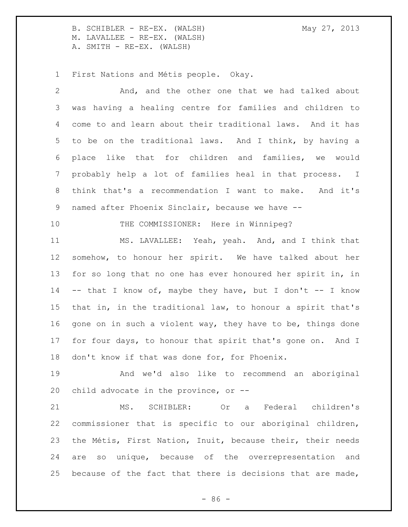First Nations and Métis people. Okay.

 And, and the other one that we had talked about was having a healing centre for families and children to come to and learn about their traditional laws. And it has to be on the traditional laws. And I think, by having a place like that for children and families, we would probably help a lot of families heal in that process. I think that's a recommendation I want to make. And it's named after Phoenix Sinclair, because we have -- 10 THE COMMISSIONER: Here in Winnipeg? MS. LAVALLEE: Yeah, yeah. And, and I think that somehow, to honour her spirit. We have talked about her for so long that no one has ever honoured her spirit in, in -- that I know of, maybe they have, but I don't -- I know that in, in the traditional law, to honour a spirit that's 16 gone on in such a violent way, they have to be, things done for four days, to honour that spirit that's gone on. And I don't know if that was done for, for Phoenix. And we'd also like to recommend an aboriginal child advocate in the province, or -- MS. SCHIBLER: Or a Federal children's commissioner that is specific to our aboriginal children, the Métis, First Nation, Inuit, because their, their needs are so unique, because of the overrepresentation and 25 because of the fact that there is decisions that are made,

 $-86 -$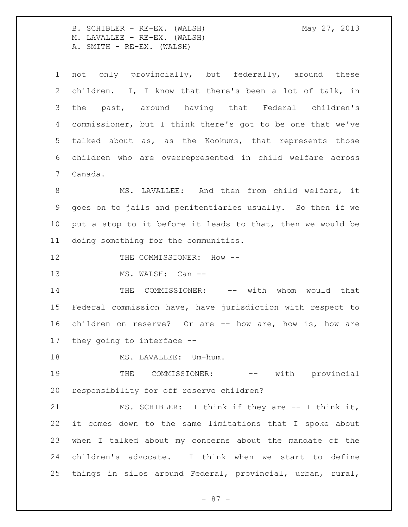| $\mathbf 1$     | not only provincially, but federally, around these         |
|-----------------|------------------------------------------------------------|
| 2               | children. I, I know that there's been a lot of talk, in    |
| 3               | past, around having that Federal children's<br>the         |
| 4               | commissioner, but I think there's got to be one that we've |
| 5               | talked about as, as the Kookums, that represents those     |
| 6               | children who are overrepresented in child welfare across   |
| $7\phantom{.0}$ | Canada.                                                    |
| 8               | MS. LAVALLEE: And then from child welfare, it              |
| 9               | goes on to jails and penitentiaries usually. So then if we |
| 10              | put a stop to it before it leads to that, then we would be |
| 11              | doing something for the communities.                       |
| 12              | THE COMMISSIONER: How --                                   |
| 13              | MS. WALSH: Can --                                          |
| 14              | THE COMMISSIONER: -- with whom would that                  |
| 15              | Federal commission have, have jurisdiction with respect to |
| 16              | children on reserve? Or are -- how are, how is, how are    |
| 17              | they going to interface --                                 |
| 18              | MS. LAVALLEE: Um-hum.                                      |
| 19              | THE COMMISSIONER: -- with provincial                       |
| 20              | responsibility for off reserve children?                   |
| 21              | MS. SCHIBLER: I think if they are -- I think it,           |
| 22              | it comes down to the same limitations that I spoke about   |
| 23              | when I talked about my concerns about the mandate of the   |
| 24              | children's advocate. I think when we start to define       |
| 25              | things in silos around Federal, provincial, urban, rural,  |

- 87 -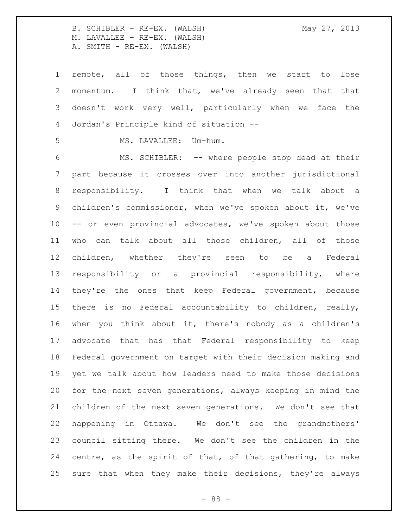remote, all of those things, then we start to lose momentum. I think that, we've already seen that that doesn't work very well, particularly when we face the Jordan's Principle kind of situation --

5 MS. LAVALLEE: Um-hum.

 MS. SCHIBLER: -- where people stop dead at their part because it crosses over into another jurisdictional responsibility. I think that when we talk about a children's commissioner, when we've spoken about it, we've -- or even provincial advocates, we've spoken about those who can talk about all those children, all of those children, whether they're seen to be a Federal responsibility or a provincial responsibility, where 14 they're the ones that keep Federal government, because there is no Federal accountability to children, really, when you think about it, there's nobody as a children's advocate that has that Federal responsibility to keep Federal government on target with their decision making and yet we talk about how leaders need to make those decisions for the next seven generations, always keeping in mind the children of the next seven generations. We don't see that happening in Ottawa. We don't see the grandmothers' council sitting there. We don't see the children in the centre, as the spirit of that, of that gathering, to make sure that when they make their decisions, they're always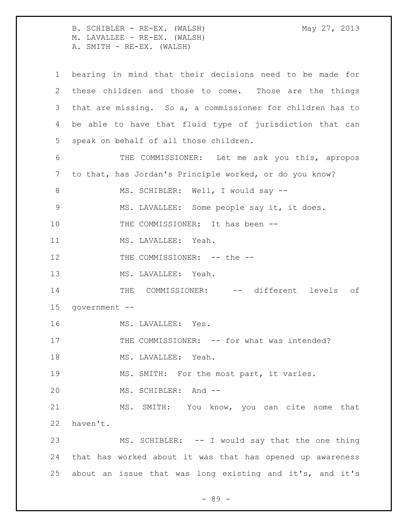bearing in mind that their decisions need to be made for these children and those to come. Those are the things that are missing. So a, a commissioner for children has to be able to have that fluid type of jurisdiction that can speak on behalf of all those children. THE COMMISSIONER: Let me ask you this, apropos to that, has Jordan's Principle worked, or do you know? 8 MS. SCHIBLER: Well, I would say -- MS. LAVALLEE: Some people say it, it does. 10 THE COMMISSIONER: It has been --11 MS. LAVALLEE: Yeah. 12 THE COMMISSIONER: -- the -- MS. LAVALLEE: Yeah. 14 THE COMMISSIONER: -- different levels of government -- MS. LAVALLEE: Yes. 17 THE COMMISSIONER: -- for what was intended? 18 MS. LAVALLEE: Yeah. MS. SMITH: For the most part, it varies. MS. SCHIBLER: And -- MS. SMITH: You know, you can cite some that haven't. MS. SCHIBLER: -- I would say that the one thing that has worked about it was that has opened up awareness about an issue that was long existing and it's, and it's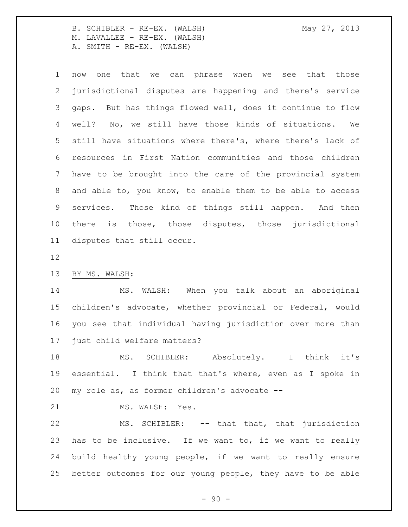now one that we can phrase when we see that those jurisdictional disputes are happening and there's service gaps. But has things flowed well, does it continue to flow well? No, we still have those kinds of situations. We still have situations where there's, where there's lack of resources in First Nation communities and those children have to be brought into the care of the provincial system and able to, you know, to enable them to be able to access services. Those kind of things still happen. And then there is those, those disputes, those jurisdictional disputes that still occur.

## BY MS. WALSH:

 MS. WALSH: When you talk about an aboriginal children's advocate, whether provincial or Federal, would you see that individual having jurisdiction over more than just child welfare matters?

 MS. SCHIBLER: Absolutely. I think it's essential. I think that that's where, even as I spoke in my role as, as former children's advocate --

21 MS. WALSH: Yes.

22 MS. SCHIBLER: -- that that, that jurisdiction has to be inclusive. If we want to, if we want to really build healthy young people, if we want to really ensure better outcomes for our young people, they have to be able

 $-90 -$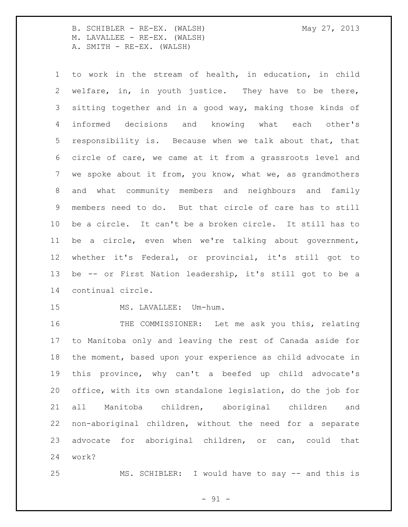to work in the stream of health, in education, in child welfare, in, in youth justice. They have to be there, sitting together and in a good way, making those kinds of informed decisions and knowing what each other's responsibility is. Because when we talk about that, that circle of care, we came at it from a grassroots level and we spoke about it from, you know, what we, as grandmothers and what community members and neighbours and family members need to do. But that circle of care has to still be a circle. It can't be a broken circle. It still has to be a circle, even when we're talking about government, whether it's Federal, or provincial, it's still got to be -- or First Nation leadership, it's still got to be a continual circle.

15 MS. LAVALLEE: Um-hum.

 THE COMMISSIONER: Let me ask you this, relating to Manitoba only and leaving the rest of Canada aside for the moment, based upon your experience as child advocate in this province, why can't a beefed up child advocate's office, with its own standalone legislation, do the job for all Manitoba children, aboriginal children and non-aboriginal children, without the need for a separate advocate for aboriginal children, or can, could that work?

MS. SCHIBLER: I would have to say -- and this is

 $-91 -$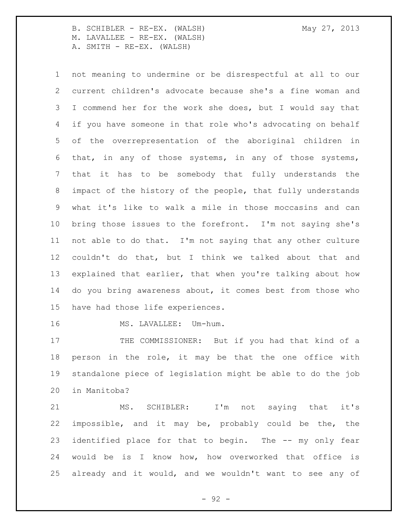M. LAVALLEE - RE-EX. (WALSH) A. SMITH - RE-EX. (WALSH)

B. SCHIBLER - RE-EX. (WALSH) May 27, 2013

 not meaning to undermine or be disrespectful at all to our current children's advocate because she's a fine woman and I commend her for the work she does, but I would say that if you have someone in that role who's advocating on behalf of the overrepresentation of the aboriginal children in that, in any of those systems, in any of those systems, that it has to be somebody that fully understands the impact of the history of the people, that fully understands what it's like to walk a mile in those moccasins and can bring those issues to the forefront. I'm not saying she's not able to do that. I'm not saying that any other culture couldn't do that, but I think we talked about that and explained that earlier, that when you're talking about how do you bring awareness about, it comes best from those who have had those life experiences.

16 MS. LAVALLEE: Um-hum.

17 THE COMMISSIONER: But if you had that kind of a person in the role, it may be that the one office with standalone piece of legislation might be able to do the job in Manitoba?

 MS. SCHIBLER: I'm not saying that it's impossible, and it may be, probably could be the, the identified place for that to begin. The -- my only fear would be is I know how, how overworked that office is already and it would, and we wouldn't want to see any of

 $-92 -$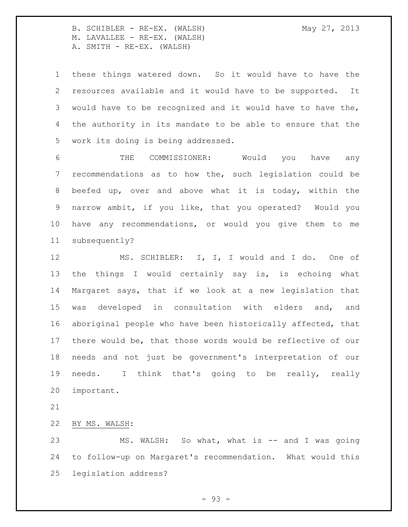these things watered down. So it would have to have the resources available and it would have to be supported. It would have to be recognized and it would have to have the, the authority in its mandate to be able to ensure that the work its doing is being addressed.

 THE COMMISSIONER: Would you have any recommendations as to how the, such legislation could be beefed up, over and above what it is today, within the narrow ambit, if you like, that you operated? Would you have any recommendations, or would you give them to me subsequently?

 MS. SCHIBLER: I, I, I would and I do. One of the things I would certainly say is, is echoing what Margaret says, that if we look at a new legislation that was developed in consultation with elders and, and aboriginal people who have been historically affected, that there would be, that those words would be reflective of our needs and not just be government's interpretation of our needs. I think that's going to be really, really important.

BY MS. WALSH:

23 MS. WALSH: So what, what is -- and I was going to follow-up on Margaret's recommendation. What would this legislation address?

 $-93 -$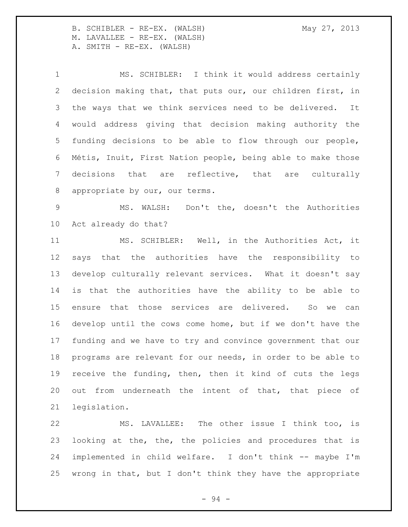MS. SCHIBLER: I think it would address certainly decision making that, that puts our, our children first, in the ways that we think services need to be delivered. It would address giving that decision making authority the funding decisions to be able to flow through our people, Métis, Inuit, First Nation people, being able to make those decisions that are reflective, that are culturally 8 appropriate by our, our terms. MS. WALSH: Don't the, doesn't the Authorities Act already do that? MS. SCHIBLER: Well, in the Authorities Act, it says that the authorities have the responsibility to develop culturally relevant services. What it doesn't say is that the authorities have the ability to be able to ensure that those services are delivered. So we can develop until the cows come home, but if we don't have the

 MS. LAVALLEE: The other issue I think too, is looking at the, the, the policies and procedures that is implemented in child welfare. I don't think -- maybe I'm wrong in that, but I don't think they have the appropriate

funding and we have to try and convince government that our

programs are relevant for our needs, in order to be able to

receive the funding, then, then it kind of cuts the legs

out from underneath the intent of that, that piece of

legislation.

- 94 -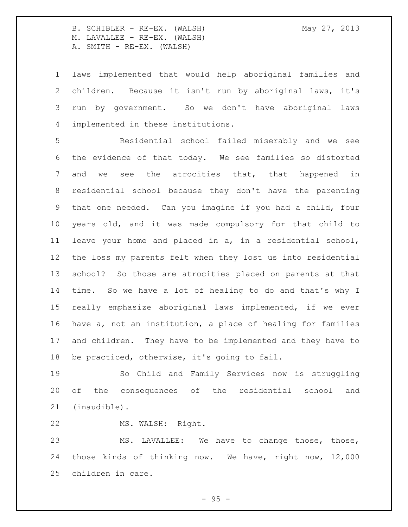laws implemented that would help aboriginal families and children. Because it isn't run by aboriginal laws, it's run by government. So we don't have aboriginal laws implemented in these institutions.

 Residential school failed miserably and we see the evidence of that today. We see families so distorted and we see the atrocities that, that happened in residential school because they don't have the parenting that one needed. Can you imagine if you had a child, four years old, and it was made compulsory for that child to leave your home and placed in a, in a residential school, the loss my parents felt when they lost us into residential school? So those are atrocities placed on parents at that time. So we have a lot of healing to do and that's why I really emphasize aboriginal laws implemented, if we ever have a, not an institution, a place of healing for families and children. They have to be implemented and they have to be practiced, otherwise, it's going to fail.

 So Child and Family Services now is struggling of the consequences of the residential school and (inaudible).

MS. WALSH: Right.

 MS. LAVALLEE: We have to change those, those, those kinds of thinking now. We have, right now, 12,000 children in care.

 $-95 -$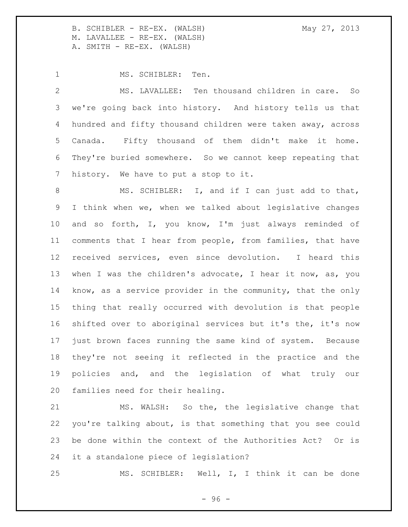MS. SCHIBLER: Ten.

 MS. LAVALLEE: Ten thousand children in care. So we're going back into history. And history tells us that hundred and fifty thousand children were taken away, across Canada. Fifty thousand of them didn't make it home. They're buried somewhere. So we cannot keep repeating that history. We have to put a stop to it.

8 MS. SCHIBLER: I, and if I can just add to that, I think when we, when we talked about legislative changes and so forth, I, you know, I'm just always reminded of comments that I hear from people, from families, that have received services, even since devolution. I heard this when I was the children's advocate, I hear it now, as, you know, as a service provider in the community, that the only thing that really occurred with devolution is that people shifted over to aboriginal services but it's the, it's now just brown faces running the same kind of system. Because they're not seeing it reflected in the practice and the policies and, and the legislation of what truly our families need for their healing.

 MS. WALSH: So the, the legislative change that you're talking about, is that something that you see could be done within the context of the Authorities Act? Or is it a standalone piece of legislation?

MS. SCHIBLER: Well, I, I think it can be done

 $-96 -$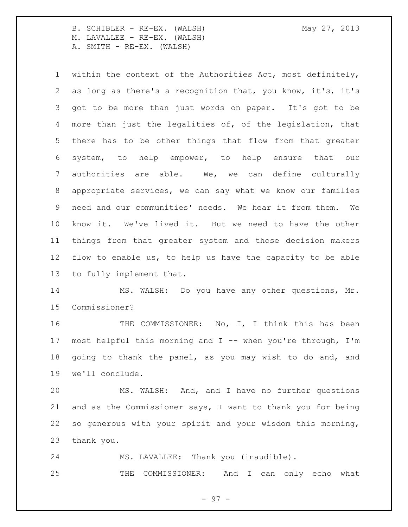within the context of the Authorities Act, most definitely, as long as there's a recognition that, you know, it's, it's got to be more than just words on paper. It's got to be more than just the legalities of, of the legislation, that there has to be other things that flow from that greater system, to help empower, to help ensure that our authorities are able. We, we can define culturally appropriate services, we can say what we know our families need and our communities' needs. We hear it from them. We know it. We've lived it. But we need to have the other things from that greater system and those decision makers flow to enable us, to help us have the capacity to be able to fully implement that.

 MS. WALSH: Do you have any other questions, Mr. Commissioner?

 THE COMMISSIONER: No, I, I think this has been 17 most helpful this morning and  $I$  -- when you're through,  $I'm$  going to thank the panel, as you may wish to do and, and we'll conclude.

 MS. WALSH: And, and I have no further questions and as the Commissioner says, I want to thank you for being so generous with your spirit and your wisdom this morning, thank you.

 MS. LAVALLEE: Thank you (inaudible). THE COMMISSIONER: And I can only echo what

- 97 -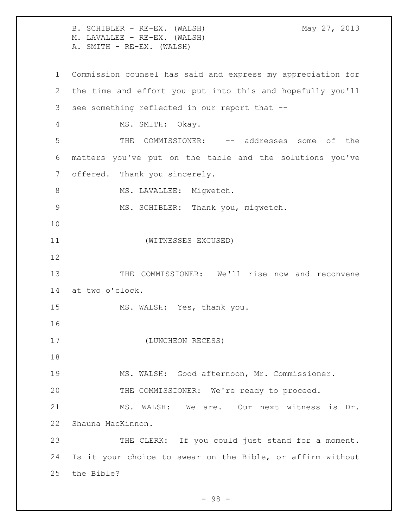B. SCHIBLER - RE-EX. (WALSH) May 27, 2013 M. LAVALLEE - RE-EX. (WALSH) A. SMITH - RE-EX. (WALSH) Commission counsel has said and express my appreciation for the time and effort you put into this and hopefully you'll see something reflected in our report that -- MS. SMITH: Okay. THE COMMISSIONER: -- addresses some of the matters you've put on the table and the solutions you've offered. Thank you sincerely. 8 MS. LAVALLEE: Miqwetch. MS. SCHIBLER: Thank you, migwetch. (WITNESSES EXCUSED) 13 THE COMMISSIONER: We'll rise now and reconvene at two o'clock. MS. WALSH: Yes, thank you. (LUNCHEON RECESS) MS. WALSH: Good afternoon, Mr. Commissioner. THE COMMISSIONER: We're ready to proceed. MS. WALSH: We are. Our next witness is Dr. Shauna MacKinnon. 23 THE CLERK: If you could just stand for a moment. Is it your choice to swear on the Bible, or affirm without the Bible?

- 98 -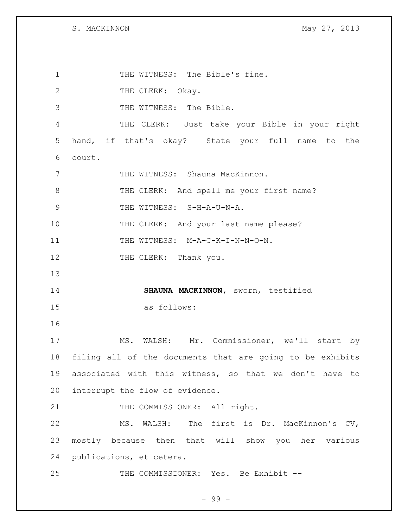S. MACKINNON May 27, 2013

1 THE WITNESS: The Bible's fine. 2 THE CLERK: Okay. 3 THE WITNESS: The Bible. 4 THE CLERK: Just take your Bible in your right 5 hand, if that's okay? State your full name to the 6 court. 7 THE WITNESS: Shauna MacKinnon. 8 THE CLERK: And spell me your first name? 9 THE WITNESS: S-H-A-U-N-A. 10 THE CLERK: And your last name please? 11 THE WITNESS: M-A-C-K-I-N-N-O-N. 12 THE CLERK: Thank you. 13 14 **SHAUNA MACKINNON,** sworn, testified 15 as follows: 16 17 MS. WALSH: Mr. Commissioner, we'll start by 18 filing all of the documents that are going to be exhibits 19 associated with this witness, so that we don't have to 20 interrupt the flow of evidence. 21 THE COMMISSIONER: All right. 22 MS. WALSH: The first is Dr. MacKinnon's CV, 23 mostly because then that will show you her various 24 publications, et cetera. 25 THE COMMISSIONER: Yes. Be Exhibit --

- 99 -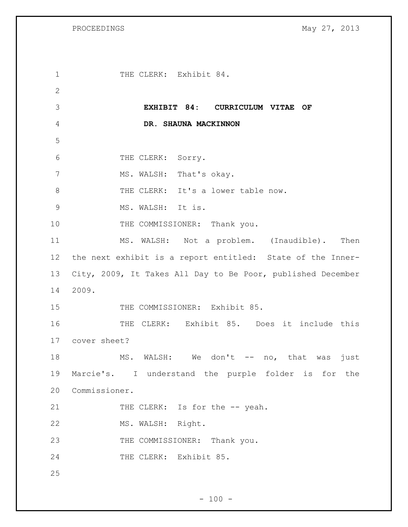1 THE CLERK: Exhibit 84. 2 3 **EXHIBIT 84: CURRICULUM VITAE OF**  4 **DR. SHAUNA MACKINNON** 5 6 THE CLERK: Sorry. 7 MS. WALSH: That's okay. 8 THE CLERK: It's a lower table now. 9 MS. WALSH: It is. 10 THE COMMISSIONER: Thank you. 11 MS. WALSH: Not a problem. (Inaudible). Then 12 the next exhibit is a report entitled: State of the Inner-13 City, 2009, It Takes All Day to Be Poor, published December 14 2009. 15 THE COMMISSIONER: Exhibit 85. 16 THE CLERK: Exhibit 85. Does it include this 17 cover sheet? 18 MS. WALSH: We don't -- no, that was just 19 Marcie's. I understand the purple folder is for the 20 Commissioner. 21 THE CLERK: Is for the -- yeah. 22 MS. WALSH: Right. 23 THE COMMISSIONER: Thank you. 24 THE CLERK: Exhibit 85. 25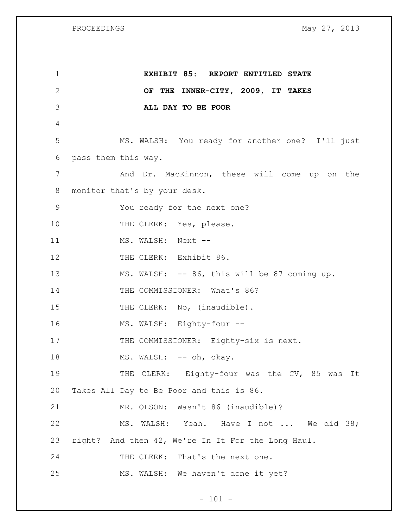| 1              | EXHIBIT 85: REPORT ENTITLED STATE                  |
|----------------|----------------------------------------------------|
| $\mathbf{2}$   | OF THE INNER-CITY, 2009, IT TAKES                  |
| 3              | ALL DAY TO BE POOR                                 |
| $\overline{4}$ |                                                    |
| 5              | MS. WALSH: You ready for another one? I'll just    |
| 6              | pass them this way.                                |
| 7              | And Dr. MacKinnon, these will come up on the       |
| 8              | monitor that's by your desk.                       |
| 9              | You ready for the next one?                        |
| 10             | THE CLERK: Yes, please.                            |
| 11             | MS. WALSH: Next --                                 |
| 12             | THE CLERK: Exhibit 86.                             |
| 13             | MS. WALSH: -- 86, this will be 87 coming up.       |
| 14             | THE COMMISSIONER: What's 86?                       |
| 15             | THE CLERK: No, (inaudible).                        |
| 16             | MS. WALSH: Eighty-four --                          |
| 17             | THE COMMISSIONER: Eighty-six is next.              |
| 18             | MS. WALSH: -- oh, okay.                            |
| 19             | THE CLERK: Eighty-four was the CV, 85 was<br>It    |
| 20             | Takes All Day to Be Poor and this is 86.           |
| 21             | MR. OLSON: Wasn't 86 (inaudible)?                  |
| 22             | MS. WALSH: Yeah. Have I not  We did 38;            |
| 23             | right? And then 42, We're In It For the Long Haul. |
| 24             | THE CLERK: That's the next one.                    |
| 25             | MS. WALSH: We haven't done it yet?                 |

- 101 -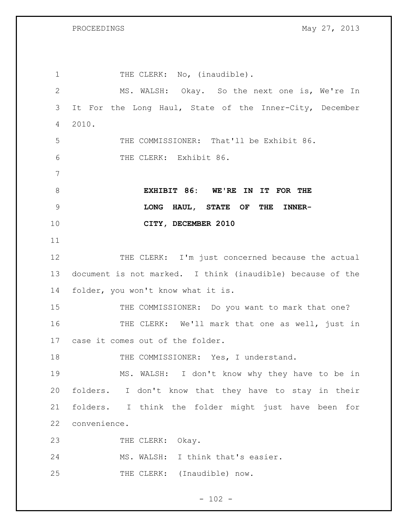1 THE CLERK: No, (inaudible). MS. WALSH: Okay. So the next one is, We're In It For the Long Haul, State of the Inner-City, December 2010. THE COMMISSIONER: That'll be Exhibit 86. THE CLERK: Exhibit 86. **EXHIBIT 86: WE'RE IN IT FOR THE LONG HAUL, STATE OF THE INNER- CITY, DECEMBER 2010** 12 THE CLERK: I'm just concerned because the actual document is not marked. I think (inaudible) because of the folder, you won't know what it is. 15 THE COMMISSIONER: Do you want to mark that one? THE CLERK: We'll mark that one as well, just in case it comes out of the folder. 18 THE COMMISSIONER: Yes, I understand. MS. WALSH: I don't know why they have to be in folders. I don't know that they have to stay in their folders. I think the folder might just have been for convenience. 23 THE CLERK: Okay. MS. WALSH: I think that's easier. THE CLERK: (Inaudible) now.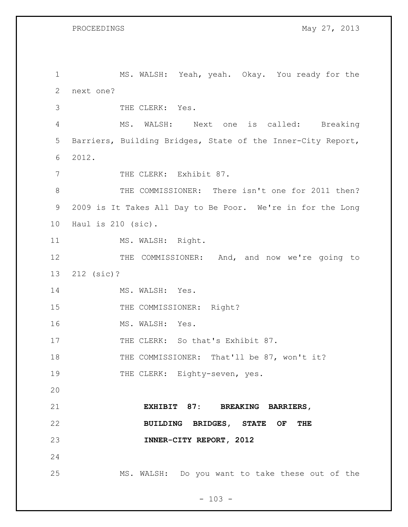1 MS. WALSH: Yeah, yeah. Okay. You ready for the 2 next one? 3 THE CLERK: Yes. 4 MS. WALSH: Next one is called: Breaking 5 Barriers, Building Bridges, State of the Inner-City Report, 6 2012. 7 THE CLERK: Exhibit 87. 8 THE COMMISSIONER: There isn't one for 2011 then? 9 2009 is It Takes All Day to Be Poor. We're in for the Long 10 Haul is 210 (sic). 11 MS. WALSH: Right. 12 THE COMMISSIONER: And, and now we're going to 13 212 (sic)? 14 MS. WALSH: Yes. 15 THE COMMISSIONER: Right? 16 MS. WALSH: Yes. 17 THE CLERK: So that's Exhibit 87. 18 THE COMMISSIONER: That'll be 87, won't it? 19 THE CLERK: Eighty-seven, yes. 20 21 **EXHIBIT 87: BREAKING BARRIERS,**  22 **BUILDING BRIDGES, STATE OF THE**  23 **INNER-CITY REPORT, 2012** 24 25 MS. WALSH: Do you want to take these out of the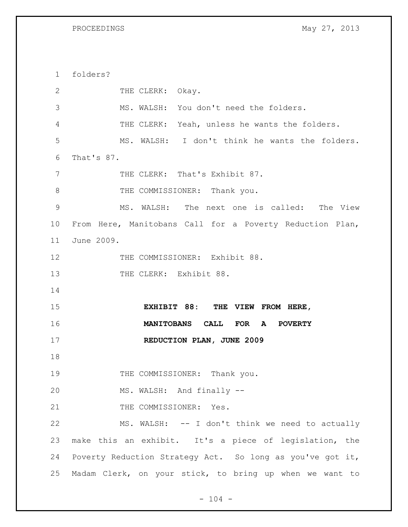folders? 2 THE CLERK: Okay. MS. WALSH: You don't need the folders. THE CLERK: Yeah, unless he wants the folders. MS. WALSH: I don't think he wants the folders. That's 87. 7 THE CLERK: That's Exhibit 87. 8 THE COMMISSIONER: Thank you. MS. WALSH: The next one is called: The View From Here, Manitobans Call for a Poverty Reduction Plan, June 2009. 12 THE COMMISSIONER: Exhibit 88. 13 THE CLERK: Exhibit 88. **EXHIBIT 88: THE VIEW FROM HERE, MANITOBANS CALL FOR A POVERTY REDUCTION PLAN, JUNE 2009** 19 THE COMMISSIONER: Thank you. MS. WALSH: And finally -- 21 THE COMMISSIONER: Yes. MS. WALSH: -- I don't think we need to actually make this an exhibit. It's a piece of legislation, the Poverty Reduction Strategy Act. So long as you've got it, Madam Clerk, on your stick, to bring up when we want to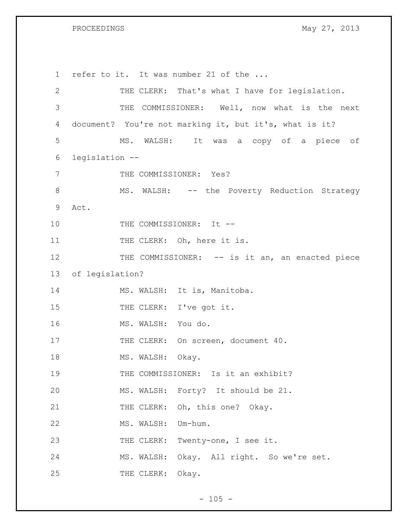PROCEEDINGS May 27, 2013

1 refer to it. It was number 21 of the ... 2 THE CLERK: That's what I have for legislation. 3 THE COMMISSIONER: Well, now what is the next 4 document? You're not marking it, but it's, what is it? 5 MS. WALSH: It was a copy of a piece of 6 legislation -- 7 THE COMMISSIONER: Yes? 8 MS. WALSH: -- the Poverty Reduction Strategy 9 Act. 10 THE COMMISSIONER: It --11 THE CLERK: Oh, here it is. 12 THE COMMISSIONER: -- is it an, an enacted piece 13 of legislation? 14 MS. WALSH: It is, Manitoba. 15 THE CLERK: I've got it. 16 MS. WALSH: You do. 17 THE CLERK: On screen, document 40. 18 MS. WALSH: Okay. 19 THE COMMISSIONER: Is it an exhibit? 20 MS. WALSH: Forty? It should be 21. 21 THE CLERK: Oh, this one? Okay. 22 MS. WALSH: Um-hum. 23 THE CLERK: Twenty-one, I see it. 24 MS. WALSH: Okay. All right. So we're set. 25 THE CLERK: Okay.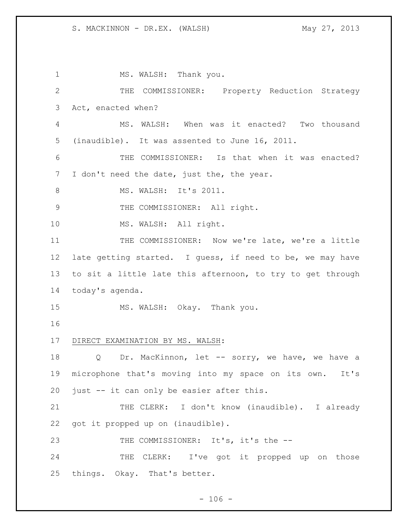1 MS. WALSH: Thank you. 2 THE COMMISSIONER: Property Reduction Strategy 3 Act, enacted when? 4 MS. WALSH: When was it enacted? Two thousand 5 (inaudible). It was assented to June 16, 2011. 6 THE COMMISSIONER: Is that when it was enacted? 7 I don't need the date, just the, the year. 8 MS. WALSH: It's 2011. 9 THE COMMISSIONER: All right. 10 MS. WALSH: All right. 11 THE COMMISSIONER: Now we're late, we're a little 12 late getting started. I guess, if need to be, we may have 13 to sit a little late this afternoon, to try to get through 14 today's agenda. 15 MS. WALSH: Okay. Thank you. 16 17 DIRECT EXAMINATION BY MS. WALSH: 18 Q Dr. MacKinnon, let -- sorry, we have, we have a 19 microphone that's moving into my space on its own. It's 20 just -- it can only be easier after this. 21 THE CLERK: I don't know (inaudible). I already 22 got it propped up on (inaudible). 23 THE COMMISSIONER: It's, it's the --24 THE CLERK: I've got it propped up on those 25 things. Okay. That's better.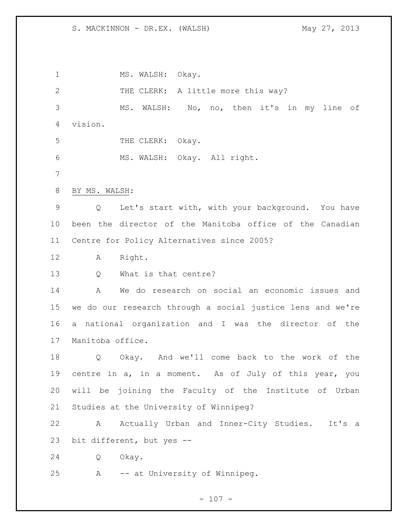1 MS. WALSH: Okay. 2 THE CLERK: A little more this way? MS. WALSH: No, no, then it's in my line of vision. 5 THE CLERK: Okay. MS. WALSH: Okay. All right. BY MS. WALSH: Q Let's start with, with your background. You have been the director of the Manitoba office of the Canadian Centre for Policy Alternatives since 2005? A Right. 13 0 What is that centre? A We do research on social an economic issues and we do our research through a social justice lens and we're a national organization and I was the director of the Manitoba office. Q Okay. And we'll come back to the work of the centre in a, in a moment. As of July of this year, you will be joining the Faculty of the Institute of Urban Studies at the University of Winnipeg? A Actually Urban and Inner-City Studies. It's a bit different, but yes -- Q Okay. A -- at University of Winnipeg.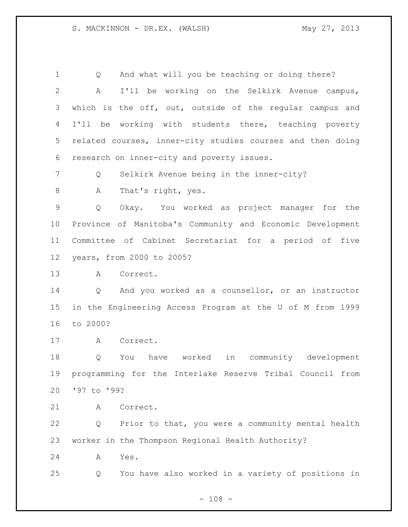Q And what will you be teaching or doing there? A I'll be working on the Selkirk Avenue campus, 3 which is the off, out, outside of the regular campus and I'll be working with students there, teaching poverty related courses, inner-city studies courses and then doing research on inner-city and poverty issues. Q Selkirk Avenue being in the inner-city? A That's right, yes. Q Okay. You worked as project manager for the Province of Manitoba's Community and Economic Development Committee of Cabinet Secretariat for a period of five years, from 2000 to 2005? A Correct. Q And you worked as a counsellor, or an instructor in the Engineering Access Program at the U of M from 1999 to 2000? A Correct. Q You have worked in community development programming for the Interlake Reserve Tribal Council from '97 to '99? A Correct. Q Prior to that, you were a community mental health worker in the Thompson Regional Health Authority? A Yes. Q You have also worked in a variety of positions in

 $- 108 -$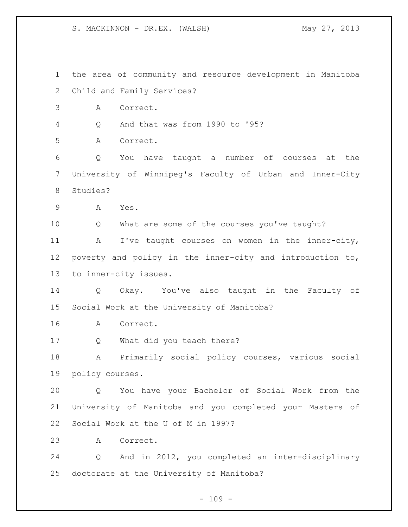the area of community and resource development in Manitoba Child and Family Services? A Correct. Q And that was from 1990 to '95? A Correct. Q You have taught a number of courses at the University of Winnipeg's Faculty of Urban and Inner-City Studies? A Yes. Q What are some of the courses you've taught? 11 A I've taught courses on women in the inner-city, poverty and policy in the inner-city and introduction to, to inner-city issues. Q Okay. You've also taught in the Faculty of Social Work at the University of Manitoba? A Correct. Q What did you teach there? A Primarily social policy courses, various social policy courses. Q You have your Bachelor of Social Work from the University of Manitoba and you completed your Masters of Social Work at the U of M in 1997? A Correct. Q And in 2012, you completed an inter-disciplinary doctorate at the University of Manitoba?

 $- 109 -$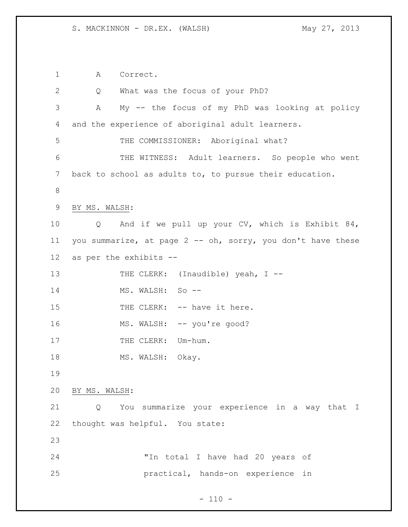A Correct. Q What was the focus of your PhD? A My -- the focus of my PhD was looking at policy and the experience of aboriginal adult learners. 5 THE COMMISSIONER: Aboriginal what? THE WITNESS: Adult learners. So people who went back to school as adults to, to pursue their education. BY MS. WALSH: Q And if we pull up your CV, which is Exhibit 84, you summarize, at page 2 -- oh, sorry, you don't have these as per the exhibits -- 13 THE CLERK: (Inaudible) yeah, I --14 MS. WALSH: So --15 THE CLERK: -- have it here. 16 MS. WALSH: -- you're good? 17 THE CLERK: Um-hum. 18 MS. WALSH: Okay. BY MS. WALSH: Q You summarize your experience in a way that I thought was helpful. You state: "In total I have had 20 years of practical, hands-on experience in

 $- 110 -$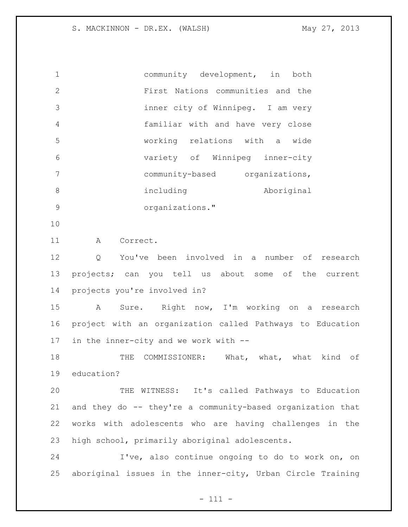community development, in both First Nations communities and the inner city of Winnipeg. I am very familiar with and have very close working relations with a wide variety of Winnipeg inner-city community-based organizations, 8 including aboriginal organizations." 

A Correct.

 Q You've been involved in a number of research projects; can you tell us about some of the current projects you're involved in?

 A Sure. Right now, I'm working on a research project with an organization called Pathways to Education in the inner-city and we work with --

18 THE COMMISSIONER: What, what, what kind of education?

 THE WITNESS: It's called Pathways to Education and they do -- they're a community-based organization that works with adolescents who are having challenges in the high school, primarily aboriginal adolescents.

 I've, also continue ongoing to do to work on, on aboriginal issues in the inner-city, Urban Circle Training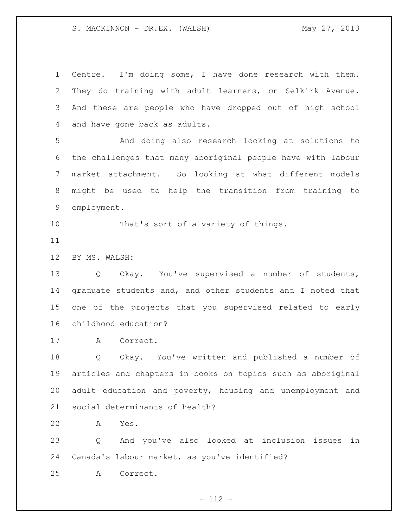Centre. I'm doing some, I have done research with them. They do training with adult learners, on Selkirk Avenue. And these are people who have dropped out of high school and have gone back as adults.

 And doing also research looking at solutions to the challenges that many aboriginal people have with labour market attachment. So looking at what different models might be used to help the transition from training to employment.

10 That's sort of a variety of things.

BY MS. WALSH:

 Q Okay. You've supervised a number of students, graduate students and, and other students and I noted that one of the projects that you supervised related to early childhood education?

A Correct.

 Q Okay. You've written and published a number of articles and chapters in books on topics such as aboriginal adult education and poverty, housing and unemployment and social determinants of health?

A Yes.

 Q And you've also looked at inclusion issues in Canada's labour market, as you've identified?

A Correct.

- 112 -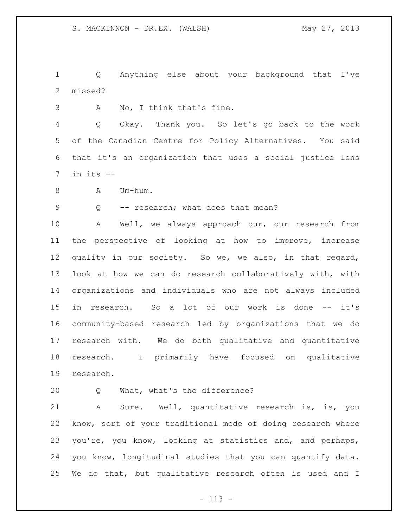Q Anything else about your background that I've missed?

A No, I think that's fine.

 Q Okay. Thank you. So let's go back to the work of the Canadian Centre for Policy Alternatives. You said that it's an organization that uses a social justice lens  $7 \quad$  in its  $-$ 

8 A Um-hum.

9 Q -- research; what does that mean?

 A Well, we always approach our, our research from the perspective of looking at how to improve, increase quality in our society. So we, we also, in that regard, look at how we can do research collaboratively with, with organizations and individuals who are not always included in research. So a lot of our work is done -- it's community-based research led by organizations that we do research with. We do both qualitative and quantitative research. I primarily have focused on qualitative research.

Q What, what's the difference?

 A Sure. Well, quantitative research is, is, you know, sort of your traditional mode of doing research where you're, you know, looking at statistics and, and perhaps, you know, longitudinal studies that you can quantify data. We do that, but qualitative research often is used and I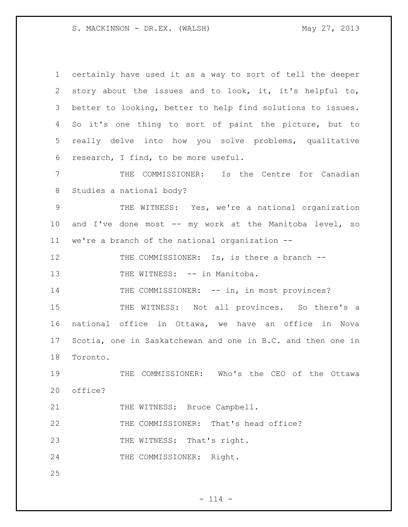certainly have used it as a way to sort of tell the deeper story about the issues and to look, it, it's helpful to, better to looking, better to help find solutions to issues. So it's one thing to sort of paint the picture, but to really delve into how you solve problems, qualitative research, I find, to be more useful. THE COMMISSIONER: Is the Centre for Canadian Studies a national body? THE WITNESS: Yes, we're a national organization and I've done most -- my work at the Manitoba level, so we're a branch of the national organization -- 12 THE COMMISSIONER: Is, is there a branch --13 THE WITNESS: -- in Manitoba. 14 THE COMMISSIONER: -- in, in most provinces? 15 THE WITNESS: Not all provinces. So there's a national office in Ottawa, we have an office in Nova Scotia, one in Saskatchewan and one in B.C. and then one in Toronto. THE COMMISSIONER: Who's the CEO of the Ottawa office? 21 THE WITNESS: Bruce Campbell. THE COMMISSIONER: That's head office? 23 THE WITNESS: That's right. THE COMMISSIONER: Right. 

 $- 114 -$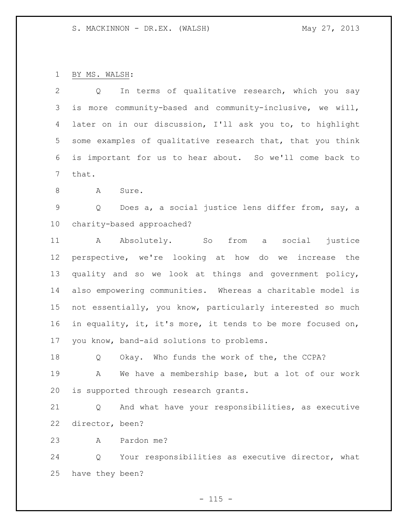BY MS. WALSH:

 Q In terms of qualitative research, which you say is more community-based and community-inclusive, we will, later on in our discussion, I'll ask you to, to highlight some examples of qualitative research that, that you think is important for us to hear about. So we'll come back to that.

8 A Sure.

 Q Does a, a social justice lens differ from, say, a charity-based approached?

 A Absolutely. So from a social justice perspective, we're looking at how do we increase the quality and so we look at things and government policy, also empowering communities. Whereas a charitable model is not essentially, you know, particularly interested so much in equality, it, it's more, it tends to be more focused on, you know, band-aid solutions to problems.

 Q Okay. Who funds the work of the, the CCPA? A We have a membership base, but a lot of our work is supported through research grants.

 Q And what have your responsibilities, as executive director, been?

A Pardon me?

 Q Your responsibilities as executive director, what have they been?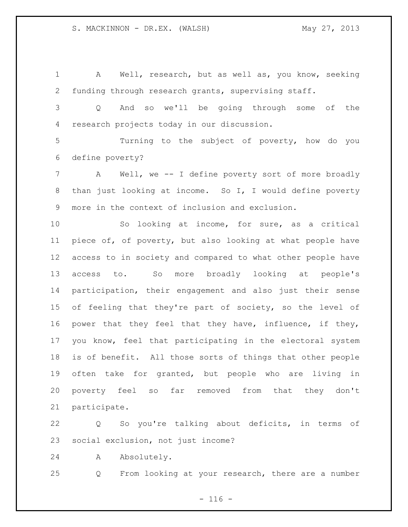A Well, research, but as well as, you know, seeking funding through research grants, supervising staff.

 Q And so we'll be going through some of the research projects today in our discussion.

 Turning to the subject of poverty, how do you define poverty?

 A Well, we -- I define poverty sort of more broadly than just looking at income. So I, I would define poverty more in the context of inclusion and exclusion.

 So looking at income, for sure, as a critical piece of, of poverty, but also looking at what people have access to in society and compared to what other people have access to. So more broadly looking at people's participation, their engagement and also just their sense 15 of feeling that they're part of society, so the level of power that they feel that they have, influence, if they, you know, feel that participating in the electoral system is of benefit. All those sorts of things that other people often take for granted, but people who are living in poverty feel so far removed from that they don't participate.

 Q So you're talking about deficits, in terms of social exclusion, not just income?

A Absolutely.

Q From looking at your research, there are a number

 $- 116 -$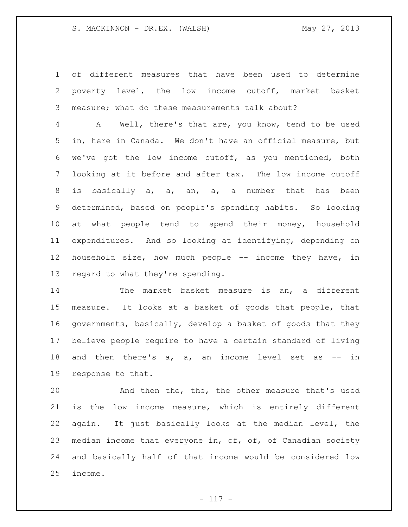of different measures that have been used to determine poverty level, the low income cutoff, market basket measure; what do these measurements talk about?

 A Well, there's that are, you know, tend to be used in, here in Canada. We don't have an official measure, but we've got the low income cutoff, as you mentioned, both looking at it before and after tax. The low income cutoff is basically a, a, an, a, a number that has been determined, based on people's spending habits. So looking at what people tend to spend their money, household expenditures. And so looking at identifying, depending on household size, how much people -- income they have, in regard to what they're spending.

 The market basket measure is an, a different measure. It looks at a basket of goods that people, that governments, basically, develop a basket of goods that they believe people require to have a certain standard of living 18 and then there's a, a, an income level set as -- in response to that.

 And then the, the, the other measure that's used is the low income measure, which is entirely different again. It just basically looks at the median level, the 23 median income that everyone in, of, of, of Canadian society and basically half of that income would be considered low income.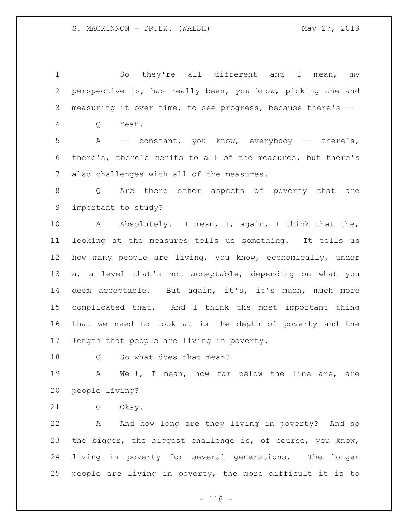So they're all different and I mean, my perspective is, has really been, you know, picking one and measuring it over time, to see progress, because there's -- Q Yeah. A -- constant, you know, everybody -- there's, there's, there's merits to all of the measures, but there's also challenges with all of the measures. Q Are there other aspects of poverty that are important to study? 10 A Absolutely. I mean, I, again, I think that the, looking at the measures tells us something. It tells us how many people are living, you know, economically, under a, a level that's not acceptable, depending on what you deem acceptable. But again, it's, it's much, much more complicated that. And I think the most important thing that we need to look at is the depth of poverty and the length that people are living in poverty. Q So what does that mean? A Well, I mean, how far below the line are, are people living? Q Okay. A And how long are they living in poverty? And so the bigger, the biggest challenge is, of course, you know, living in poverty for several generations. The longer people are living in poverty, the more difficult it is to

- 118 -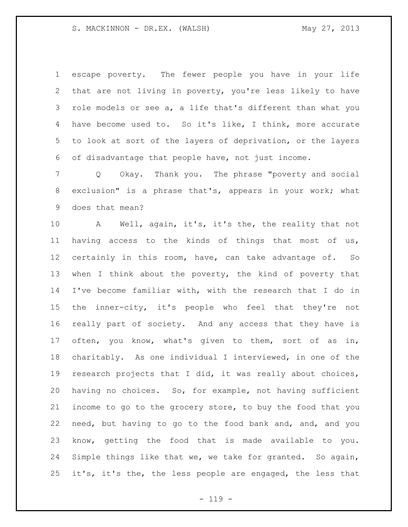escape poverty. The fewer people you have in your life that are not living in poverty, you're less likely to have role models or see a, a life that's different than what you have become used to. So it's like, I think, more accurate to look at sort of the layers of deprivation, or the layers of disadvantage that people have, not just income.

 Q Okay. Thank you. The phrase "poverty and social exclusion" is a phrase that's, appears in your work; what does that mean?

 A Well, again, it's, it's the, the reality that not having access to the kinds of things that most of us, certainly in this room, have, can take advantage of. So when I think about the poverty, the kind of poverty that I've become familiar with, with the research that I do in the inner-city, it's people who feel that they're not really part of society. And any access that they have is 17 often, you know, what's given to them, sort of as in, charitably. As one individual I interviewed, in one of the research projects that I did, it was really about choices, having no choices. So, for example, not having sufficient income to go to the grocery store, to buy the food that you need, but having to go to the food bank and, and, and you know, getting the food that is made available to you. Simple things like that we, we take for granted. So again, it's, it's the, the less people are engaged, the less that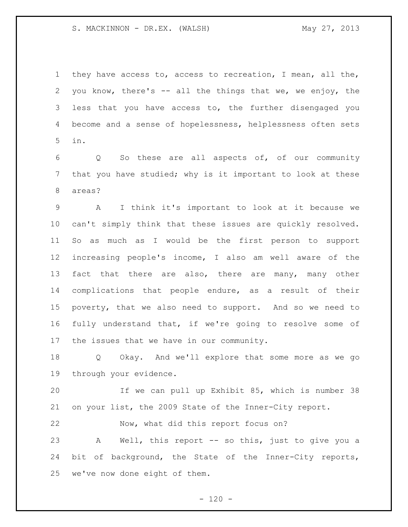they have access to, access to recreation, I mean, all the, you know, there's -- all the things that we, we enjoy, the less that you have access to, the further disengaged you become and a sense of hopelessness, helplessness often sets in.

 Q So these are all aspects of, of our community that you have studied; why is it important to look at these areas?

 A I think it's important to look at it because we can't simply think that these issues are quickly resolved. So as much as I would be the first person to support increasing people's income, I also am well aware of the 13 fact that there are also, there are many, many other complications that people endure, as a result of their poverty, that we also need to support. And so we need to fully understand that, if we're going to resolve some of the issues that we have in our community.

 Q Okay. And we'll explore that some more as we go through your evidence.

 If we can pull up Exhibit 85, which is number 38 on your list, the 2009 State of the Inner-City report.

Now, what did this report focus on?

 A Well, this report -- so this, just to give you a bit of background, the State of the Inner-City reports, we've now done eight of them.

 $- 120 -$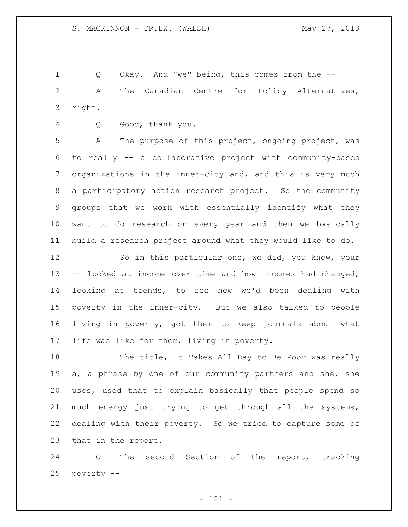Q Okay. And "we" being, this comes from the -- A The Canadian Centre for Policy Alternatives, right.

Q Good, thank you.

 A The purpose of this project, ongoing project, was to really -- a collaborative project with community-based organizations in the inner-city and, and this is very much a participatory action research project. So the community groups that we work with essentially identify what they want to do research on every year and then we basically build a research project around what they would like to do.

 So in this particular one, we did, you know, your -- looked at income over time and how incomes had changed, looking at trends, to see how we'd been dealing with poverty in the inner-city. But we also talked to people living in poverty, got them to keep journals about what life was like for them, living in poverty.

18 The title, It Takes All Day to Be Poor was really a, a phrase by one of our community partners and she, she uses, used that to explain basically that people spend so much energy just trying to get through all the systems, dealing with their poverty. So we tried to capture some of that in the report.

 Q The second Section of the report, tracking poverty --

- 121 -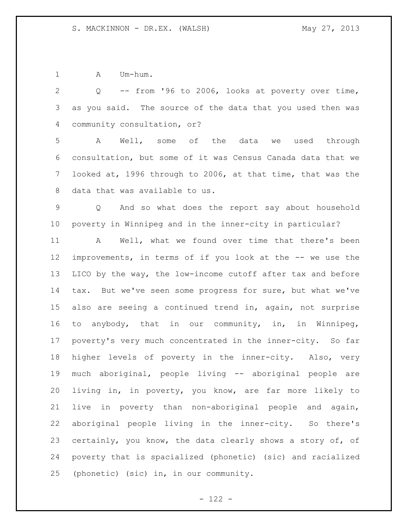1 A Um-hum.

 Q -- from '96 to 2006, looks at poverty over time, as you said. The source of the data that you used then was community consultation, or?

 A Well, some of the data we used through consultation, but some of it was Census Canada data that we looked at, 1996 through to 2006, at that time, that was the data that was available to us.

 Q And so what does the report say about household poverty in Winnipeg and in the inner-city in particular?

 A Well, what we found over time that there's been improvements, in terms of if you look at the -- we use the LICO by the way, the low-income cutoff after tax and before tax. But we've seen some progress for sure, but what we've also are seeing a continued trend in, again, not surprise to anybody, that in our community, in, in Winnipeg, poverty's very much concentrated in the inner-city. So far higher levels of poverty in the inner-city. Also, very much aboriginal, people living -- aboriginal people are living in, in poverty, you know, are far more likely to live in poverty than non-aboriginal people and again, aboriginal people living in the inner-city. So there's certainly, you know, the data clearly shows a story of, of poverty that is spacialized (phonetic) (sic) and racialized (phonetic) (sic) in, in our community.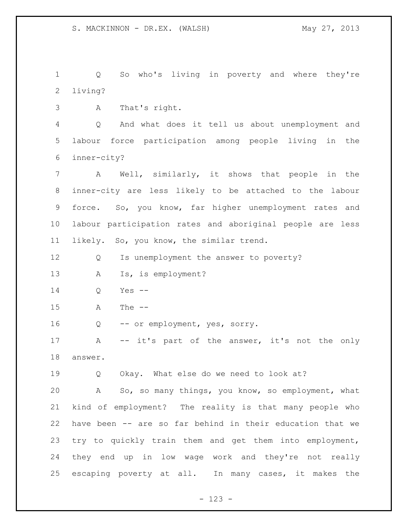Q So who's living in poverty and where they're living? A That's right. Q And what does it tell us about unemployment and labour force participation among people living in the inner-city? A Well, similarly, it shows that people in the inner-city are less likely to be attached to the labour force. So, you know, far higher unemployment rates and labour participation rates and aboriginal people are less likely. So, you know, the similar trend. 12 Q Is unemployment the answer to poverty? A Is, is employment? Q Yes -- A The -- 16 Q -- or employment, yes, sorry. 17 A -- it's part of the answer, it's not the only answer. 19 O Okay. What else do we need to look at? A So, so many things, you know, so employment, what kind of employment? The reality is that many people who have been -- are so far behind in their education that we try to quickly train them and get them into employment, they end up in low wage work and they're not really escaping poverty at all. In many cases, it makes the

- 123 -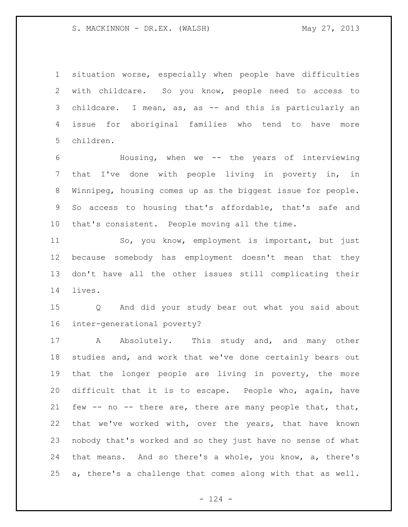situation worse, especially when people have difficulties with childcare. So you know, people need to access to childcare. I mean, as, as -- and this is particularly an issue for aboriginal families who tend to have more children.

 Housing, when we -- the years of interviewing that I've done with people living in poverty in, in Winnipeg, housing comes up as the biggest issue for people. So access to housing that's affordable, that's safe and that's consistent. People moving all the time.

 So, you know, employment is important, but just because somebody has employment doesn't mean that they don't have all the other issues still complicating their lives.

 Q And did your study bear out what you said about inter-generational poverty?

17 A Absolutely. This study and, and many other studies and, and work that we've done certainly bears out that the longer people are living in poverty, the more difficult that it is to escape. People who, again, have few -- no -- there are, there are many people that, that, that we've worked with, over the years, that have known nobody that's worked and so they just have no sense of what that means. And so there's a whole, you know, a, there's a, there's a challenge that comes along with that as well.

 $- 124 -$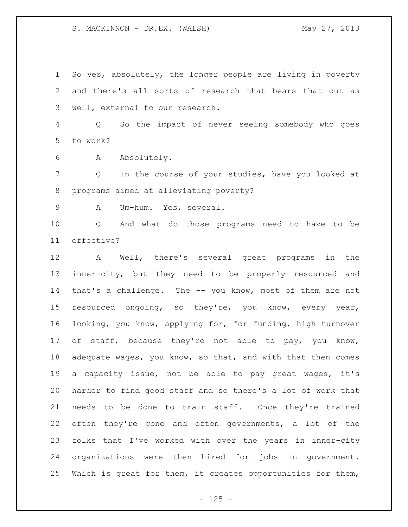So yes, absolutely, the longer people are living in poverty and there's all sorts of research that bears that out as well, external to our research.

 Q So the impact of never seeing somebody who goes to work?

A Absolutely.

 Q In the course of your studies, have you looked at programs aimed at alleviating poverty?

A Um-hum. Yes, several.

 Q And what do those programs need to have to be effective?

 A Well, there's several great programs in the inner-city, but they need to be properly resourced and that's a challenge. The -- you know, most of them are not resourced ongoing, so they're, you know, every year, looking, you know, applying for, for funding, high turnover 17 of staff, because they're not able to pay, you know, adequate wages, you know, so that, and with that then comes a capacity issue, not be able to pay great wages, it's harder to find good staff and so there's a lot of work that needs to be done to train staff. Once they're trained often they're gone and often governments, a lot of the folks that I've worked with over the years in inner-city organizations were then hired for jobs in government. Which is great for them, it creates opportunities for them,

 $- 125 -$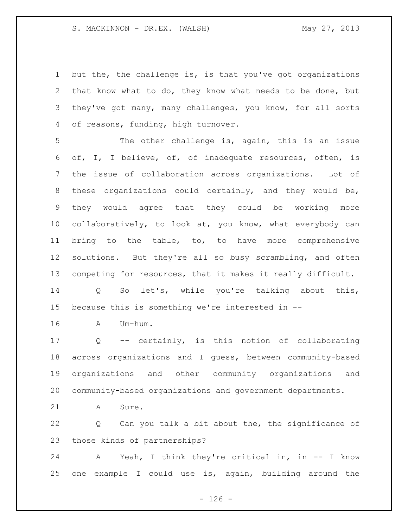but the, the challenge is, is that you've got organizations that know what to do, they know what needs to be done, but they've got many, many challenges, you know, for all sorts of reasons, funding, high turnover.

 The other challenge is, again, this is an issue of, I, I believe, of, of inadequate resources, often, is the issue of collaboration across organizations. Lot of these organizations could certainly, and they would be, they would agree that they could be working more collaboratively, to look at, you know, what everybody can bring to the table, to, to have more comprehensive solutions. But they're all so busy scrambling, and often competing for resources, that it makes it really difficult.

 Q So let's, while you're talking about this, because this is something we're interested in --

A Um-hum.

 Q -- certainly, is this notion of collaborating across organizations and I guess, between community-based organizations and other community organizations and community-based organizations and government departments.

21 A Sure.

 Q Can you talk a bit about the, the significance of those kinds of partnerships?

 A Yeah, I think they're critical in, in -- I know one example I could use is, again, building around the

 $- 126 -$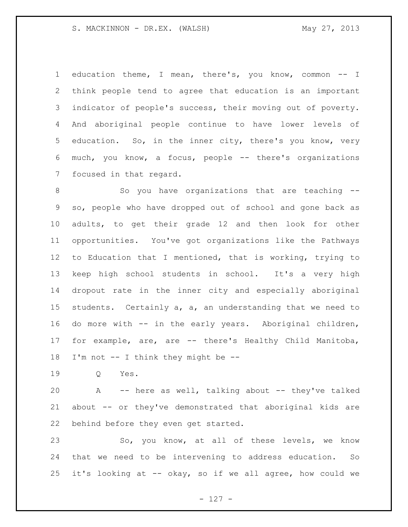education theme, I mean, there's, you know, common -- I think people tend to agree that education is an important indicator of people's success, their moving out of poverty. And aboriginal people continue to have lower levels of education. So, in the inner city, there's you know, very much, you know, a focus, people -- there's organizations focused in that regard.

8 So you have organizations that are teaching -- so, people who have dropped out of school and gone back as adults, to get their grade 12 and then look for other opportunities. You've got organizations like the Pathways to Education that I mentioned, that is working, trying to keep high school students in school. It's a very high dropout rate in the inner city and especially aboriginal students. Certainly a, a, an understanding that we need to do more with -- in the early years. Aboriginal children, for example, are, are -- there's Healthy Child Manitoba, I'm not -- I think they might be --

Q Yes.

20 A -- here as well, talking about -- they've talked about -- or they've demonstrated that aboriginal kids are behind before they even get started.

23 So, you know, at all of these levels, we know that we need to be intervening to address education. So it's looking at -- okay, so if we all agree, how could we

- 127 -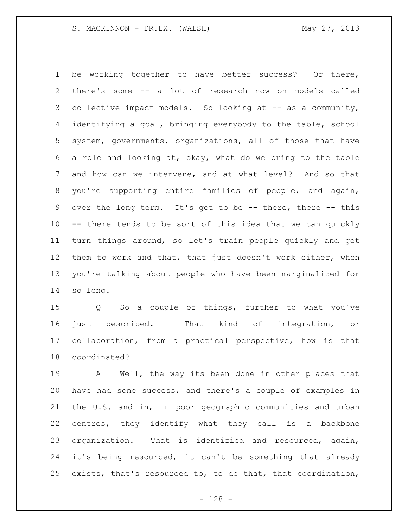be working together to have better success? Or there, there's some -- a lot of research now on models called collective impact models. So looking at -- as a community, identifying a goal, bringing everybody to the table, school system, governments, organizations, all of those that have a role and looking at, okay, what do we bring to the table and how can we intervene, and at what level? And so that you're supporting entire families of people, and again, 9 over the long term. It's got to be -- there, there -- this -- there tends to be sort of this idea that we can quickly turn things around, so let's train people quickly and get them to work and that, that just doesn't work either, when you're talking about people who have been marginalized for so long.

 Q So a couple of things, further to what you've just described. That kind of integration, or collaboration, from a practical perspective, how is that coordinated?

 A Well, the way its been done in other places that have had some success, and there's a couple of examples in the U.S. and in, in poor geographic communities and urban centres, they identify what they call is a backbone organization. That is identified and resourced, again, it's being resourced, it can't be something that already exists, that's resourced to, to do that, that coordination,

- 128 -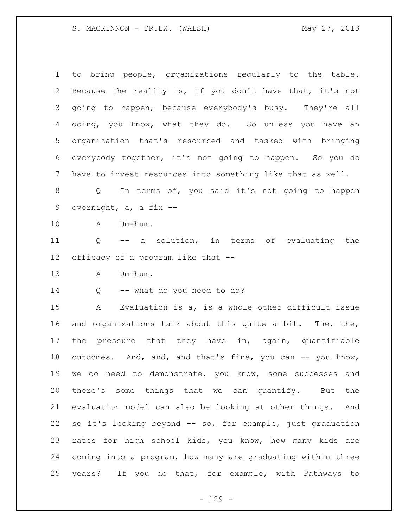Because the reality is, if you don't have that, it's not going to happen, because everybody's busy. They're all doing, you know, what they do. So unless you have an organization that's resourced and tasked with bringing everybody together, it's not going to happen. So you do have to invest resources into something like that as well. Q In terms of, you said it's not going to happen overnight, a, a fix -- A Um-hum. Q -- a solution, in terms of evaluating the efficacy of a program like that -- A Um-hum. Q -- what do you need to do? A Evaluation is a, is a whole other difficult issue and organizations talk about this quite a bit. The, the, the pressure that they have in, again, quantifiable outcomes. And, and, and that's fine, you can -- you know, we do need to demonstrate, you know, some successes and there's some things that we can quantify. But the evaluation model can also be looking at other things. And 22 so it's looking beyond -- so, for example, just graduation rates for high school kids, you know, how many kids are coming into a program, how many are graduating within three years? If you do that, for example, with Pathways to

to bring people, organizations regularly to the table.

- 129 -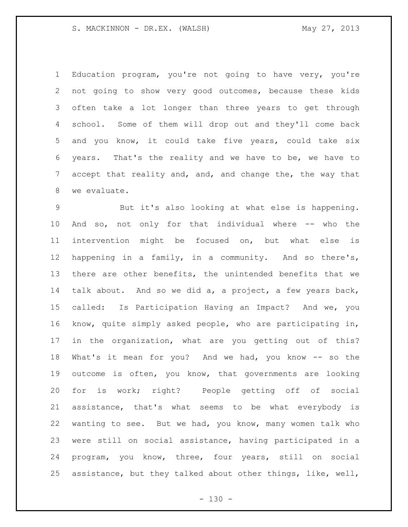Education program, you're not going to have very, you're not going to show very good outcomes, because these kids often take a lot longer than three years to get through school. Some of them will drop out and they'll come back and you know, it could take five years, could take six years. That's the reality and we have to be, we have to accept that reality and, and, and change the, the way that we evaluate.

 But it's also looking at what else is happening. And so, not only for that individual where -- who the intervention might be focused on, but what else is happening in a family, in a community. And so there's, there are other benefits, the unintended benefits that we talk about. And so we did a, a project, a few years back, called: Is Participation Having an Impact? And we, you know, quite simply asked people, who are participating in, in the organization, what are you getting out of this? What's it mean for you? And we had, you know -- so the outcome is often, you know, that governments are looking for is work; right? People getting off of social assistance, that's what seems to be what everybody is wanting to see. But we had, you know, many women talk who were still on social assistance, having participated in a program, you know, three, four years, still on social assistance, but they talked about other things, like, well,

 $- 130 -$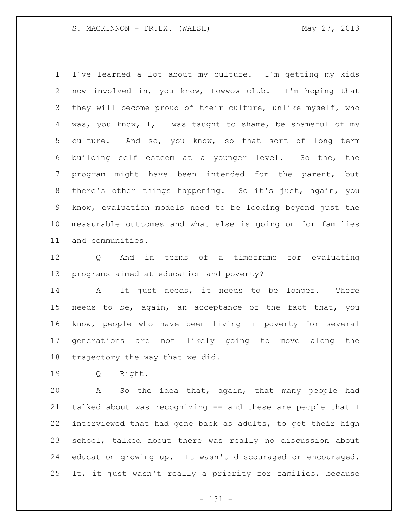I've learned a lot about my culture. I'm getting my kids now involved in, you know, Powwow club. I'm hoping that they will become proud of their culture, unlike myself, who was, you know, I, I was taught to shame, be shameful of my culture. And so, you know, so that sort of long term building self esteem at a younger level. So the, the program might have been intended for the parent, but there's other things happening. So it's just, again, you know, evaluation models need to be looking beyond just the measurable outcomes and what else is going on for families and communities.

 Q And in terms of a timeframe for evaluating programs aimed at education and poverty?

 A It just needs, it needs to be longer. There needs to be, again, an acceptance of the fact that, you know, people who have been living in poverty for several generations are not likely going to move along the trajectory the way that we did.

Q Right.

 A So the idea that, again, that many people had talked about was recognizing -- and these are people that I interviewed that had gone back as adults, to get their high school, talked about there was really no discussion about education growing up. It wasn't discouraged or encouraged. It, it just wasn't really a priority for families, because

- 131 -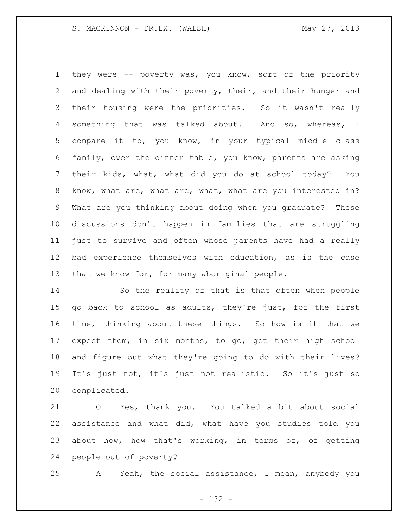they were -- poverty was, you know, sort of the priority and dealing with their poverty, their, and their hunger and their housing were the priorities. So it wasn't really something that was talked about. And so, whereas, I compare it to, you know, in your typical middle class family, over the dinner table, you know, parents are asking their kids, what, what did you do at school today? You know, what are, what are, what, what are you interested in? What are you thinking about doing when you graduate? These discussions don't happen in families that are struggling just to survive and often whose parents have had a really bad experience themselves with education, as is the case that we know for, for many aboriginal people.

 So the reality of that is that often when people go back to school as adults, they're just, for the first time, thinking about these things. So how is it that we expect them, in six months, to go, get their high school and figure out what they're going to do with their lives? It's just not, it's just not realistic. So it's just so complicated.

 Q Yes, thank you. You talked a bit about social assistance and what did, what have you studies told you about how, how that's working, in terms of, of getting people out of poverty?

A Yeah, the social assistance, I mean, anybody you

- 132 -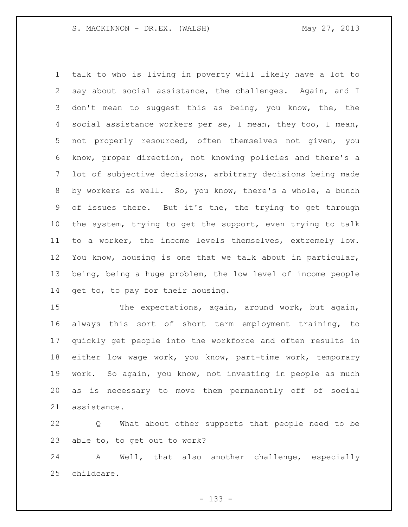talk to who is living in poverty will likely have a lot to say about social assistance, the challenges. Again, and I 3 don't mean to suggest this as being, you know, the, the 4 social assistance workers per se, I mean, they too, I mean, not properly resourced, often themselves not given, you know, proper direction, not knowing policies and there's a lot of subjective decisions, arbitrary decisions being made by workers as well. So, you know, there's a whole, a bunch of issues there. But it's the, the trying to get through the system, trying to get the support, even trying to talk to a worker, the income levels themselves, extremely low. You know, housing is one that we talk about in particular, being, being a huge problem, the low level of income people get to, to pay for their housing.

15 The expectations, again, around work, but again, always this sort of short term employment training, to quickly get people into the workforce and often results in either low wage work, you know, part-time work, temporary work. So again, you know, not investing in people as much as is necessary to move them permanently off of social assistance.

 Q What about other supports that people need to be able to, to get out to work?

 A Well, that also another challenge, especially childcare.

- 133 -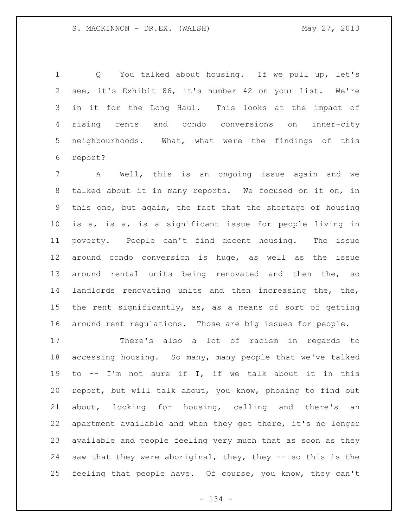Q You talked about housing. If we pull up, let's see, it's Exhibit 86, it's number 42 on your list. We're in it for the Long Haul. This looks at the impact of rising rents and condo conversions on inner-city neighbourhoods. What, what were the findings of this report?

 A Well, this is an ongoing issue again and we talked about it in many reports. We focused on it on, in this one, but again, the fact that the shortage of housing is a, is a, is a significant issue for people living in poverty. People can't find decent housing. The issue around condo conversion is huge, as well as the issue around rental units being renovated and then the, so landlords renovating units and then increasing the, the, the rent significantly, as, as a means of sort of getting around rent regulations. Those are big issues for people.

 There's also a lot of racism in regards to accessing housing. So many, many people that we've talked to -- I'm not sure if I, if we talk about it in this report, but will talk about, you know, phoning to find out about, looking for housing, calling and there's an apartment available and when they get there, it's no longer available and people feeling very much that as soon as they saw that they were aboriginal, they, they -- so this is the feeling that people have. Of course, you know, they can't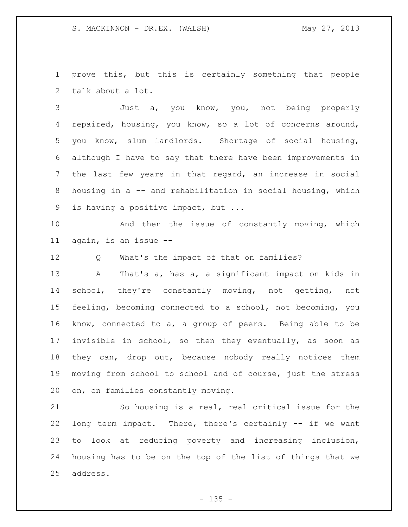prove this, but this is certainly something that people talk about a lot.

 Just a, you know, you, not being properly repaired, housing, you know, so a lot of concerns around, you know, slum landlords. Shortage of social housing, although I have to say that there have been improvements in the last few years in that regard, an increase in social housing in a -- and rehabilitation in social housing, which is having a positive impact, but ...

 And then the issue of constantly moving, which again, is an issue --

Q What's the impact of that on families?

 A That's a, has a, a significant impact on kids in 14 school, they're constantly moving, not getting, not feeling, becoming connected to a school, not becoming, you know, connected to a, a group of peers. Being able to be invisible in school, so then they eventually, as soon as 18 they can, drop out, because nobody really notices them moving from school to school and of course, just the stress on, on families constantly moving.

 So housing is a real, real critical issue for the long term impact. There, there's certainly -- if we want to look at reducing poverty and increasing inclusion, housing has to be on the top of the list of things that we address.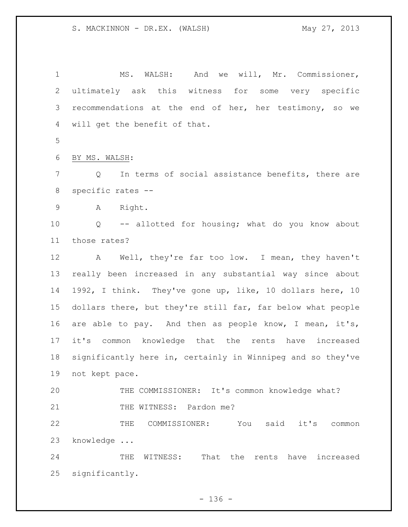MS. WALSH: And we will, Mr. Commissioner, ultimately ask this witness for some very specific recommendations at the end of her, her testimony, so we will get the benefit of that. BY MS. WALSH: Q In terms of social assistance benefits, there are specific rates -- A Right. Q -- allotted for housing; what do you know about those rates? A Well, they're far too low. I mean, they haven't really been increased in any substantial way since about 1992, I think. They've gone up, like, 10 dollars here, 10 dollars there, but they're still far, far below what people are able to pay. And then as people know, I mean, it's, it's common knowledge that the rents have increased significantly here in, certainly in Winnipeg and so they've not kept pace. THE COMMISSIONER: It's common knowledge what? 21 THE WITNESS: Pardon me? THE COMMISSIONER: You said it's common knowledge ... 24 THE WITNESS: That the rents have increased significantly.

 $- 136 -$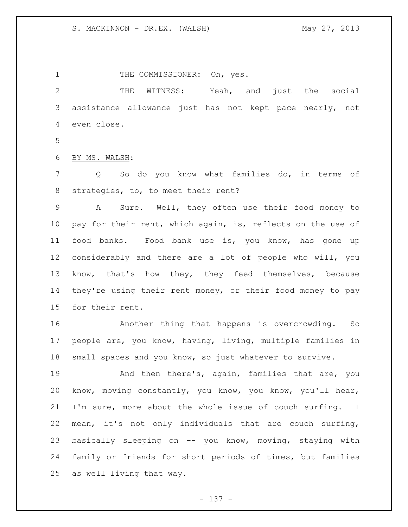1 THE COMMISSIONER: Oh, yes.

 THE WITNESS: Yeah, and just the social assistance allowance just has not kept pace nearly, not even close.

BY MS. WALSH:

 Q So do you know what families do, in terms of strategies, to, to meet their rent?

 A Sure. Well, they often use their food money to pay for their rent, which again, is, reflects on the use of food banks. Food bank use is, you know, has gone up considerably and there are a lot of people who will, you 13 know, that's how they, they feed themselves, because they're using their rent money, or their food money to pay for their rent.

 Another thing that happens is overcrowding. So people are, you know, having, living, multiple families in small spaces and you know, so just whatever to survive.

 And then there's, again, families that are, you know, moving constantly, you know, you know, you'll hear, I'm sure, more about the whole issue of couch surfing. I mean, it's not only individuals that are couch surfing, basically sleeping on -- you know, moving, staying with family or friends for short periods of times, but families as well living that way.

- 137 -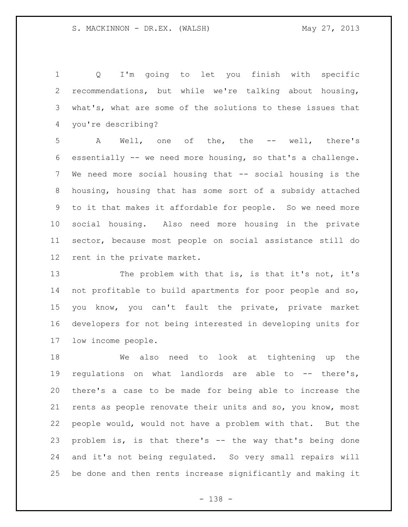Q I'm going to let you finish with specific recommendations, but while we're talking about housing, what's, what are some of the solutions to these issues that you're describing?

 A Well, one of the, the -- well, there's essentially -- we need more housing, so that's a challenge. We need more social housing that -- social housing is the housing, housing that has some sort of a subsidy attached to it that makes it affordable for people. So we need more social housing. Also need more housing in the private sector, because most people on social assistance still do rent in the private market.

13 The problem with that is, is that it's not, it's not profitable to build apartments for poor people and so, you know, you can't fault the private, private market developers for not being interested in developing units for low income people.

 We also need to look at tightening up the regulations on what landlords are able to -- there's, there's a case to be made for being able to increase the rents as people renovate their units and so, you know, most people would, would not have a problem with that. But the problem is, is that there's -- the way that's being done and it's not being regulated. So very small repairs will be done and then rents increase significantly and making it

- 138 -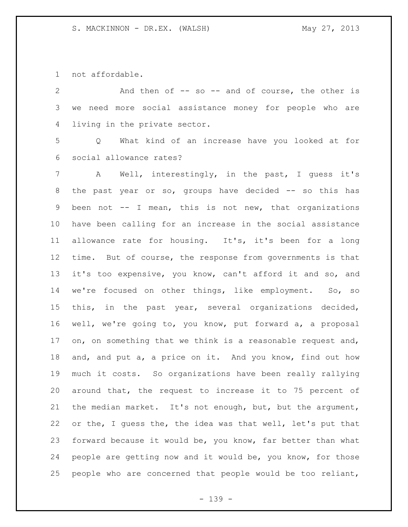not affordable.

 And then of -- so -- and of course, the other is we need more social assistance money for people who are living in the private sector.

 Q What kind of an increase have you looked at for social allowance rates?

 A Well, interestingly, in the past, I guess it's the past year or so, groups have decided -- so this has been not -- I mean, this is not new, that organizations have been calling for an increase in the social assistance allowance rate for housing. It's, it's been for a long time. But of course, the response from governments is that it's too expensive, you know, can't afford it and so, and we're focused on other things, like employment. So, so this, in the past year, several organizations decided, well, we're going to, you know, put forward a, a proposal 17 on, on something that we think is a reasonable request and, and, and put a, a price on it. And you know, find out how much it costs. So organizations have been really rallying around that, the request to increase it to 75 percent of the median market. It's not enough, but, but the argument, or the, I guess the, the idea was that well, let's put that forward because it would be, you know, far better than what people are getting now and it would be, you know, for those people who are concerned that people would be too reliant,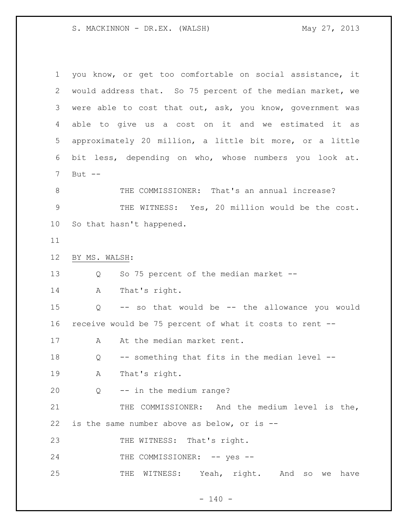| $\mathbf 1$ | you know, or get too comfortable on social assistance, it  |
|-------------|------------------------------------------------------------|
| 2           | would address that. So 75 percent of the median market, we |
| 3           | were able to cost that out, ask, you know, government was  |
| 4           | able to give us a cost on it and we estimated it as        |
| 5           | approximately 20 million, a little bit more, or a little   |
| 6           | less, depending on who, whose numbers you look at.<br>bit  |
| 7           | But $--$                                                   |
| 8           | THE COMMISSIONER: That's an annual increase?               |
| $\mathsf 9$ | THE WITNESS: Yes, 20 million would be the cost.            |
| 10          | So that hasn't happened.                                   |
| 11          |                                                            |
| 12          | BY MS. WALSH:                                              |
| 13          | So 75 percent of the median market --<br>Q                 |
| 14          | That's right.<br>A                                         |
| 15          | -- so that would be -- the allowance you would<br>Q        |
| 16          | receive would be 75 percent of what it costs to rent --    |
| 17          | At the median market rent.<br>A                            |
| 18          | -- something that fits in the median level --<br>Q         |
| 19          | That's right.<br>A                                         |
| 20          | $Q$ -- in the medium range?                                |
| 21          | THE COMMISSIONER: And the medium level is the,             |
| 22          | is the same number above as below, or is $-$               |
| 23          | THE WITNESS: That's right.                                 |
| 24          | THE COMMISSIONER: -- yes --                                |
| 25          | THE WITNESS: Yeah, right. And so we<br>have                |

- 140 -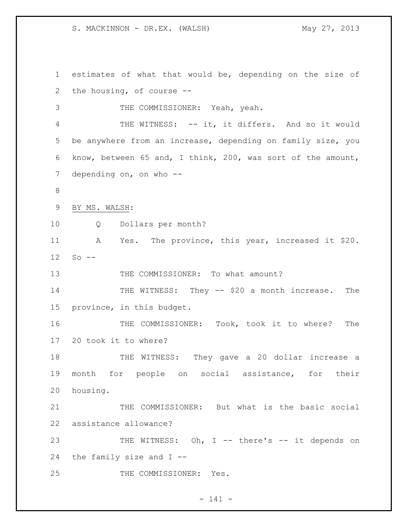estimates of what that would be, depending on the size of the housing, of course -- THE COMMISSIONER: Yeah, yeah. 4 THE WITNESS: -- it, it differs. And so it would be anywhere from an increase, depending on family size, you know, between 65 and, I think, 200, was sort of the amount, 7 depending on, on who -- BY MS. WALSH: Q Dollars per month? A Yes. The province, this year, increased it \$20. So -- 13 THE COMMISSIONER: To what amount? 14 THE WITNESS: They -- \$20 a month increase. The province, in this budget. THE COMMISSIONER: Took, took it to where? The 20 took it to where? 18 THE WITNESS: They gave a 20 dollar increase a month for people on social assistance, for their housing. THE COMMISSIONER: But what is the basic social assistance allowance? 23 THE WITNESS: Oh, I -- there's -- it depends on the family size and I -- THE COMMISSIONER: Yes.

- 141 -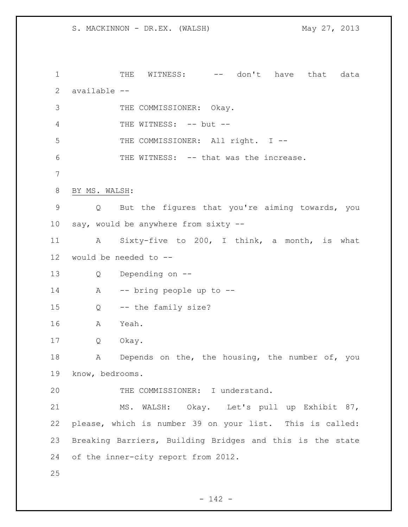1 THE WITNESS:  $--$  don't have that data available -- THE COMMISSIONER: Okay. 4 THE WITNESS: -- but --5 THE COMMISSIONER: All right. I -- THE WITNESS: -- that was the increase. BY MS. WALSH: Q But the figures that you're aiming towards, you say, would be anywhere from sixty -- A Sixty-five to 200, I think, a month, is what would be needed to -- Q Depending on -- 14 A -- bring people up to -- Q -- the family size? A Yeah. Q Okay. 18 A Depends on the, the housing, the number of, you know, bedrooms. 20 THE COMMISSIONER: I understand. MS. WALSH: Okay. Let's pull up Exhibit 87, please, which is number 39 on your list. This is called: Breaking Barriers, Building Bridges and this is the state of the inner-city report from 2012.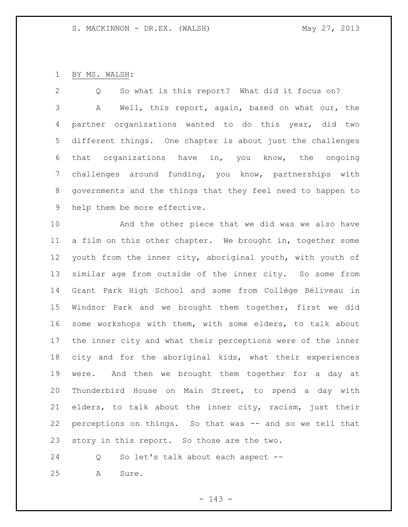# BY MS. WALSH:

 Q So what is this report? What did it focus on? A Well, this report, again, based on what our, the partner organizations wanted to do this year, did two different things. One chapter is about just the challenges that organizations have in, you know, the ongoing challenges around funding, you know, partnerships with governments and the things that they feel need to happen to help them be more effective.

 And the other piece that we did was we also have a film on this other chapter. We brought in, together some youth from the inner city, aboriginal youth, with youth of similar age from outside of the inner city. So some from Grant Park High School and some from Collège Béliveau in Windsor Park and we brought them together, first we did some workshops with them, with some elders, to talk about the inner city and what their perceptions were of the inner city and for the aboriginal kids, what their experiences were. And then we brought them together for a day at Thunderbird House on Main Street, to spend a day with elders, to talk about the inner city, racism, just their perceptions on things. So that was -- and so we tell that story in this report. So those are the two.

Q So let's talk about each aspect --

A Sure.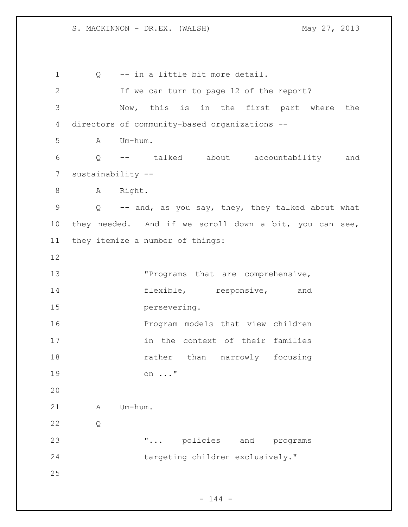1 Q -- in a little bit more detail. If we can turn to page 12 of the report? Now, this is in the first part where the directors of community-based organizations -- A Um-hum. Q -- talked about accountability and sustainability -- 8 A Right. 9 Q -- and, as you say, they, they talked about what they needed. And if we scroll down a bit, you can see, they itemize a number of things: 13 The Programs that are comprehensive, 14 flexible, responsive, and persevering. Program models that view children in the context of their families **18** rather than narrowly focusing on ..." A Um-hum. Q "... policies and programs 24 targeting children exclusively."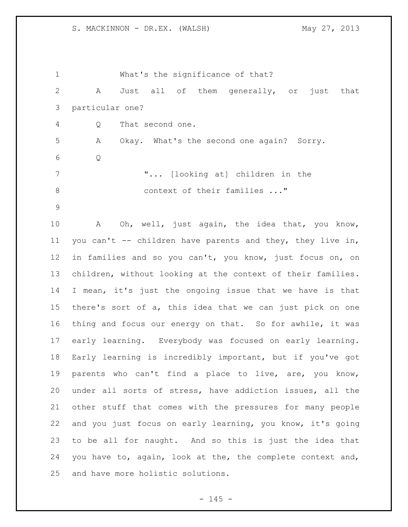What's the significance of that? A Just all of them generally, or just that particular one? Q That second one. A Okay. What's the second one again? Sorry. Q "... [looking at] children in the 8 context of their families ..." A Oh, well, just again, the idea that, you know, you can't -- children have parents and they, they live in, in families and so you can't, you know, just focus on, on children, without looking at the context of their families. I mean, it's just the ongoing issue that we have is that there's sort of a, this idea that we can just pick on one thing and focus our energy on that. So for awhile, it was early learning. Everybody was focused on early learning. Early learning is incredibly important, but if you've got parents who can't find a place to live, are, you know, under all sorts of stress, have addiction issues, all the other stuff that comes with the pressures for many people and you just focus on early learning, you know, it's going to be all for naught. And so this is just the idea that you have to, again, look at the, the complete context and, and have more holistic solutions.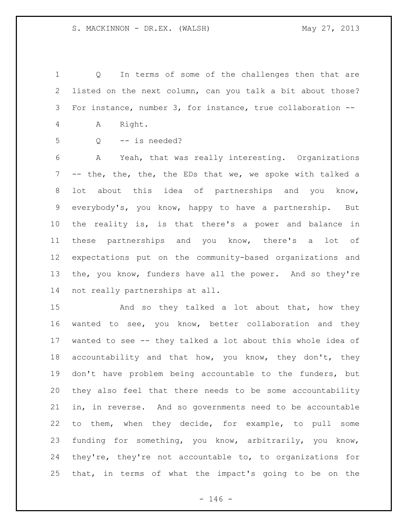Q In terms of some of the challenges then that are listed on the next column, can you talk a bit about those? For instance, number 3, for instance, true collaboration -- A Right.

Q -- is needed?

 A Yeah, that was really interesting. Organizations -- the, the, the, the EDs that we, we spoke with talked a 8 lot about this idea of partnerships and you know, everybody's, you know, happy to have a partnership. But the reality is, is that there's a power and balance in these partnerships and you know, there's a lot of expectations put on the community-based organizations and the, you know, funders have all the power. And so they're not really partnerships at all.

15 And so they talked a lot about that, how they wanted to see, you know, better collaboration and they wanted to see -- they talked a lot about this whole idea of accountability and that how, you know, they don't, they don't have problem being accountable to the funders, but they also feel that there needs to be some accountability in, in reverse. And so governments need to be accountable to them, when they decide, for example, to pull some funding for something, you know, arbitrarily, you know, they're, they're not accountable to, to organizations for that, in terms of what the impact's going to be on the

 $- 146 -$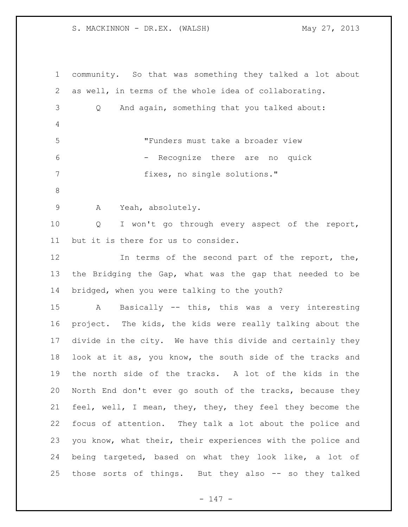community. So that was something they talked a lot about as well, in terms of the whole idea of collaborating. Q And again, something that you talked about: "Funders must take a broader view - Recognize there are no quick 7 fixes, no single solutions." A Yeah, absolutely. Q I won't go through every aspect of the report, but it is there for us to consider. 12 In terms of the second part of the report, the, the Bridging the Gap, what was the gap that needed to be bridged, when you were talking to the youth? A Basically -- this, this was a very interesting project. The kids, the kids were really talking about the divide in the city. We have this divide and certainly they look at it as, you know, the south side of the tracks and the north side of the tracks. A lot of the kids in the North End don't ever go south of the tracks, because they feel, well, I mean, they, they, they feel they become the focus of attention. They talk a lot about the police and you know, what their, their experiences with the police and being targeted, based on what they look like, a lot of those sorts of things. But they also -- so they talked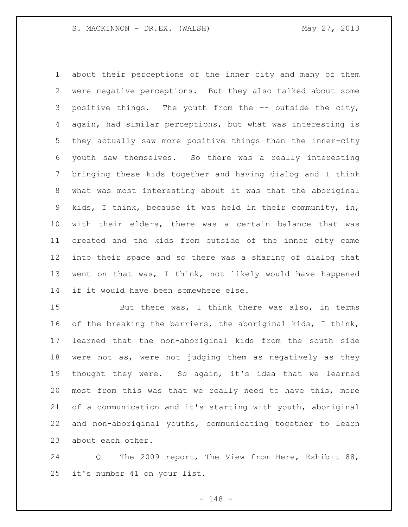about their perceptions of the inner city and many of them were negative perceptions. But they also talked about some positive things. The youth from the -- outside the city, again, had similar perceptions, but what was interesting is they actually saw more positive things than the inner-city youth saw themselves. So there was a really interesting bringing these kids together and having dialog and I think what was most interesting about it was that the aboriginal kids, I think, because it was held in their community, in, with their elders, there was a certain balance that was created and the kids from outside of the inner city came into their space and so there was a sharing of dialog that went on that was, I think, not likely would have happened if it would have been somewhere else.

15 But there was, I think there was also, in terms of the breaking the barriers, the aboriginal kids, I think, learned that the non-aboriginal kids from the south side were not as, were not judging them as negatively as they thought they were. So again, it's idea that we learned most from this was that we really need to have this, more of a communication and it's starting with youth, aboriginal and non-aboriginal youths, communicating together to learn about each other.

 Q The 2009 report, The View from Here, Exhibit 88, it's number 41 on your list.

- 148 -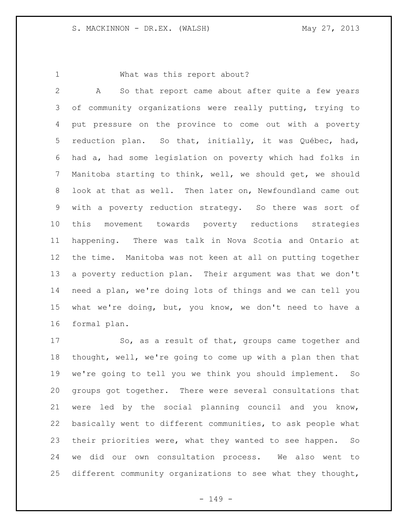What was this report about?

 A So that report came about after quite a few years of community organizations were really putting, trying to put pressure on the province to come out with a poverty reduction plan. So that, initially, it was Québec, had, had a, had some legislation on poverty which had folks in Manitoba starting to think, well, we should get, we should look at that as well. Then later on, Newfoundland came out with a poverty reduction strategy. So there was sort of this movement towards poverty reductions strategies happening. There was talk in Nova Scotia and Ontario at the time. Manitoba was not keen at all on putting together a poverty reduction plan. Their argument was that we don't need a plan, we're doing lots of things and we can tell you what we're doing, but, you know, we don't need to have a formal plan.

 So, as a result of that, groups came together and thought, well, we're going to come up with a plan then that we're going to tell you we think you should implement. So groups got together. There were several consultations that were led by the social planning council and you know, basically went to different communities, to ask people what their priorities were, what they wanted to see happen. So we did our own consultation process. We also went to different community organizations to see what they thought,

- 149 -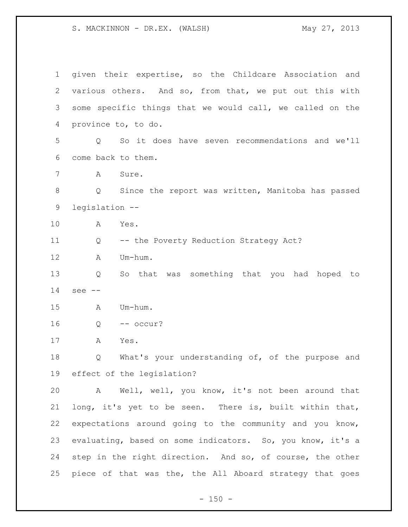| $\mathbf 1$    | given their expertise, so the Childcare Association and          |
|----------------|------------------------------------------------------------------|
| $\overline{2}$ | various others. And so, from that, we put out this with          |
| 3              | some specific things that we would call, we called on the        |
| 4              | province to, to do.                                              |
| 5              | So it does have seven recommendations and we'll<br>$Q_{\rm max}$ |
| 6              | come back to them.                                               |
| 7              | Sure.<br>A                                                       |
| $\,8\,$        | Since the report was written, Manitoba has passed<br>Q           |
| 9              | legislation --                                                   |
| 10             | Yes.<br>A                                                        |
| 11             | -- the Poverty Reduction Strategy Act?<br>Q                      |
| 12             | Um-hum.<br>Α                                                     |
| 13             | So that was something that you had hoped to<br>Q                 |
| 14             | see<br>$ -$                                                      |
| 15             | Um-hum.<br>A                                                     |
| 16             | -- occur?<br>Q                                                   |
| 17             | Yes.<br>A                                                        |
| 18             | What's your understanding of, of the purpose and<br>Q            |
| 19             | effect of the legislation?                                       |
| 20             | Well, well, you know, it's not been around that<br>A             |
| 21             | long, it's yet to be seen. There is, built within that,          |
| 22             | expectations around going to the community and you know,         |
| 23             | evaluating, based on some indicators. So, you know, it's a       |
| 24             | step in the right direction. And so, of course, the other        |
| 25             | piece of that was the, the All Aboard strategy that goes         |

- 150 -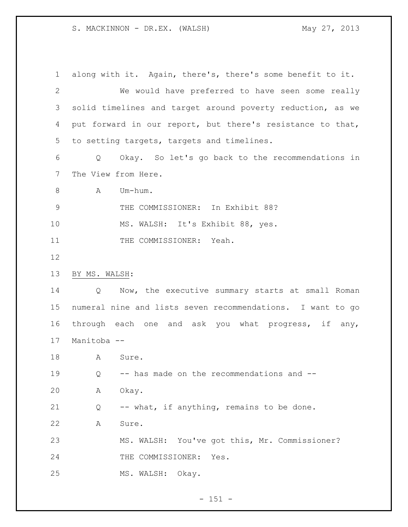along with it. Again, there's, there's some benefit to it. We would have preferred to have seen some really solid timelines and target around poverty reduction, as we put forward in our report, but there's resistance to that, to setting targets, targets and timelines. Q Okay. So let's go back to the recommendations in The View from Here. 8 A Um-hum. 9 THE COMMISSIONER: In Exhibit 88? MS. WALSH: It's Exhibit 88, yes. 11 THE COMMISSIONER: Yeah. BY MS. WALSH: Q Now, the executive summary starts at small Roman numeral nine and lists seven recommendations. I want to go through each one and ask you what progress, if any, Manitoba -- 18 A Sure. Q -- has made on the recommendations and -- A Okay. Q -- what, if anything, remains to be done. A Sure. MS. WALSH: You've got this, Mr. Commissioner? 24 THE COMMISSIONER: Yes. MS. WALSH: Okay.

 $- 151 -$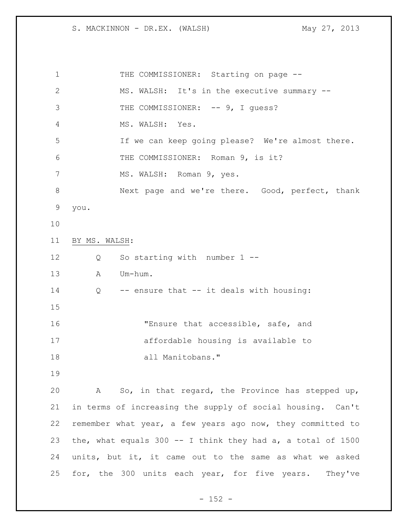1 THE COMMISSIONER: Starting on page -- MS. WALSH: It's in the executive summary -- 3 THE COMMISSIONER: -- 9, I guess? MS. WALSH: Yes. If we can keep going please? We're almost there. THE COMMISSIONER: Roman 9, is it? 7 MS. WALSH: Roman 9, yes. Next page and we're there. Good, perfect, thank you. BY MS. WALSH: Q So starting with number 1 -- A Um-hum. Q -- ensure that -- it deals with housing: "Ensure that accessible, safe, and affordable housing is available to 18 all Manitobans." A So, in that regard, the Province has stepped up, in terms of increasing the supply of social housing. Can't remember what year, a few years ago now, they committed to the, what equals 300 -- I think they had a, a total of 1500 units, but it, it came out to the same as what we asked for, the 300 units each year, for five years. They've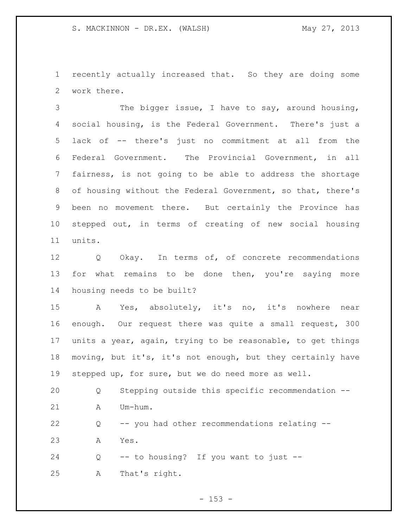recently actually increased that. So they are doing some work there.

 The bigger issue, I have to say, around housing, social housing, is the Federal Government. There's just a lack of -- there's just no commitment at all from the Federal Government. The Provincial Government, in all fairness, is not going to be able to address the shortage of housing without the Federal Government, so that, there's been no movement there. But certainly the Province has stepped out, in terms of creating of new social housing units.

 Q Okay. In terms of, of concrete recommendations 13 for what remains to be done then, you're saying more housing needs to be built?

 A Yes, absolutely, it's no, it's nowhere near enough. Our request there was quite a small request, 300 units a year, again, trying to be reasonable, to get things moving, but it's, it's not enough, but they certainly have stepped up, for sure, but we do need more as well.

 Q Stepping outside this specific recommendation -- A Um-hum. Q -- you had other recommendations relating -- A Yes.

 Q -- to housing? If you want to just -- A That's right.

 $- 153 -$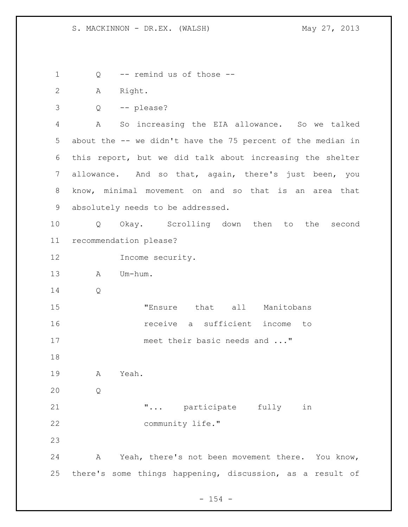Q -- remind us of those -- A Right. Q -- please? A So increasing the EIA allowance. So we talked about the -- we didn't have the 75 percent of the median in this report, but we did talk about increasing the shelter allowance. And so that, again, there's just been, you know, minimal movement on and so that is an area that absolutely needs to be addressed. Q Okay. Scrolling down then to the second recommendation please? Income security. A Um-hum. Q "Ensure that all Manitobans receive a sufficient income to 17 meet their basic needs and ..." A Yeah. Q **"...** participate fully in 22 community life." A Yeah, there's not been movement there. You know, there's some things happening, discussion, as a result of

- 154 -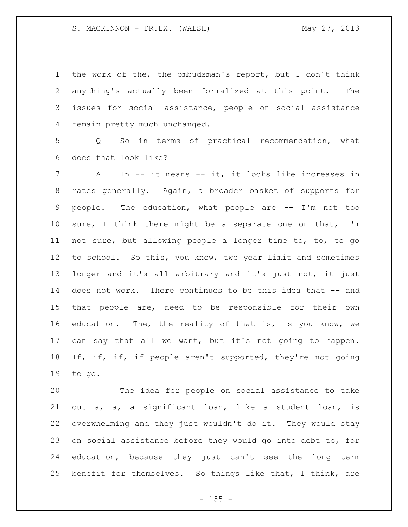the work of the, the ombudsman's report, but I don't think anything's actually been formalized at this point. The issues for social assistance, people on social assistance remain pretty much unchanged.

 Q So in terms of practical recommendation, what does that look like?

 A In -- it means -- it, it looks like increases in rates generally. Again, a broader basket of supports for people. The education, what people are -- I'm not too sure, I think there might be a separate one on that, I'm not sure, but allowing people a longer time to, to, to go to school. So this, you know, two year limit and sometimes longer and it's all arbitrary and it's just not, it just 14 does not work. There continues to be this idea that -- and that people are, need to be responsible for their own education. The, the reality of that is, is you know, we can say that all we want, but it's not going to happen. If, if, if, if people aren't supported, they're not going to go.

 The idea for people on social assistance to take out a, a, a significant loan, like a student loan, is overwhelming and they just wouldn't do it. They would stay on social assistance before they would go into debt to, for education, because they just can't see the long term benefit for themselves. So things like that, I think, are

 $- 155 -$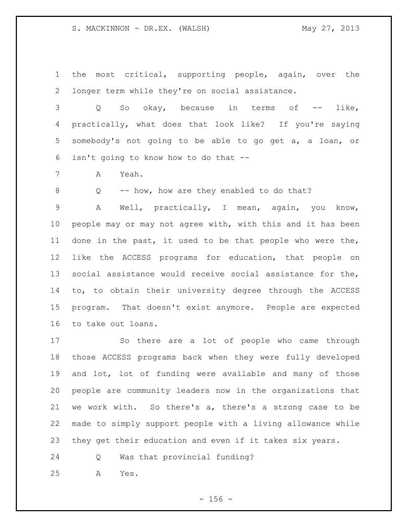the most critical, supporting people, again, over the longer term while they're on social assistance.

 Q So okay, because in terms of -- like, practically, what does that look like? If you're saying somebody's not going to be able to go get a, a loan, or isn't going to know how to do that --

A Yeah.

8 Q -- how, how are they enabled to do that?

 A Well, practically, I mean, again, you know, people may or may not agree with, with this and it has been done in the past, it used to be that people who were the, like the ACCESS programs for education, that people on social assistance would receive social assistance for the, to, to obtain their university degree through the ACCESS program. That doesn't exist anymore. People are expected to take out loans.

 So there are a lot of people who came through those ACCESS programs back when they were fully developed and lot, lot of funding were available and many of those people are community leaders now in the organizations that we work with. So there's a, there's a strong case to be made to simply support people with a living allowance while they get their education and even if it takes six years.

Q Was that provincial funding?

A Yes.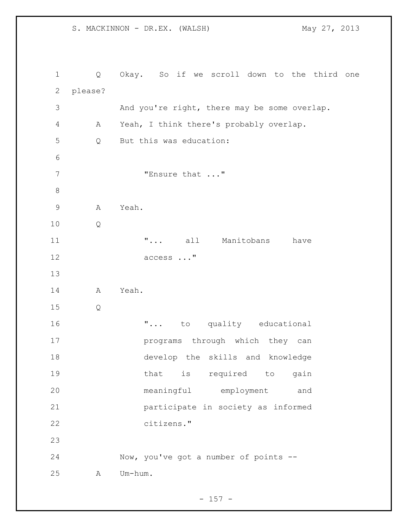Q Okay. So if we scroll down to the third one please? And you're right, there may be some overlap. A Yeah, I think there's probably overlap. Q But this was education: 7 TEnsure that ..." A Yeah. Q **"...** all Manitobans have access ..." A Yeah. Q 16  $\ldots$  "... to quality educational programs through which they can develop the skills and knowledge 19 that is required to gain meaningful employment and participate in society as informed citizens." Now, you've got a number of points -- A Um-hum.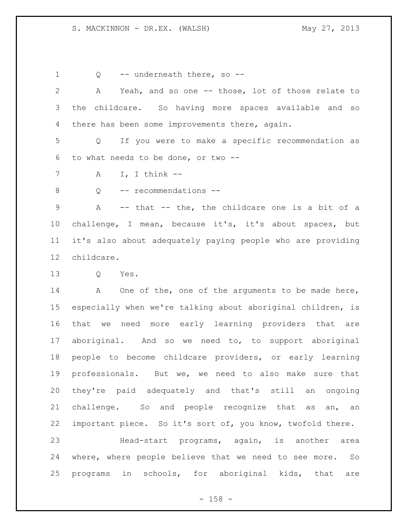1 Q -- underneath there, so --

 A Yeah, and so one -- those, lot of those relate to the childcare. So having more spaces available and so there has been some improvements there, again.

 Q If you were to make a specific recommendation as to what needs to be done, or two --

A I, I think --

8 Q -- recommendations --

 A -- that -- the, the childcare one is a bit of a challenge, I mean, because it's, it's about spaces, but it's also about adequately paying people who are providing childcare.

Q Yes.

14 A One of the, one of the arguments to be made here, especially when we're talking about aboriginal children, is that we need more early learning providers that are aboriginal. And so we need to, to support aboriginal people to become childcare providers, or early learning professionals. But we, we need to also make sure that they're paid adequately and that's still an ongoing challenge. So and people recognize that as an, an important piece. So it's sort of, you know, twofold there. Head-start programs, again, is another area where, where people believe that we need to see more. So

programs in schools, for aboriginal kids, that are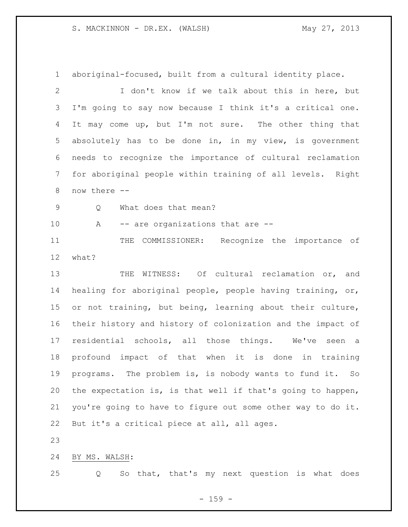aboriginal-focused, built from a cultural identity place. I don't know if we talk about this in here, but I'm going to say now because I think it's a critical one. 4 It may come up, but I'm not sure. The other thing that absolutely has to be done in, in my view, is government needs to recognize the importance of cultural reclamation for aboriginal people within training of all levels. Right now there -- 9 0 What does that mean? 10 A -- are organizations that are -- THE COMMISSIONER: Recognize the importance of what? 13 THE WITNESS: Of cultural reclamation or, and healing for aboriginal people, people having training, or, or not training, but being, learning about their culture, their history and history of colonization and the impact of residential schools, all those things. We've seen a profound impact of that when it is done in training programs. The problem is, is nobody wants to fund it. So the expectation is, is that well if that's going to happen, you're going to have to figure out some other way to do it. But it's a critical piece at all, all ages. 

BY MS. WALSH:

Q So that, that's my next question is what does

- 159 -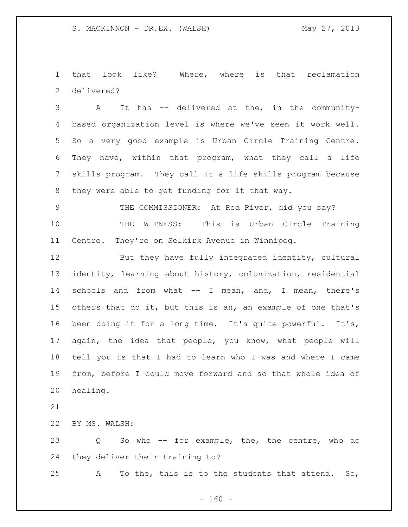that look like? Where, where is that reclamation delivered?

 A It has -- delivered at the, in the community- based organization level is where we've seen it work well. So a very good example is Urban Circle Training Centre. They have, within that program, what they call a life skills program. They call it a life skills program because they were able to get funding for it that way.

THE COMMISSIONER: At Red River, did you say?

 THE WITNESS: This is Urban Circle Training Centre. They're on Selkirk Avenue in Winnipeg.

12 But they have fully integrated identity, cultural identity, learning about history, colonization, residential schools and from what -- I mean, and, I mean, there's others that do it, but this is an, an example of one that's been doing it for a long time. It's quite powerful. It's, again, the idea that people, you know, what people will tell you is that I had to learn who I was and where I came from, before I could move forward and so that whole idea of healing.

BY MS. WALSH:

 Q So who -- for example, the, the centre, who do they deliver their training to?

A To the, this is to the students that attend. So,

 $- 160 -$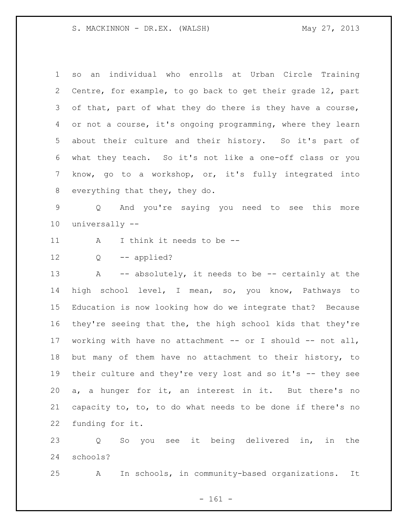so an individual who enrolls at Urban Circle Training Centre, for example, to go back to get their grade 12, part 3 of that, part of what they do there is they have a course, or not a course, it's ongoing programming, where they learn about their culture and their history. So it's part of what they teach. So it's not like a one-off class or you know, go to a workshop, or, it's fully integrated into everything that they, they do.

 Q And you're saying you need to see this more universally --

A I think it needs to be --

Q -- applied?

13 A -- absolutely, it needs to be -- certainly at the high school level, I mean, so, you know, Pathways to Education is now looking how do we integrate that? Because they're seeing that the, the high school kids that they're working with have no attachment -- or I should -- not all, but many of them have no attachment to their history, to their culture and they're very lost and so it's -- they see a, a hunger for it, an interest in it. But there's no capacity to, to, to do what needs to be done if there's no funding for it.

 Q So you see it being delivered in, in the schools?

A In schools, in community-based organizations. It

- 161 -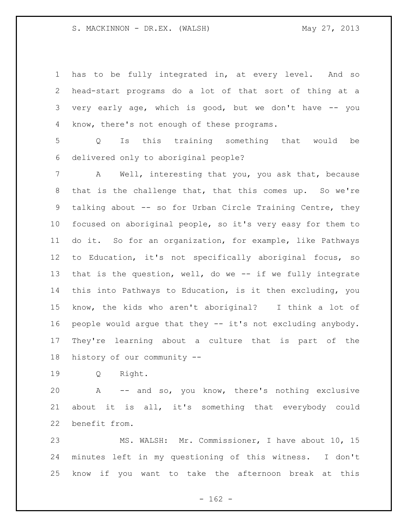has to be fully integrated in, at every level. And so head-start programs do a lot of that sort of thing at a very early age, which is good, but we don't have -- you know, there's not enough of these programs.

 Q Is this training something that would be delivered only to aboriginal people?

 A Well, interesting that you, you ask that, because that is the challenge that, that this comes up. So we're 9 talking about -- so for Urban Circle Training Centre, they focused on aboriginal people, so it's very easy for them to do it. So for an organization, for example, like Pathways to Education, it's not specifically aboriginal focus, so that is the question, well, do we -- if we fully integrate this into Pathways to Education, is it then excluding, you know, the kids who aren't aboriginal? I think a lot of people would argue that they -- it's not excluding anybody. They're learning about a culture that is part of the history of our community --

Q Right.

 A -- and so, you know, there's nothing exclusive about it is all, it's something that everybody could benefit from.

 MS. WALSH: Mr. Commissioner, I have about 10, 15 minutes left in my questioning of this witness. I don't know if you want to take the afternoon break at this

 $- 162 -$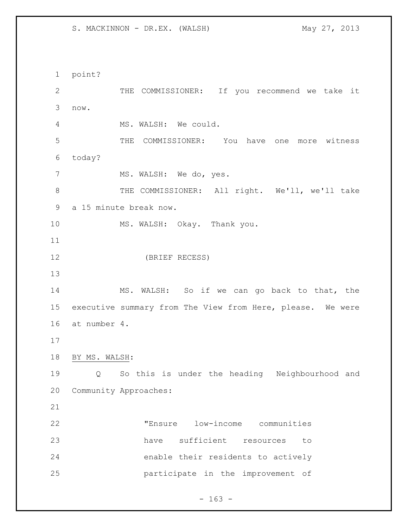point? THE COMMISSIONER: If you recommend we take it now. MS. WALSH: We could. THE COMMISSIONER: You have one more witness today? 7 MS. WALSH: We do, yes. 8 THE COMMISSIONER: All right. We'll, we'll take a 15 minute break now. MS. WALSH: Okay. Thank you. (BRIEF RECESS) MS. WALSH: So if we can go back to that, the executive summary from The View from Here, please. We were at number 4. BY MS. WALSH: Q So this is under the heading Neighbourhood and Community Approaches: "Ensure low-income communities have sufficient resources to enable their residents to actively participate in the improvement of

 $- 163 -$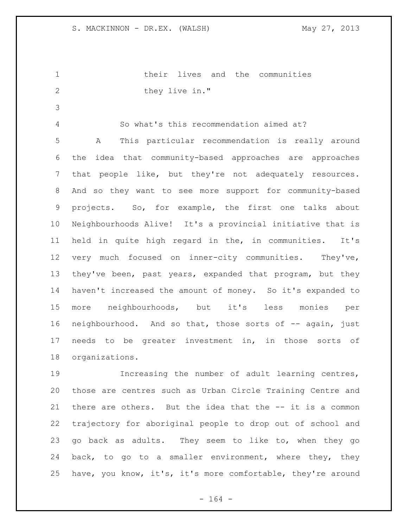their lives and the communities 2 they live in."

 So what's this recommendation aimed at? A This particular recommendation is really around the idea that community-based approaches are approaches that people like, but they're not adequately resources. And so they want to see more support for community-based projects. So, for example, the first one talks about Neighbourhoods Alive! It's a provincial initiative that is held in quite high regard in the, in communities. It's very much focused on inner-city communities. They've, they've been, past years, expanded that program, but they haven't increased the amount of money. So it's expanded to more neighbourhoods, but it's less monies per neighbourhood. And so that, those sorts of -- again, just needs to be greater investment in, in those sorts of organizations.

 Increasing the number of adult learning centres, those are centres such as Urban Circle Training Centre and there are others. But the idea that the -- it is a common trajectory for aboriginal people to drop out of school and go back as adults. They seem to like to, when they go 24 back, to go to a smaller environment, where they, they have, you know, it's, it's more comfortable, they're around

- 164 -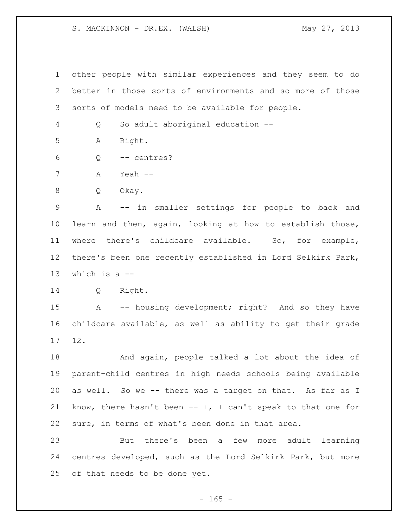other people with similar experiences and they seem to do better in those sorts of environments and so more of those sorts of models need to be available for people.

Q So adult aboriginal education --

A Right.

Q -- centres?

A Yeah --

Q Okay.

 A -- in smaller settings for people to back and learn and then, again, looking at how to establish those, where there's childcare available. So, for example, there's been one recently established in Lord Selkirk Park, which is a --

Q Right.

15 A -- housing development; right? And so they have childcare available, as well as ability to get their grade 12.

 And again, people talked a lot about the idea of parent-child centres in high needs schools being available as well. So we -- there was a target on that. As far as I know, there hasn't been -- I, I can't speak to that one for sure, in terms of what's been done in that area.

 But there's been a few more adult learning centres developed, such as the Lord Selkirk Park, but more of that needs to be done yet.

 $- 165 -$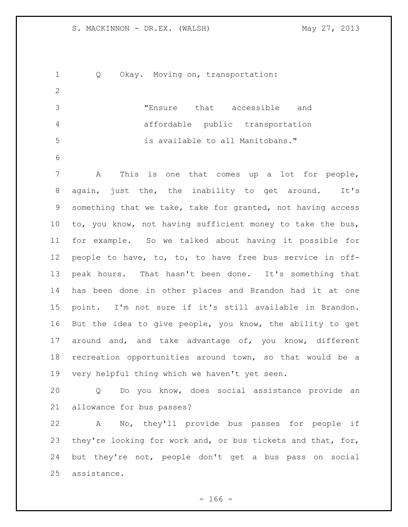Q Okay. Moving on, transportation: "Ensure that accessible and affordable public transportation is available to all Manitobans." A This is one that comes up a lot for people, again, just the, the inability to get around. It's something that we take, take for granted, not having access 10 to, you know, not having sufficient money to take the bus, for example. So we talked about having it possible for people to have, to, to, to have free bus service in off- peak hours. That hasn't been done. It's something that has been done in other places and Brandon had it at one point. I'm not sure if it's still available in Brandon. But the idea to give people, you know, the ability to get around and, and take advantage of, you know, different recreation opportunities around town, so that would be a very helpful thing which we haven't yet seen. Q Do you know, does social assistance provide an allowance for bus passes?

 A No, they'll provide bus passes for people if they're looking for work and, or bus tickets and that, for, but they're not, people don't get a bus pass on social assistance.

- 166 -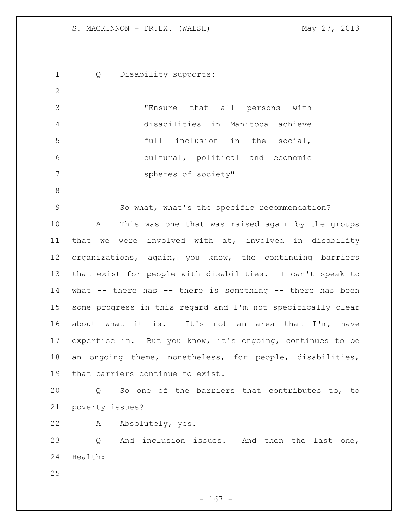Q Disability supports: "Ensure that all persons with disabilities in Manitoba achieve full inclusion in the social, cultural, political and economic spheres of society" So what, what's the specific recommendation? A This was one that was raised again by the groups that we were involved with at, involved in disability organizations, again, you know, the continuing barriers that exist for people with disabilities. I can't speak to what -- there has -- there is something -- there has been some progress in this regard and I'm not specifically clear about what it is. It's not an area that I'm, have expertise in. But you know, it's ongoing, continues to be an ongoing theme, nonetheless, for people, disabilities, that barriers continue to exist. Q So one of the barriers that contributes to, to poverty issues? A Absolutely, yes. 23 O And inclusion issues. And then the last one, Health: 

- 167 -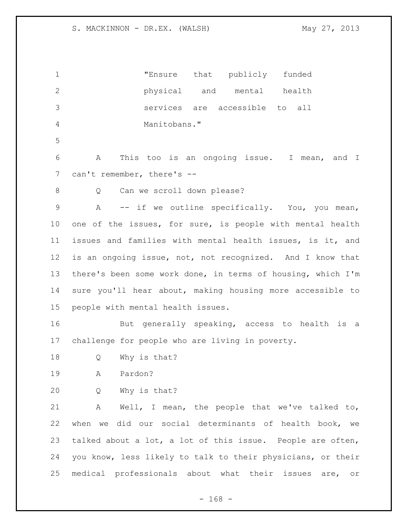"Ensure that publicly funded physical and mental health services are accessible to all Manitobans." A This too is an ongoing issue. I mean, and I 7 can't remember, there's --8 Q Can we scroll down please? A -- if we outline specifically. You, you mean, one of the issues, for sure, is people with mental health issues and families with mental health issues, is it, and is an ongoing issue, not, not recognized. And I know that there's been some work done, in terms of housing, which I'm sure you'll hear about, making housing more accessible to people with mental health issues. But generally speaking, access to health is a challenge for people who are living in poverty. Q Why is that? A Pardon? Q Why is that? A Well, I mean, the people that we've talked to, when we did our social determinants of health book, we talked about a lot, a lot of this issue. People are often, you know, less likely to talk to their physicians, or their medical professionals about what their issues are, or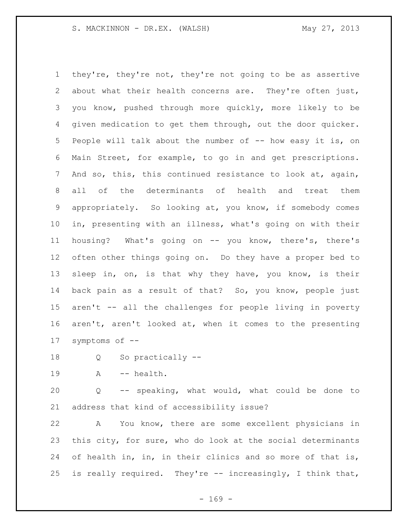they're, they're not, they're not going to be as assertive about what their health concerns are. They're often just, you know, pushed through more quickly, more likely to be given medication to get them through, out the door quicker. 5 People will talk about the number of -- how easy it is, on Main Street, for example, to go in and get prescriptions. And so, this, this continued resistance to look at, again, all of the determinants of health and treat them appropriately. So looking at, you know, if somebody comes in, presenting with an illness, what's going on with their housing? What's going on -- you know, there's, there's often other things going on. Do they have a proper bed to sleep in, on, is that why they have, you know, is their back pain as a result of that? So, you know, people just aren't -- all the challenges for people living in poverty aren't, aren't looked at, when it comes to the presenting symptoms of --

- Q So practically --
- 19 A -- health.

 Q -- speaking, what would, what could be done to address that kind of accessibility issue?

 A You know, there are some excellent physicians in this city, for sure, who do look at the social determinants 24 of health in, in, in their clinics and so more of that is, is really required. They're -- increasingly, I think that,

 $- 169 -$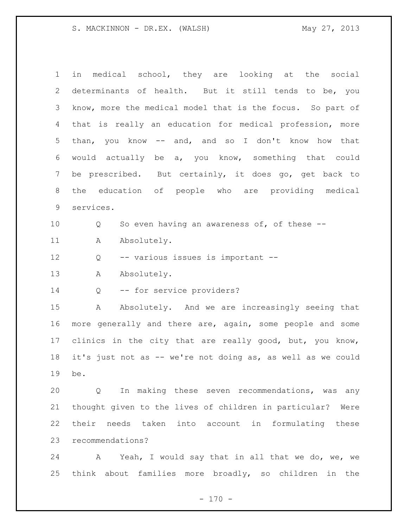| $\mathbf 1$ | medical school, they are looking at the social<br>in               |
|-------------|--------------------------------------------------------------------|
| 2           | determinants of health. But it still tends to be, you              |
| 3           | know, more the medical model that is the focus. So part of         |
| 4           | that is really an education for medical profession, more           |
| 5           | than, you know -- and, and so I don't know how that                |
| 6           | would actually be a, you know, something that could                |
| 7           | be prescribed. But certainly, it does go, get back to              |
| 8           | education of people who are providing medical<br>the               |
| $\mathsf 9$ | services.                                                          |
| 10          | So even having an awareness of, of these --<br>Q                   |
| 11          | Absolutely.<br>Α                                                   |
| 12          | -- various issues is important --<br>Q                             |
| 13          | Absolutely.<br>Α                                                   |
| 14          | -- for service providers?<br>Q                                     |
| 15          | Absolutely. And we are increasingly seeing that<br>Α               |
| 16          | more generally and there are, again, some people and some          |
| 17          | clinics in the city that are really good, but, you know,           |
| 18          | it's just not as -- we're not doing as, as well as we could        |
| 19          | be.                                                                |
| 20          | In making these seven recommendations, was any<br>Q                |
| 21          | thought given to the lives of children in particular?<br>Were      |
| 22          | their<br>needs<br>taken<br>into account<br>in formulating<br>these |
| 23          | recommendations?                                                   |
| 24          | A Yeah, I would say that in all that we do, we, we                 |

think about families more broadly, so children in the

- 170 -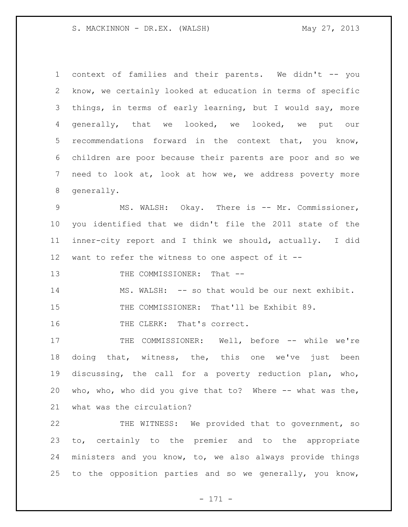context of families and their parents. We didn't -- you know, we certainly looked at education in terms of specific things, in terms of early learning, but I would say, more generally, that we looked, we looked, we put our recommendations forward in the context that, you know, children are poor because their parents are poor and so we need to look at, look at how we, we address poverty more generally.

 MS. WALSH: Okay. There is -- Mr. Commissioner, you identified that we didn't file the 2011 state of the inner-city report and I think we should, actually. I did want to refer the witness to one aspect of it --

13 THE COMMISSIONER: That --

14 MS. WALSH: -- so that would be our next exhibit.

THE COMMISSIONER: That'll be Exhibit 89.

16 THE CLERK: That's correct.

17 THE COMMISSIONER: Well, before -- while we're doing that, witness, the, this one we've just been discussing, the call for a poverty reduction plan, who, who, who, who did you give that to? Where -- what was the, what was the circulation?

 THE WITNESS: We provided that to government, so to, certainly to the premier and to the appropriate ministers and you know, to, we also always provide things to the opposition parties and so we generally, you know,

- 171 -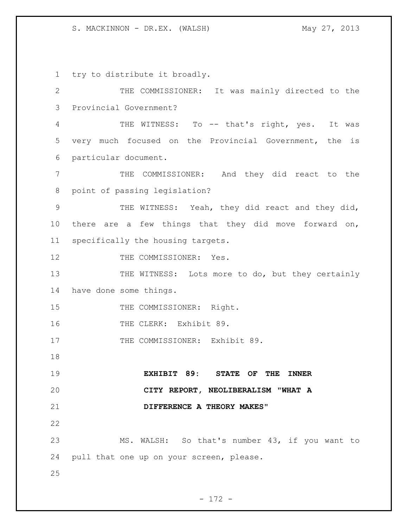try to distribute it broadly. THE COMMISSIONER: It was mainly directed to the Provincial Government? THE WITNESS: To -- that's right, yes. It was very much focused on the Provincial Government, the is particular document. THE COMMISSIONER: And they did react to the point of passing legislation? THE WITNESS: Yeah, they did react and they did, there are a few things that they did move forward on, specifically the housing targets. 12 THE COMMISSIONER: Yes. 13 THE WITNESS: Lots more to do, but they certainly have done some things. 15 THE COMMISSIONER: Right. 16 THE CLERK: Exhibit 89. 17 THE COMMISSIONER: Exhibit 89. **EXHIBIT 89: STATE OF THE INNER CITY REPORT, NEOLIBERALISM "WHAT A DIFFERENCE A THEORY MAKES"** MS. WALSH: So that's number 43, if you want to pull that one up on your screen, please.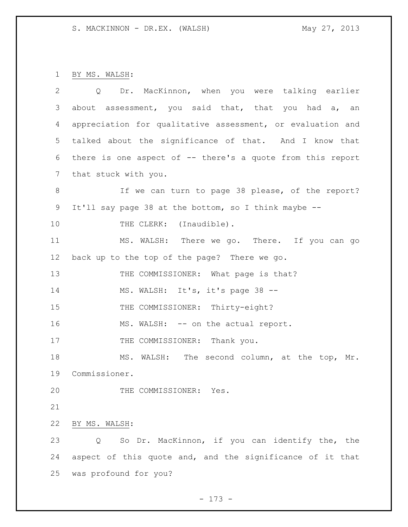BY MS. WALSH:

| $\overline{2}$  | Dr. MacKinnon, when you were talking earlier<br>$Q \qquad \qquad$ |
|-----------------|-------------------------------------------------------------------|
| 3               | about assessment, you said that, that you had a, an               |
| 4               | appreciation for qualitative assessment, or evaluation and        |
| 5 <sup>1</sup>  | talked about the significance of that. And I know that            |
| 6               | there is one aspect of $-$ there's a quote from this report       |
| $7\phantom{.0}$ | that stuck with you.                                              |
| 8               | If we can turn to page 38 please, of the report?                  |
| 9               | It'll say page 38 at the bottom, so I think maybe --              |
| 10              | THE CLERK: (Inaudible).                                           |
| 11              | MS. WALSH: There we go. There. If you can go                      |
| 12              | back up to the top of the page? There we go.                      |
| 13              | THE COMMISSIONER: What page is that?                              |
| 14              | MS. WALSH: It's, it's page 38 --                                  |
| 15              | THE COMMISSIONER: Thirty-eight?                                   |
| 16              | MS. WALSH: -- on the actual report.                               |
| 17              | THE COMMISSIONER: Thank you.                                      |
| 18              | MS. WALSH: The second column, at the top, Mr.                     |
| 19              | Commissioner.                                                     |
| 20              | THE COMMISSIONER: Yes.                                            |
| 21              |                                                                   |
| 22              | BY MS. WALSH:                                                     |
| 23              | So Dr. MacKinnon, if you can identify the, the<br>Q               |
| 24              | aspect of this quote and, and the significance of it that         |
| 25              | was profound for you?                                             |

- 173 -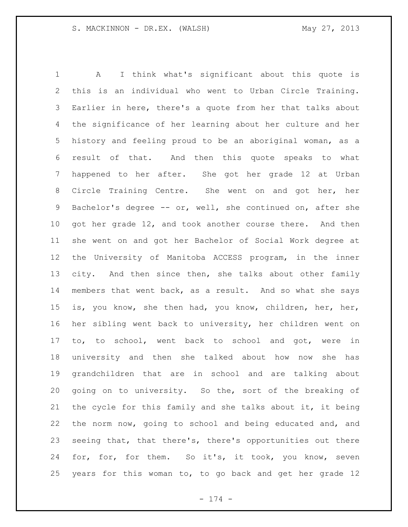A I think what's significant about this quote is this is an individual who went to Urban Circle Training. Earlier in here, there's a quote from her that talks about the significance of her learning about her culture and her history and feeling proud to be an aboriginal woman, as a result of that. And then this quote speaks to what happened to her after. She got her grade 12 at Urban Circle Training Centre. She went on and got her, her Bachelor's degree -- or, well, she continued on, after she got her grade 12, and took another course there. And then she went on and got her Bachelor of Social Work degree at the University of Manitoba ACCESS program, in the inner city. And then since then, she talks about other family members that went back, as a result. And so what she says is, you know, she then had, you know, children, her, her, her sibling went back to university, her children went on to, to school, went back to school and got, were in university and then she talked about how now she has grandchildren that are in school and are talking about going on to university. So the, sort of the breaking of the cycle for this family and she talks about it, it being the norm now, going to school and being educated and, and seeing that, that there's, there's opportunities out there for, for, for them. So it's, it took, you know, seven years for this woman to, to go back and get her grade 12

- 174 -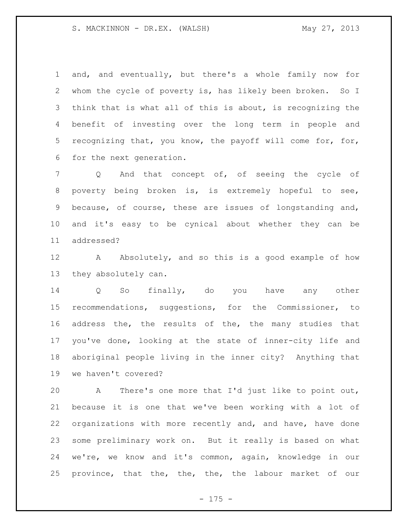and, and eventually, but there's a whole family now for whom the cycle of poverty is, has likely been broken. So I think that is what all of this is about, is recognizing the benefit of investing over the long term in people and recognizing that, you know, the payoff will come for, for, for the next generation.

7 Q And that concept of, of seeing the cycle of poverty being broken is, is extremely hopeful to see, because, of course, these are issues of longstanding and, and it's easy to be cynical about whether they can be addressed?

12 A Absolutely, and so this is a good example of how they absolutely can.

 Q So finally, do you have any other recommendations, suggestions, for the Commissioner, to address the, the results of the, the many studies that you've done, looking at the state of inner-city life and aboriginal people living in the inner city? Anything that we haven't covered?

 A There's one more that I'd just like to point out, because it is one that we've been working with a lot of organizations with more recently and, and have, have done some preliminary work on. But it really is based on what we're, we know and it's common, again, knowledge in our province, that the, the, the, the labour market of our

- 175 -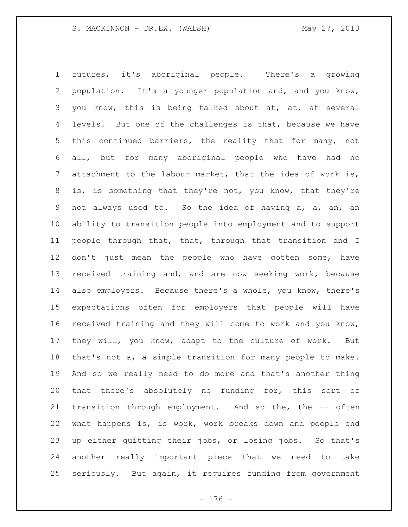futures, it's aboriginal people. There's a growing population. It's a younger population and, and you know, you know, this is being talked about at, at, at several levels. But one of the challenges is that, because we have this continued barriers, the reality that for many, not all, but for many aboriginal people who have had no attachment to the labour market, that the idea of work is, is, is something that they're not, you know, that they're not always used to. So the idea of having a, a, an, an ability to transition people into employment and to support people through that, that, through that transition and I 12 don't just mean the people who have gotten some, have received training and, and are now seeking work, because also employers. Because there's a whole, you know, there's expectations often for employers that people will have received training and they will come to work and you know, they will, you know, adapt to the culture of work. But that's not a, a simple transition for many people to make. And so we really need to do more and that's another thing that there's absolutely no funding for, this sort of transition through employment. And so the, the -- often what happens is, is work, work breaks down and people end up either quitting their jobs, or losing jobs. So that's another really important piece that we need to take seriously. But again, it requires funding from government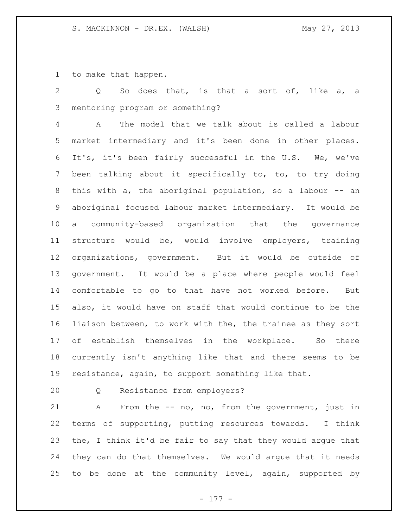to make that happen.

 Q So does that, is that a sort of, like a, a mentoring program or something?

 A The model that we talk about is called a labour market intermediary and it's been done in other places. It's, it's been fairly successful in the U.S. We, we've been talking about it specifically to, to, to try doing 8 this with a, the aboriginal population, so a labour -- an aboriginal focused labour market intermediary. It would be a community-based organization that the governance structure would be, would involve employers, training organizations, government. But it would be outside of government. It would be a place where people would feel comfortable to go to that have not worked before. But also, it would have on staff that would continue to be the liaison between, to work with the, the trainee as they sort of establish themselves in the workplace. So there currently isn't anything like that and there seems to be resistance, again, to support something like that.

Q Resistance from employers?

 A From the -- no, no, from the government, just in terms of supporting, putting resources towards. I think the, I think it'd be fair to say that they would argue that they can do that themselves. We would argue that it needs to be done at the community level, again, supported by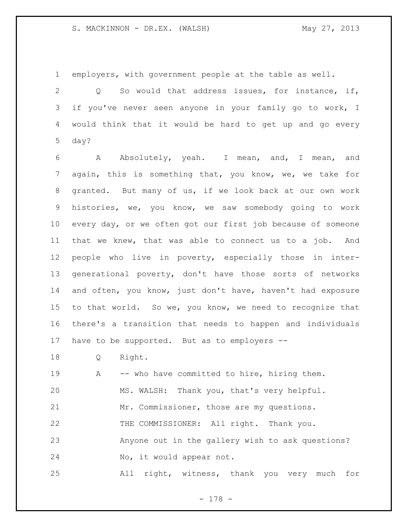## S. MACKINNON - DR.EX. (WALSH) May 27, 2013

employers, with government people at the table as well.

 Q So would that address issues, for instance, if, if you've never seen anyone in your family go to work, I would think that it would be hard to get up and go every day?

 A Absolutely, yeah. I mean, and, I mean, and again, this is something that, you know, we, we take for granted. But many of us, if we look back at our own work histories, we, you know, we saw somebody going to work every day, or we often got our first job because of someone that we knew, that was able to connect us to a job. And people who live in poverty, especially those in inter- generational poverty, don't have those sorts of networks and often, you know, just don't have, haven't had exposure to that world. So we, you know, we need to recognize that there's a transition that needs to happen and individuals have to be supported. But as to employers --

Q Right.

 A -- who have committed to hire, hiring them. MS. WALSH: Thank you, that's very helpful. Mr. Commissioner, those are my questions. THE COMMISSIONER: All right. Thank you. Anyone out in the gallery wish to ask questions? No, it would appear not. All right, witness, thank you very much for

- 178 -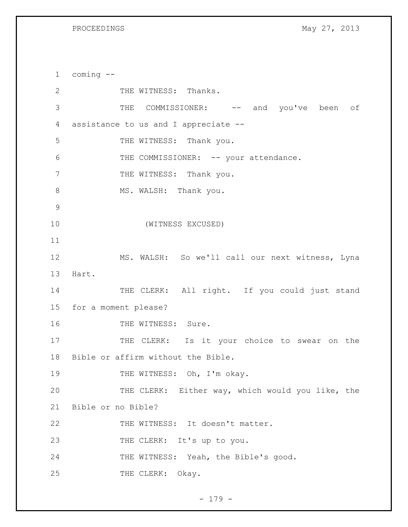PROCEEDINGS May 27, 2013

1 coming -- 2 THE WITNESS: Thanks. 3 THE COMMISSIONER: -- and you've been of 4 assistance to us and I appreciate -- 5 THE WITNESS: Thank you. 6 THE COMMISSIONER: -- your attendance. 7 THE WITNESS: Thank you. 8 MS. WALSH: Thank you. 9 10 (WITNESS EXCUSED) 11 12 MS. WALSH: So we'll call our next witness, Lyna 13 Hart. 14 THE CLERK: All right. If you could just stand 15 for a moment please? 16 THE WITNESS: Sure. 17 THE CLERK: Is it your choice to swear on the 18 Bible or affirm without the Bible. 19 THE WITNESS: Oh, I'm okay. 20 THE CLERK: Either way, which would you like, the 21 Bible or no Bible? 22 THE WITNESS: It doesn't matter. 23 THE CLERK: It's up to you. 24 THE WITNESS: Yeah, the Bible's good. 25 THE CLERK: Okay.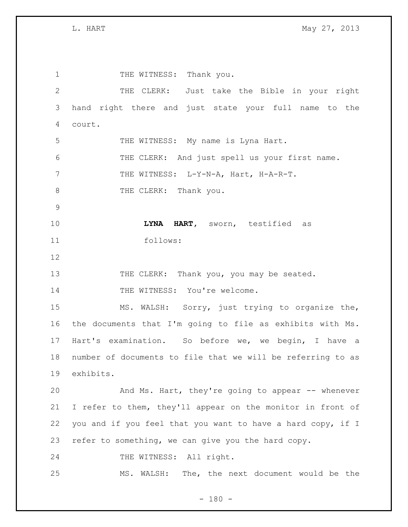1 THE WITNESS: Thank you. THE CLERK: Just take the Bible in your right hand right there and just state your full name to the court. 5 THE WITNESS: My name is Lyna Hart. THE CLERK: And just spell us your first name. 7 THE WITNESS: L-Y-N-A, Hart, H-A-R-T. 8 THE CLERK: Thank you. **LYNA HART,** sworn, testified as follows: 13 THE CLERK: Thank you, you may be seated. 14 THE WITNESS: You're welcome. MS. WALSH: Sorry, just trying to organize the, the documents that I'm going to file as exhibits with Ms. Hart's examination. So before we, we begin, I have a number of documents to file that we will be referring to as exhibits. And Ms. Hart, they're going to appear -- whenever I refer to them, they'll appear on the monitor in front of you and if you feel that you want to have a hard copy, if I refer to something, we can give you the hard copy. 24 THE WITNESS: All right. MS. WALSH: The, the next document would be the

 $- 180 -$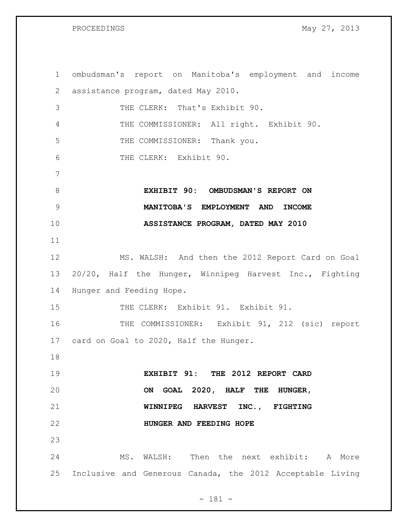PROCEEDINGS May 27, 2013

 ombudsman's report on Manitoba's employment and income assistance program, dated May 2010. THE CLERK: That's Exhibit 90. THE COMMISSIONER: All right. Exhibit 90. 5 THE COMMISSIONER: Thank you. THE CLERK: Exhibit 90. **EXHIBIT 90: OMBUDSMAN'S REPORT ON MANITOBA'S EMPLOYMENT AND INCOME ASSISTANCE PROGRAM, DATED MAY 2010** MS. WALSH: And then the 2012 Report Card on Goal 20/20, Half the Hunger, Winnipeg Harvest Inc., Fighting Hunger and Feeding Hope. THE CLERK: Exhibit 91. Exhibit 91. THE COMMISSIONER: Exhibit 91, 212 (sic) report card on Goal to 2020, Half the Hunger. **EXHIBIT 91: THE 2012 REPORT CARD ON GOAL 2020, HALF THE HUNGER, WINNIPEG HARVEST INC., FIGHTING HUNGER AND FEEDING HOPE** MS. WALSH: Then the next exhibit: A More Inclusive and Generous Canada, the 2012 Acceptable Living

- 181 -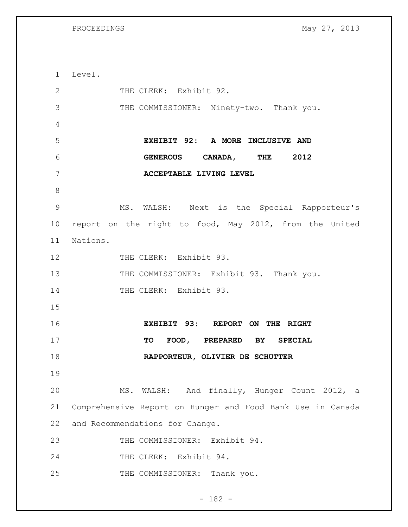PROCEEDINGS May 27, 2013

 Level. 2 THE CLERK: Exhibit 92. THE COMMISSIONER: Ninety-two. Thank you. **EXHIBIT 92: A MORE INCLUSIVE AND GENEROUS CANADA, THE 2012 ACCEPTABLE LIVING LEVEL** MS. WALSH: Next is the Special Rapporteur's report on the right to food, May 2012, from the United Nations. 12 THE CLERK: Exhibit 93. 13 THE COMMISSIONER: Exhibit 93. Thank you. 14 THE CLERK: Exhibit 93. **EXHIBIT 93: REPORT ON THE RIGHT TO FOOD, PREPARED BY SPECIAL RAPPORTEUR, OLIVIER DE SCHUTTER** MS. WALSH: And finally, Hunger Count 2012, a Comprehensive Report on Hunger and Food Bank Use in Canada and Recommendations for Change. THE COMMISSIONER: Exhibit 94. 24 THE CLERK: Exhibit 94. 25 THE COMMISSIONER: Thank you.

 $- 182 -$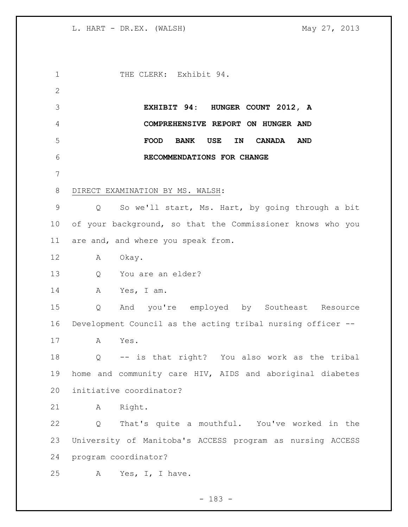1 THE CLERK: Exhibit 94. **EXHIBIT 94: HUNGER COUNT 2012, A COMPREHENSIVE REPORT ON HUNGER AND FOOD BANK USE IN CANADA AND RECOMMENDATIONS FOR CHANGE** DIRECT EXAMINATION BY MS. WALSH: Q So we'll start, Ms. Hart, by going through a bit of your background, so that the Commissioner knows who you are and, and where you speak from. A Okay. Q You are an elder? A Yes, I am. Q And you're employed by Southeast Resource Development Council as the acting tribal nursing officer -- A Yes. Q -- is that right? You also work as the tribal home and community care HIV, AIDS and aboriginal diabetes initiative coordinator? A Right. Q That's quite a mouthful. You've worked in the University of Manitoba's ACCESS program as nursing ACCESS program coordinator? A Yes, I, I have.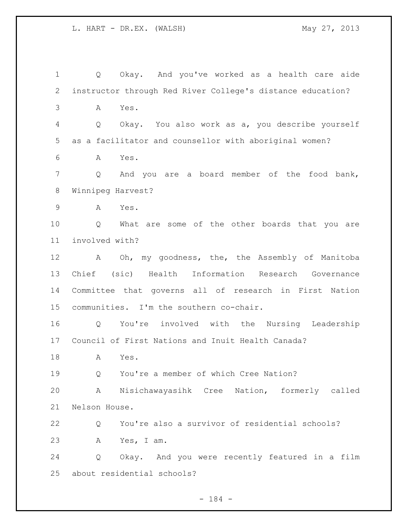| $\mathbf 1$    | Okay. And you've worked as a health care aide<br>Q             |
|----------------|----------------------------------------------------------------|
| $\overline{2}$ | instructor through Red River College's distance education?     |
| 3              | Α<br>Yes.                                                      |
| 4              | Okay. You also work as a, you describe yourself<br>Q           |
| 5              | as a facilitator and counsellor with aboriginal women?         |
| 6              | Yes.<br>Α                                                      |
| 7              | And you are a board member of the food bank,<br>Q              |
| $8\,$          | Winnipeg Harvest?                                              |
| $\mathsf 9$    | A<br>Yes.                                                      |
| 10             | Q<br>What are some of the other boards that you are            |
| 11             | involved with?                                                 |
| 12             | Oh, my goodness, the, the Assembly of Manitoba<br>$\mathbf{A}$ |
| 13             | Chief (sic) Health Information Research Governance             |
| 14             | Committee that governs all of research in First Nation         |
| 15             | communities. I'm the southern co-chair.                        |
| 16             | You're involved with the Nursing Leadership<br>Q               |
| 17             | Council of First Nations and Inuit Health Canada?              |
| 18             | Α<br>Yes.                                                      |
| 19             | You're a member of which Cree Nation?<br>Q                     |
| 20             | Nisichawayasihk Cree Nation, formerly called<br>Α              |
| 21             | Nelson House.                                                  |
| 22             | You're also a survivor of residential schools?<br>Q            |
| 23             | Α<br>Yes, I am.                                                |
| 24             | Q<br>Okay. And you were recently featured in a film            |
| 25             | about residential schools?                                     |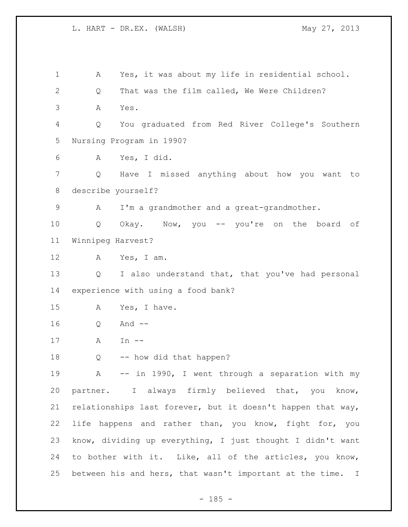| $\mathbf 1$    | Yes, it was about my life in residential school.<br>Α       |
|----------------|-------------------------------------------------------------|
| $\overline{2}$ | That was the film called, We Were Children?<br>Q            |
| 3              | Α<br>Yes.                                                   |
| $\overline{4}$ | You graduated from Red River College's Southern<br>Q        |
| 5              | Nursing Program in 1990?                                    |
| 6              | Yes, I did.<br>А                                            |
| $7\phantom{.}$ | Have I missed anything about how you want to<br>Q           |
| 8              | describe yourself?                                          |
| $\mathsf 9$    | I'm a grandmother and a great-grandmother.<br>Α             |
| 10             | Okay. Now, you -- you're on the board of<br>Q               |
| 11             | Winnipeg Harvest?                                           |
| 12             | Α<br>Yes, I am.                                             |
| 13             | I also understand that, that you've had personal<br>Q       |
| 14             | experience with using a food bank?                          |
| 15             | Yes, I have.<br>Α                                           |
| 16             | And $--$<br>Q                                               |
| 17             | Α<br>In $--$                                                |
| 18             | -- how did that happen?<br>Q                                |
| 19             | A -- in 1990, I went through a separation with my           |
| 20             | partner. I always firmly believed that, you know,           |
| 21             | relationships last forever, but it doesn't happen that way, |
| 22             | life happens and rather than, you know, fight for, you      |
| 23             | know, dividing up everything, I just thought I didn't want  |
| 24             | to bother with it. Like, all of the articles, you know,     |
| 25             | between his and hers, that wasn't important at the time. I  |

- 185 -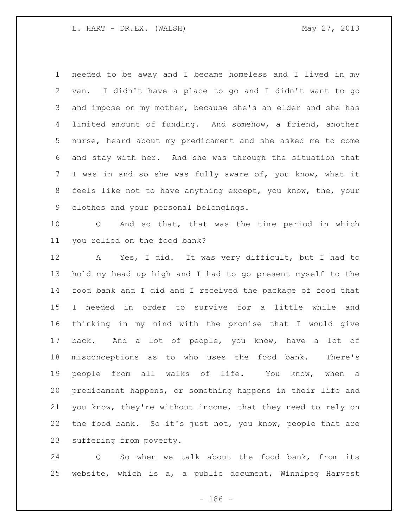needed to be away and I became homeless and I lived in my van. I didn't have a place to go and I didn't want to go and impose on my mother, because she's an elder and she has limited amount of funding. And somehow, a friend, another nurse, heard about my predicament and she asked me to come and stay with her. And she was through the situation that I was in and so she was fully aware of, you know, what it feels like not to have anything except, you know, the, your clothes and your personal belongings.

 Q And so that, that was the time period in which you relied on the food bank?

 A Yes, I did. It was very difficult, but I had to hold my head up high and I had to go present myself to the food bank and I did and I received the package of food that I needed in order to survive for a little while and thinking in my mind with the promise that I would give back. And a lot of people, you know, have a lot of misconceptions as to who uses the food bank. There's people from all walks of life. You know, when a predicament happens, or something happens in their life and you know, they're without income, that they need to rely on the food bank. So it's just not, you know, people that are suffering from poverty.

 Q So when we talk about the food bank, from its website, which is a, a public document, Winnipeg Harvest

- 186 -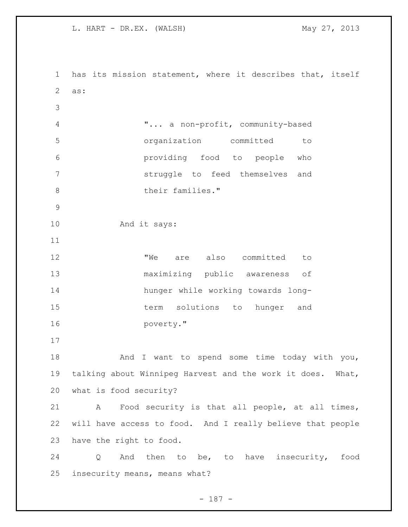has its mission statement, where it describes that, itself as: "... a non-profit, community-based organization committed to providing food to people who struggle to feed themselves and 8 their families." And it says: 12 TWe are also committed to maximizing public awareness of hunger while working towards long- term solutions to hunger and poverty." 18 And I want to spend some time today with you, talking about Winnipeg Harvest and the work it does. What, what is food security? A Food security is that all people, at all times, will have access to food. And I really believe that people have the right to food. Q And then to be, to have insecurity, food insecurity means, means what?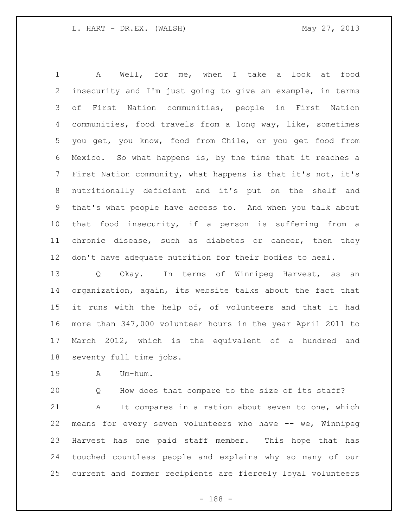A Well, for me, when I take a look at food insecurity and I'm just going to give an example, in terms of First Nation communities, people in First Nation communities, food travels from a long way, like, sometimes you get, you know, food from Chile, or you get food from Mexico. So what happens is, by the time that it reaches a First Nation community, what happens is that it's not, it's nutritionally deficient and it's put on the shelf and that's what people have access to. And when you talk about that food insecurity, if a person is suffering from a chronic disease, such as diabetes or cancer, then they don't have adequate nutrition for their bodies to heal.

 Q Okay. In terms of Winnipeg Harvest, as an organization, again, its website talks about the fact that it runs with the help of, of volunteers and that it had more than 347,000 volunteer hours in the year April 2011 to March 2012, which is the equivalent of a hundred and seventy full time jobs.

A Um-hum.

Q How does that compare to the size of its staff?

 A It compares in a ration about seven to one, which means for every seven volunteers who have -- we, Winnipeg Harvest has one paid staff member. This hope that has touched countless people and explains why so many of our current and former recipients are fiercely loyal volunteers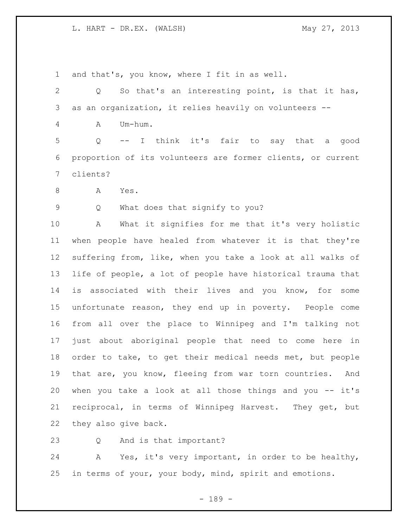and that's, you know, where I fit in as well. Q So that's an interesting point, is that it has, as an organization, it relies heavily on volunteers -- A Um-hum. Q -- I think it's fair to say that a good proportion of its volunteers are former clients, or current clients? A Yes. Q What does that signify to you? A What it signifies for me that it's very holistic when people have healed from whatever it is that they're suffering from, like, when you take a look at all walks of life of people, a lot of people have historical trauma that is associated with their lives and you know, for some unfortunate reason, they end up in poverty. People come from all over the place to Winnipeg and I'm talking not just about aboriginal people that need to come here in order to take, to get their medical needs met, but people that are, you know, fleeing from war torn countries. And when you take a look at all those things and you -- it's reciprocal, in terms of Winnipeg Harvest. They get, but they also give back.

Q And is that important?

 A Yes, it's very important, in order to be healthy, in terms of your, your body, mind, spirit and emotions.

- 189 -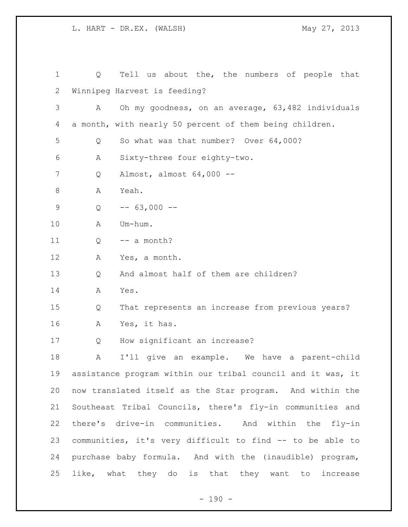| $\mathbf 1$ | Q | Tell us about the, the numbers of people that               |
|-------------|---|-------------------------------------------------------------|
| 2           |   | Winnipeg Harvest is feeding?                                |
| 3           | A | Oh my goodness, on an average, 63,482 individuals           |
| 4           |   | a month, with nearly 50 percent of them being children.     |
| 5           | Q | So what was that number? Over 64,000?                       |
| 6           | Α | Sixty-three four eighty-two.                                |
| 7           | Q | Almost, almost $64,000$ --                                  |
| 8           | Α | Yeah.                                                       |
| $\mathsf 9$ | Q | $-- 63,000 --$                                              |
| 10          | Α | Um-hum.                                                     |
| 11          | Q | -- a month?                                                 |
| 12          | А | Yes, a month.                                               |
| 13          | Q | And almost half of them are children?                       |
| 14          | А | Yes.                                                        |
| 15          | Q | That represents an increase from previous years?            |
| 16          | Α | Yes, it has.                                                |
| 17          | Q | How significant an increase?                                |
| 18          | Α | I'll give an example. We have a parent-child                |
| 19          |   | assistance program within our tribal council and it was, it |
| 20          |   | now translated itself as the Star program. And within the   |
| 21          |   | Southeast Tribal Councils, there's fly-in communities and   |
| 22          |   | there's drive-in communities. And within the fly-in         |
| 23          |   | communities, it's very difficult to find -- to be able to   |
| 24          |   | purchase baby formula. And with the (inaudible) program,    |
| 25          |   | like, what they do is that they want to increase            |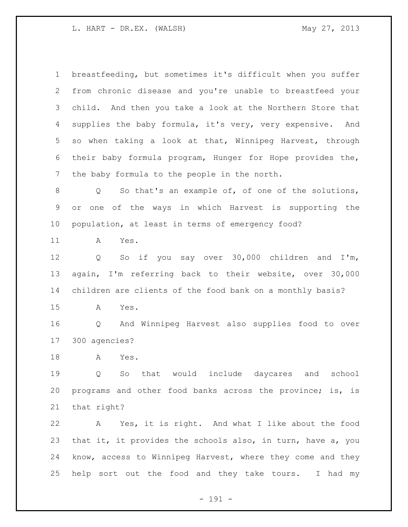breastfeeding, but sometimes it's difficult when you suffer from chronic disease and you're unable to breastfeed your child. And then you take a look at the Northern Store that supplies the baby formula, it's very, very expensive. And so when taking a look at that, Winnipeg Harvest, through their baby formula program, Hunger for Hope provides the, the baby formula to the people in the north.

 Q So that's an example of, of one of the solutions, or one of the ways in which Harvest is supporting the population, at least in terms of emergency food?

A Yes.

 Q So if you say over 30,000 children and I'm, again, I'm referring back to their website, over 30,000 children are clients of the food bank on a monthly basis?

A Yes.

 Q And Winnipeg Harvest also supplies food to over 300 agencies?

A Yes.

 Q So that would include daycares and school programs and other food banks across the province; is, is that right?

 A Yes, it is right. And what I like about the food that it, it provides the schools also, in turn, have a, you know, access to Winnipeg Harvest, where they come and they help sort out the food and they take tours. I had my

- 191 -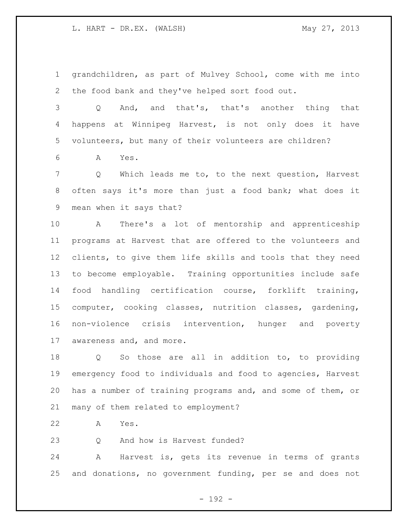grandchildren, as part of Mulvey School, come with me into the food bank and they've helped sort food out.

 Q And, and that's, that's another thing that happens at Winnipeg Harvest, is not only does it have volunteers, but many of their volunteers are children?

A Yes.

 Q Which leads me to, to the next question, Harvest often says it's more than just a food bank; what does it mean when it says that?

 A There's a lot of mentorship and apprenticeship programs at Harvest that are offered to the volunteers and clients, to give them life skills and tools that they need to become employable. Training opportunities include safe food handling certification course, forklift training, computer, cooking classes, nutrition classes, gardening, non-violence crisis intervention, hunger and poverty awareness and, and more.

 Q So those are all in addition to, to providing emergency food to individuals and food to agencies, Harvest has a number of training programs and, and some of them, or many of them related to employment?

A Yes.

Q And how is Harvest funded?

 A Harvest is, gets its revenue in terms of grants and donations, no government funding, per se and does not

- 192 -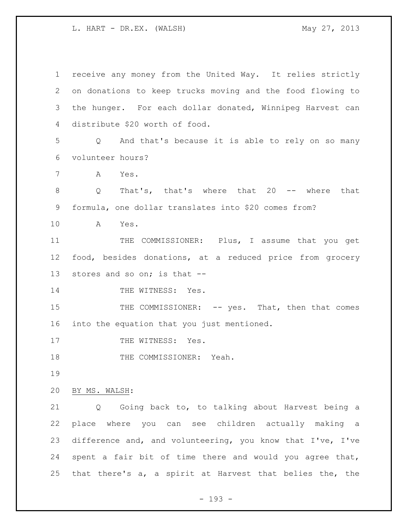receive any money from the United Way. It relies strictly on donations to keep trucks moving and the food flowing to the hunger. For each dollar donated, Winnipeg Harvest can distribute \$20 worth of food. Q And that's because it is able to rely on so many volunteer hours? A Yes. Q That's, that's where that 20 -- where that formula, one dollar translates into \$20 comes from? A Yes. 11 THE COMMISSIONER: Plus, I assume that you get food, besides donations, at a reduced price from grocery stores and so on; is that -- 14 THE WITNESS: Yes. 15 THE COMMISSIONER: -- yes. That, then that comes into the equation that you just mentioned. 17 THE WITNESS: Yes. 18 THE COMMISSIONER: Yeah. BY MS. WALSH: Q Going back to, to talking about Harvest being a place where you can see children actually making a difference and, and volunteering, you know that I've, I've spent a fair bit of time there and would you agree that, that there's a, a spirit at Harvest that belies the, the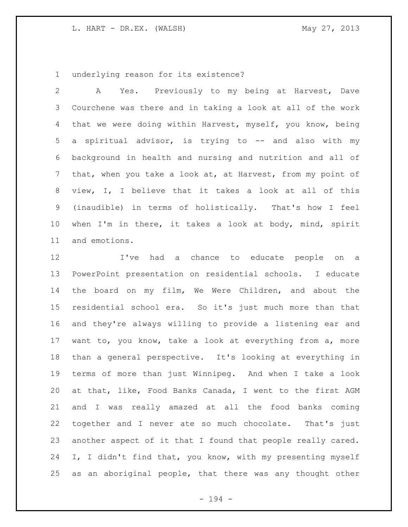underlying reason for its existence?

 A Yes. Previously to my being at Harvest, Dave Courchene was there and in taking a look at all of the work that we were doing within Harvest, myself, you know, being a spiritual advisor, is trying to -- and also with my background in health and nursing and nutrition and all of that, when you take a look at, at Harvest, from my point of view, I, I believe that it takes a look at all of this (inaudible) in terms of holistically. That's how I feel when I'm in there, it takes a look at body, mind, spirit and emotions.

 I've had a chance to educate people on a PowerPoint presentation on residential schools. I educate the board on my film, We Were Children, and about the residential school era. So it's just much more than that and they're always willing to provide a listening ear and want to, you know, take a look at everything from a, more than a general perspective. It's looking at everything in terms of more than just Winnipeg. And when I take a look at that, like, Food Banks Canada, I went to the first AGM and I was really amazed at all the food banks coming together and I never ate so much chocolate. That's just another aspect of it that I found that people really cared. I, I didn't find that, you know, with my presenting myself as an aboriginal people, that there was any thought other

- 194 -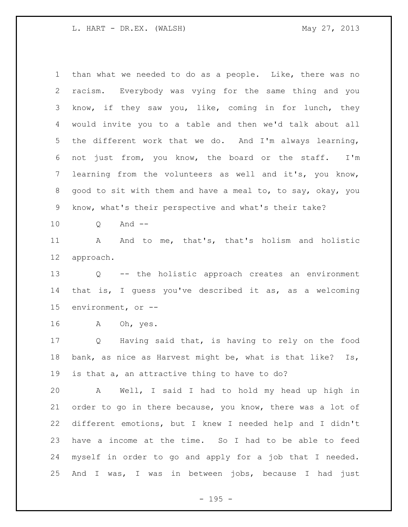than what we needed to do as a people. Like, there was no racism. Everybody was vying for the same thing and you know, if they saw you, like, coming in for lunch, they would invite you to a table and then we'd talk about all the different work that we do. And I'm always learning, not just from, you know, the board or the staff. I'm learning from the volunteers as well and it's, you know, good to sit with them and have a meal to, to say, okay, you know, what's their perspective and what's their take?

Q And --

11 A And to me, that's, that's holism and holistic approach.

 Q -- the holistic approach creates an environment that is, I guess you've described it as, as a welcoming environment, or --

A Oh, yes.

 Q Having said that, is having to rely on the food bank, as nice as Harvest might be, what is that like? Is, is that a, an attractive thing to have to do?

 A Well, I said I had to hold my head up high in order to go in there because, you know, there was a lot of different emotions, but I knew I needed help and I didn't have a income at the time. So I had to be able to feed myself in order to go and apply for a job that I needed. And I was, I was in between jobs, because I had just

- 195 -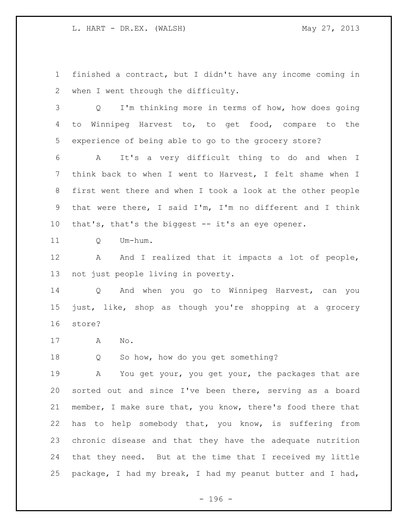finished a contract, but I didn't have any income coming in when I went through the difficulty.

 Q I'm thinking more in terms of how, how does going to Winnipeg Harvest to, to get food, compare to the experience of being able to go to the grocery store?

 A It's a very difficult thing to do and when I think back to when I went to Harvest, I felt shame when I first went there and when I took a look at the other people that were there, I said I'm, I'm no different and I think that's, that's the biggest -- it's an eye opener.

11 O Um-hum.

 A And I realized that it impacts a lot of people, not just people living in poverty.

 Q And when you go to Winnipeg Harvest, can you just, like, shop as though you're shopping at a grocery store?

A No.

Q So how, how do you get something?

19 A You get your, you get your, the packages that are sorted out and since I've been there, serving as a board member, I make sure that, you know, there's food there that has to help somebody that, you know, is suffering from chronic disease and that they have the adequate nutrition that they need. But at the time that I received my little package, I had my break, I had my peanut butter and I had,

- 196 -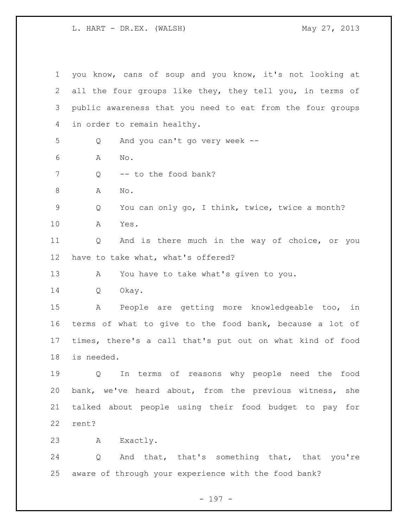you know, cans of soup and you know, it's not looking at all the four groups like they, they tell you, in terms of public awareness that you need to eat from the four groups in order to remain healthy. Q And you can't go very week -- A No. 7 0 -- to the food bank? 8 A No. Q You can only go, I think, twice, twice a month? A Yes. Q And is there much in the way of choice, or you have to take what, what's offered? A You have to take what's given to you. Q Okay. A People are getting more knowledgeable too, in terms of what to give to the food bank, because a lot of times, there's a call that's put out on what kind of food is needed. Q In terms of reasons why people need the food bank, we've heard about, from the previous witness, she talked about people using their food budget to pay for rent? A Exactly. Q And that, that's something that, that you're aware of through your experience with the food bank?

- 197 -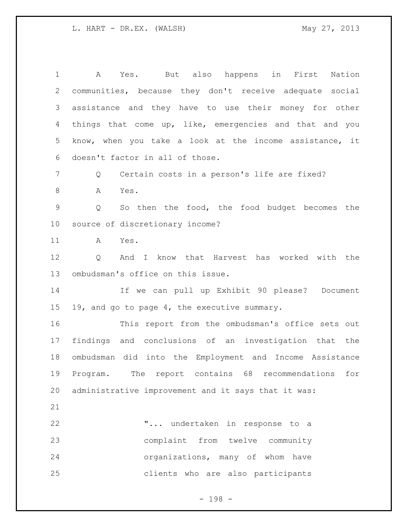A Yes. But also happens in First Nation communities, because they don't receive adequate social assistance and they have to use their money for other things that come up, like, emergencies and that and you know, when you take a look at the income assistance, it doesn't factor in all of those. Q Certain costs in a person's life are fixed? A Yes. Q So then the food, the food budget becomes the source of discretionary income? A Yes. Q And I know that Harvest has worked with the ombudsman's office on this issue. If we can pull up Exhibit 90 please? Document 19, and go to page 4, the executive summary. This report from the ombudsman's office sets out findings and conclusions of an investigation that the ombudsman did into the Employment and Income Assistance Program. The report contains 68 recommendations for administrative improvement and it says that it was: "... undertaken in response to a complaint from twelve community organizations, many of whom have clients who are also participants

- 198 -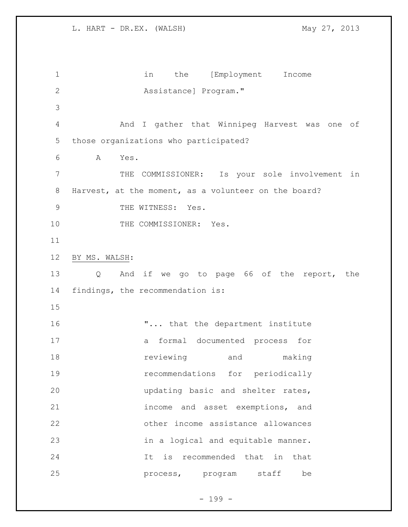in the [Employment Income Assistance] Program." And I gather that Winnipeg Harvest was one of those organizations who participated? A Yes. THE COMMISSIONER: Is your sole involvement in Harvest, at the moment, as a volunteer on the board? 9 THE WITNESS: Yes. 10 THE COMMISSIONER: Yes. BY MS. WALSH: Q And if we go to page 66 of the report, the findings, the recommendation is: 16 T... that the department institute a formal documented process for reviewing and making recommendations for periodically updating basic and shelter rates, income and asset exemptions, and other income assistance allowances in a logical and equitable manner. It is recommended that in that process, program staff be

- 199 -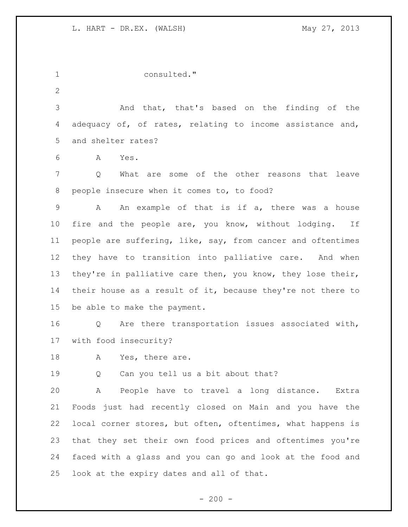consulted."

 And that, that's based on the finding of the adequacy of, of rates, relating to income assistance and, and shelter rates?

A Yes.

 Q What are some of the other reasons that leave people insecure when it comes to, to food?

 A An example of that is if a, there was a house fire and the people are, you know, without lodging. If people are suffering, like, say, from cancer and oftentimes they have to transition into palliative care. And when 13 they're in palliative care then, you know, they lose their, their house as a result of it, because they're not there to be able to make the payment.

 Q Are there transportation issues associated with, with food insecurity?

18 A Yes, there are.

Q Can you tell us a bit about that?

 A People have to travel a long distance. Extra Foods just had recently closed on Main and you have the local corner stores, but often, oftentimes, what happens is that they set their own food prices and oftentimes you're faced with a glass and you can go and look at the food and look at the expiry dates and all of that.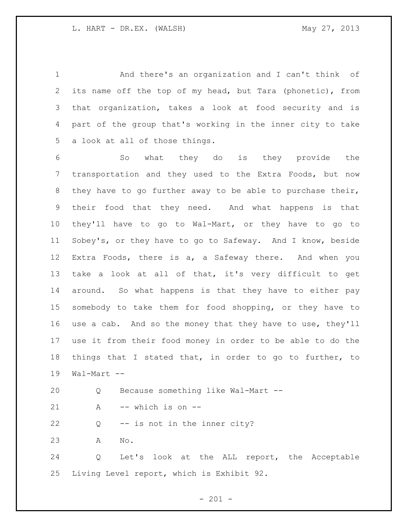And there's an organization and I can't think of its name off the top of my head, but Tara (phonetic), from that organization, takes a look at food security and is part of the group that's working in the inner city to take a look at all of those things.

 So what they do is they provide the transportation and they used to the Extra Foods, but now they have to go further away to be able to purchase their, their food that they need. And what happens is that they'll have to go to Wal-Mart, or they have to go to Sobey's, or they have to go to Safeway. And I know, beside Extra Foods, there is a, a Safeway there. And when you take a look at all of that, it's very difficult to get around. So what happens is that they have to either pay somebody to take them for food shopping, or they have to use a cab. And so the money that they have to use, they'll use it from their food money in order to be able to do the things that I stated that, in order to go to further, to Wal-Mart --

Q Because something like Wal-Mart --

A -- which is on --

Q -- is not in the inner city?

A No.

 Q Let's look at the ALL report, the Acceptable Living Level report, which is Exhibit 92.

 $- 201 -$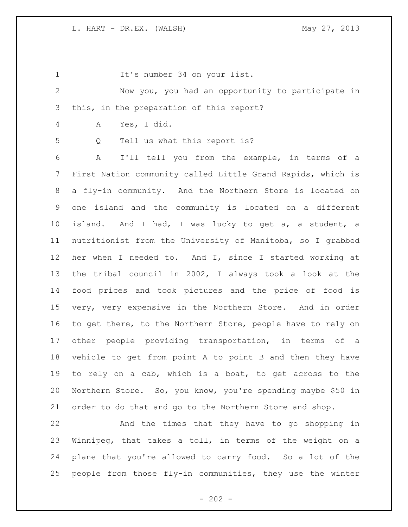1 It's number 34 on your list. Now you, you had an opportunity to participate in this, in the preparation of this report? A Yes, I did. Q Tell us what this report is? A I'll tell you from the example, in terms of a First Nation community called Little Grand Rapids, which is a fly-in community. And the Northern Store is located on one island and the community is located on a different island. And I had, I was lucky to get a, a student, a nutritionist from the University of Manitoba, so I grabbed her when I needed to. And I, since I started working at the tribal council in 2002, I always took a look at the food prices and took pictures and the price of food is very, very expensive in the Northern Store. And in order 16 to get there, to the Northern Store, people have to rely on other people providing transportation, in terms of a vehicle to get from point A to point B and then they have to rely on a cab, which is a boat, to get across to the Northern Store. So, you know, you're spending maybe \$50 in order to do that and go to the Northern Store and shop. And the times that they have to go shopping in Winnipeg, that takes a toll, in terms of the weight on a plane that you're allowed to carry food. So a lot of the

 $- 202 -$ 

people from those fly-in communities, they use the winter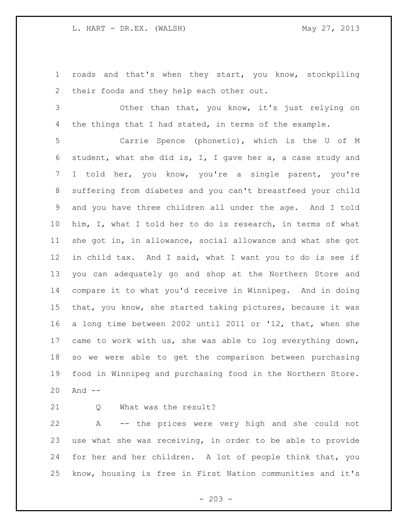roads and that's when they start, you know, stockpiling 2 their foods and they help each other out.

 Other than that, you know, it's just relying on 4 the things that I had stated, in terms of the example.

 Carrie Spence (phonetic), which is the U of M student, what she did is, I, I gave her a, a case study and I told her, you know, you're a single parent, you're suffering from diabetes and you can't breastfeed your child and you have three children all under the age. And I told him, I, what I told her to do is research, in terms of what she got in, in allowance, social allowance and what she got in child tax. And I said, what I want you to do is see if you can adequately go and shop at the Northern Store and compare it to what you'd receive in Winnipeg. And in doing that, you know, she started taking pictures, because it was a long time between 2002 until 2011 or '12, that, when she came to work with us, she was able to log everything down, so we were able to get the comparison between purchasing food in Winnipeg and purchasing food in the Northern Store. And --

21 O What was the result?

 A -- the prices were very high and she could not use what she was receiving, in order to be able to provide for her and her children. A lot of people think that, you know, housing is free in First Nation communities and it's

 $-203 -$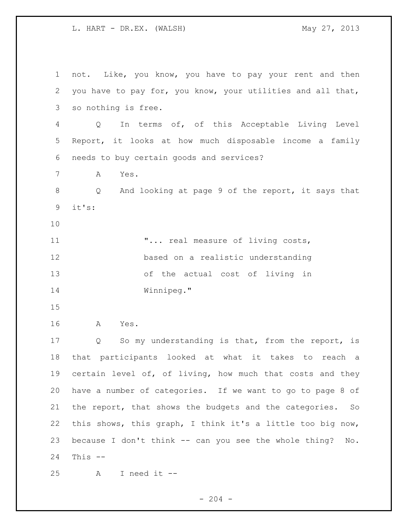not. Like, you know, you have to pay your rent and then you have to pay for, you know, your utilities and all that, so nothing is free. Q In terms of, of this Acceptable Living Level Report, it looks at how much disposable income a family needs to buy certain goods and services? A Yes. Q And looking at page 9 of the report, it says that it's: **...** real measure of living costs, based on a realistic understanding of the actual cost of living in Winnipeg." A Yes. Q So my understanding is that, from the report, is that participants looked at what it takes to reach a 19 certain level of, of living, how much that costs and they have a number of categories. If we want to go to page 8 of the report, that shows the budgets and the categories. So this shows, this graph, I think it's a little too big now, because I don't think -- can you see the whole thing? No. This -- A I need it --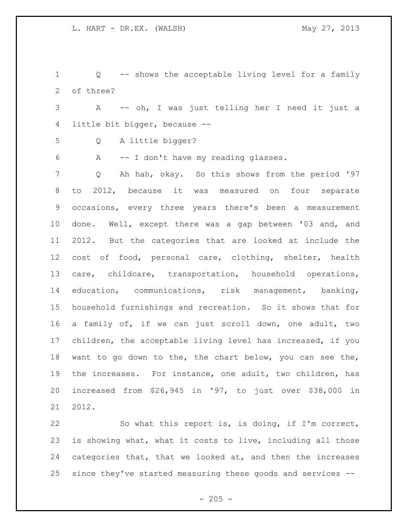Q -- shows the acceptable living level for a family of three?

 A -- oh, I was just telling her I need it just a little bit bigger, because --

Q A little bigger?

A -- I don't have my reading glasses.

 Q Ah hah, okay. So this shows from the period '97 to 2012, because it was measured on four separate occasions, every three years there's been a measurement done. Well, except there was a gap between '03 and, and 2012. But the categories that are looked at include the cost of food, personal care, clothing, shelter, health care, childcare, transportation, household operations, education, communications, risk management, banking, household furnishings and recreation. So it shows that for a family of, if we can just scroll down, one adult, two children, the acceptable living level has increased, if you want to go down to the, the chart below, you can see the, the increases. For instance, one adult, two children, has increased from \$26,945 in '97, to just over \$38,000 in 2012.

 So what this report is, is doing, if I'm correct, is showing what, what it costs to live, including all those 24 categories that, that we looked at, and then the increases since they've started measuring these goods and services --

 $- 205 -$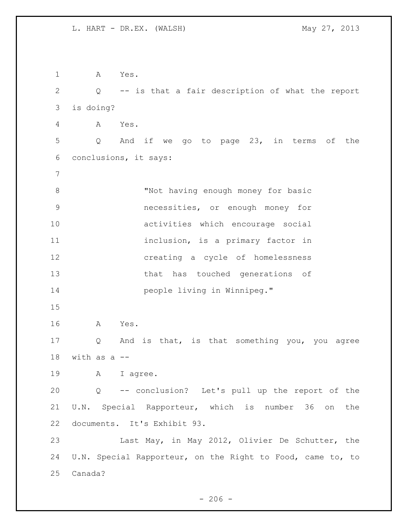A Yes. Q -- is that a fair description of what the report is doing? A Yes. Q And if we go to page 23, in terms of the conclusions, it says: 8 "Not having enough money for basic necessities, or enough money for activities which encourage social 11 inclusion, is a primary factor in creating a cycle of homelessness that has touched generations of people living in Winnipeg." A Yes. Q And is that, is that something you, you agree 18 with as  $a -$ 19 A I agree. Q -- conclusion? Let's pull up the report of the U.N. Special Rapporteur, which is number 36 on the documents. It's Exhibit 93. Last May, in May 2012, Olivier De Schutter, the U.N. Special Rapporteur, on the Right to Food, came to, to Canada?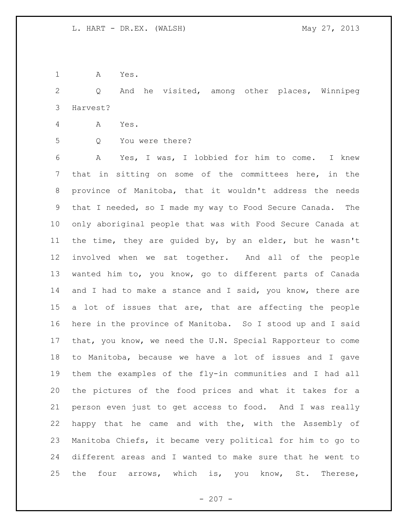A Yes.

 Q And he visited, among other places, Winnipeg Harvest?

- A Yes.
- Q You were there?

 A Yes, I was, I lobbied for him to come. I knew that in sitting on some of the committees here, in the province of Manitoba, that it wouldn't address the needs that I needed, so I made my way to Food Secure Canada. The only aboriginal people that was with Food Secure Canada at the time, they are guided by, by an elder, but he wasn't involved when we sat together. And all of the people wanted him to, you know, go to different parts of Canada 14 and I had to make a stance and I said, you know, there are a lot of issues that are, that are affecting the people here in the province of Manitoba. So I stood up and I said that, you know, we need the U.N. Special Rapporteur to come to Manitoba, because we have a lot of issues and I gave them the examples of the fly-in communities and I had all the pictures of the food prices and what it takes for a person even just to get access to food. And I was really happy that he came and with the, with the Assembly of Manitoba Chiefs, it became very political for him to go to different areas and I wanted to make sure that he went to the four arrows, which is, you know, St. Therese,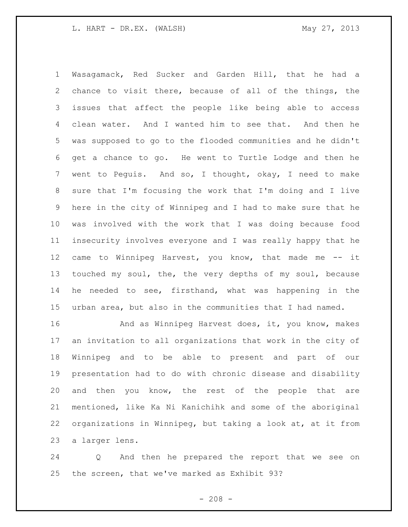Wasagamack, Red Sucker and Garden Hill, that he had a chance to visit there, because of all of the things, the issues that affect the people like being able to access clean water. And I wanted him to see that. And then he was supposed to go to the flooded communities and he didn't get a chance to go. He went to Turtle Lodge and then he went to Peguis. And so, I thought, okay, I need to make sure that I'm focusing the work that I'm doing and I live here in the city of Winnipeg and I had to make sure that he was involved with the work that I was doing because food insecurity involves everyone and I was really happy that he came to Winnipeg Harvest, you know, that made me -- it 13 touched my soul, the, the very depths of my soul, because he needed to see, firsthand, what was happening in the urban area, but also in the communities that I had named.

**And as Winnipeg Harvest does, it, you know, makes**  an invitation to all organizations that work in the city of Winnipeg and to be able to present and part of our presentation had to do with chronic disease and disability and then you know, the rest of the people that are mentioned, like Ka Ni Kanichihk and some of the aboriginal organizations in Winnipeg, but taking a look at, at it from a larger lens.

 Q And then he prepared the report that we see on the screen, that we've marked as Exhibit 93?

 $- 208 -$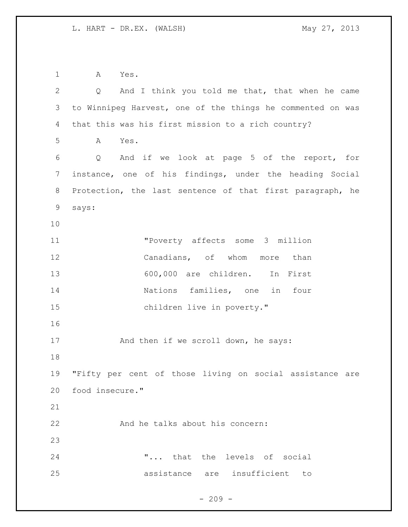A Yes.

 Q And I think you told me that, that when he came to Winnipeg Harvest, one of the things he commented on was that this was his first mission to a rich country? A Yes. Q And if we look at page 5 of the report, for instance, one of his findings, under the heading Social Protection, the last sentence of that first paragraph, he says: "Poverty affects some 3 million 12 Canadians, of whom more than 600,000 are children. In First Nations families, one in four children live in poverty." 17 And then if we scroll down, he says: "Fifty per cent of those living on social assistance are food insecure." 22 And he talks about his concern: "... that the levels of social assistance are insufficient to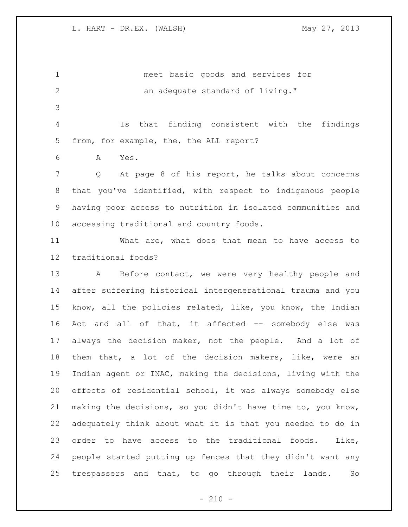| $\mathbf 1$    | meet basic goods and services for                               |
|----------------|-----------------------------------------------------------------|
| $\mathbf{2}$   | an adequate standard of living."                                |
| 3              |                                                                 |
| $\overline{4}$ | that finding consistent with the findings<br>Is                 |
| 5              | from, for example, the, the ALL report?                         |
| 6              | A<br>Yes.                                                       |
| 7              | At page 8 of his report, he talks about concerns<br>Q           |
| 8              | that you've identified, with respect to indigenous people       |
| 9              | having poor access to nutrition in isolated communities and     |
| 10             | accessing traditional and country foods.                        |
| 11             | What are, what does that mean to have access to                 |
| 12             | traditional foods?                                              |
| 13             | Before contact, we were very healthy people and<br>$\mathbf{A}$ |
| 14             | after suffering historical intergenerational trauma and you     |
| 15             | know, all the policies related, like, you know, the Indian      |
| 16             | Act and all of that, it affected -- somebody else was           |
| 17             | always the decision maker, not the people. And a lot of         |
| 18             | them that, a lot of the decision makers, like, were<br>an       |
| 19             | Indian agent or INAC, making the decisions, living with the     |
| 20             | effects of residential school, it was always somebody else      |
| 21             | making the decisions, so you didn't have time to, you know,     |
| 22             | adequately think about what it is that you needed to do in      |
| 23             | order to have access to the traditional foods.<br>Like,         |
| 24             | people started putting up fences that they didn't want any      |
| 25             | go through their lands.<br>trespassers and that, to<br>So       |

- 210 -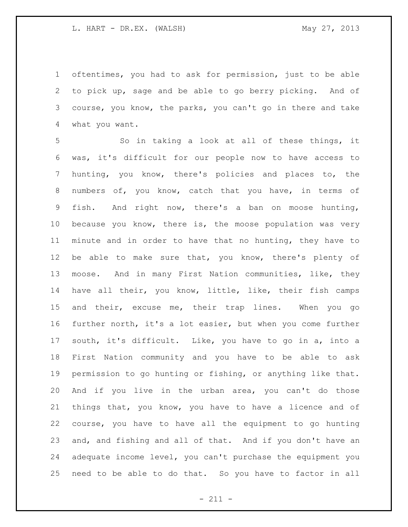oftentimes, you had to ask for permission, just to be able to pick up, sage and be able to go berry picking. And of course, you know, the parks, you can't go in there and take what you want.

 So in taking a look at all of these things, it was, it's difficult for our people now to have access to hunting, you know, there's policies and places to, the numbers of, you know, catch that you have, in terms of fish. And right now, there's a ban on moose hunting, because you know, there is, the moose population was very minute and in order to have that no hunting, they have to be able to make sure that, you know, there's plenty of moose. And in many First Nation communities, like, they have all their, you know, little, like, their fish camps and their, excuse me, their trap lines. When you go further north, it's a lot easier, but when you come further south, it's difficult. Like, you have to go in a, into a First Nation community and you have to be able to ask permission to go hunting or fishing, or anything like that. And if you live in the urban area, you can't do those things that, you know, you have to have a licence and of course, you have to have all the equipment to go hunting and, and fishing and all of that. And if you don't have an adequate income level, you can't purchase the equipment you need to be able to do that. So you have to factor in all

- 211 -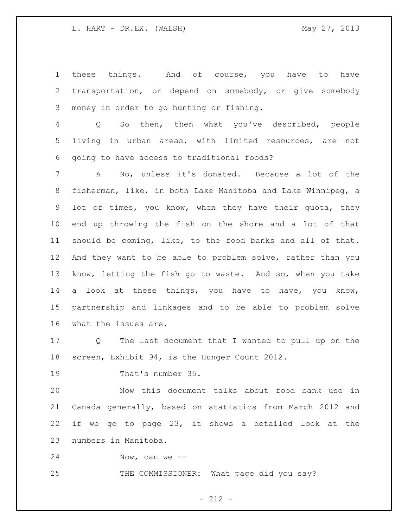these things. And of course, you have to have transportation, or depend on somebody, or give somebody money in order to go hunting or fishing.

 Q So then, then what you've described, people living in urban areas, with limited resources, are not going to have access to traditional foods?

 A No, unless it's donated. Because a lot of the fisherman, like, in both Lake Manitoba and Lake Winnipeg, a lot of times, you know, when they have their quota, they end up throwing the fish on the shore and a lot of that should be coming, like, to the food banks and all of that. And they want to be able to problem solve, rather than you know, letting the fish go to waste. And so, when you take 14 a look at these things, you have to have, you know, partnership and linkages and to be able to problem solve what the issues are.

 Q The last document that I wanted to pull up on the screen, Exhibit 94, is the Hunger Count 2012.

19 That's number 35.

 Now this document talks about food bank use in Canada generally, based on statistics from March 2012 and if we go to page 23, it shows a detailed look at the numbers in Manitoba.

Now, can we --

25 THE COMMISSIONER: What page did you say?

- 212 -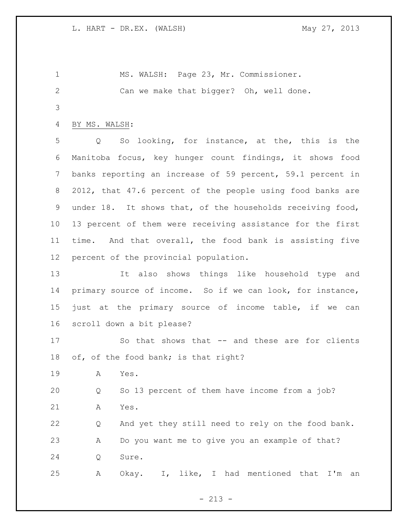MS. WALSH: Page 23, Mr. Commissioner. Can we make that bigger? Oh, well done. BY MS. WALSH: Q So looking, for instance, at the, this is the Manitoba focus, key hunger count findings, it shows food banks reporting an increase of 59 percent, 59.1 percent in 2012, that 47.6 percent of the people using food banks are under 18. It shows that, of the households receiving food, 13 percent of them were receiving assistance for the first time. And that overall, the food bank is assisting five percent of the provincial population. It also shows things like household type and primary source of income. So if we can look, for instance, just at the primary source of income table, if we can scroll down a bit please? So that shows that -- and these are for clients of, of the food bank; is that right? A Yes. Q So 13 percent of them have income from a job? A Yes. Q And yet they still need to rely on the food bank.

 A Do you want me to give you an example of that? Q Sure.

A Okay. I, like, I had mentioned that I'm an

- 213 -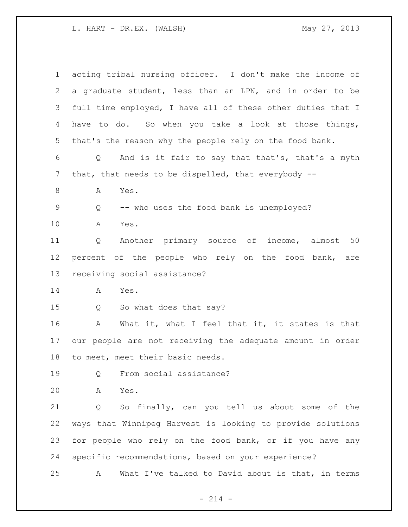L. HART - DR.EX. (WALSH) May 27, 2013

| $\mathbf{1}$ | acting tribal nursing officer. I don't make the income of   |
|--------------|-------------------------------------------------------------|
| 2            | a graduate student, less than an LPN, and in order to be    |
| 3            | full time employed, I have all of these other duties that I |
| 4            | have to do. So when you take a look at those things,        |
| 5            | that's the reason why the people rely on the food bank.     |
| 6            | Q And is it fair to say that that's, that's a myth          |
| 7            | that, that needs to be dispelled, that everybody --         |
| 8            | Α<br>Yes.                                                   |
| 9            | -- who uses the food bank is unemployed?<br>Q               |
| 10           | A<br>Yes.                                                   |
| 11           | Another primary source of income, almost 50<br>Q            |
| 12           | percent of the people who rely on the food bank, are        |
| 13           | receiving social assistance?                                |
| 14           | A<br>Yes.                                                   |
| 15           | So what does that say?<br>Q                                 |
| 16           | What it, what I feel that it, it states is that<br>A        |
| 17           | our people are not receiving the adequate amount in order   |
| 18           | to meet, meet their basic needs.                            |
| 19           | From social assistance?<br>Q                                |
| 20           | Yes.<br>A                                                   |
| 21           | So finally, can you tell us about some of the<br>Q          |
| 22           | ways that Winnipeg Harvest is looking to provide solutions  |
| 23           | for people who rely on the food bank, or if you have any    |
| 24           | specific recommendations, based on your experience?         |
| 25           | What I've talked to David about is that, in terms<br>A      |

- 214 -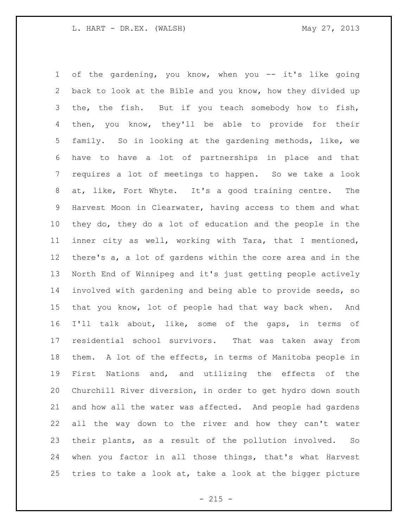of the gardening, you know, when you -- it's like going back to look at the Bible and you know, how they divided up the, the fish. But if you teach somebody how to fish, then, you know, they'll be able to provide for their family. So in looking at the gardening methods, like, we have to have a lot of partnerships in place and that requires a lot of meetings to happen. So we take a look at, like, Fort Whyte. It's a good training centre. The Harvest Moon in Clearwater, having access to them and what they do, they do a lot of education and the people in the inner city as well, working with Tara, that I mentioned, there's a, a lot of gardens within the core area and in the North End of Winnipeg and it's just getting people actively involved with gardening and being able to provide seeds, so that you know, lot of people had that way back when. And I'll talk about, like, some of the gaps, in terms of residential school survivors. That was taken away from them. A lot of the effects, in terms of Manitoba people in First Nations and, and utilizing the effects of the Churchill River diversion, in order to get hydro down south and how all the water was affected. And people had gardens all the way down to the river and how they can't water their plants, as a result of the pollution involved. So when you factor in all those things, that's what Harvest tries to take a look at, take a look at the bigger picture

 $- 215 -$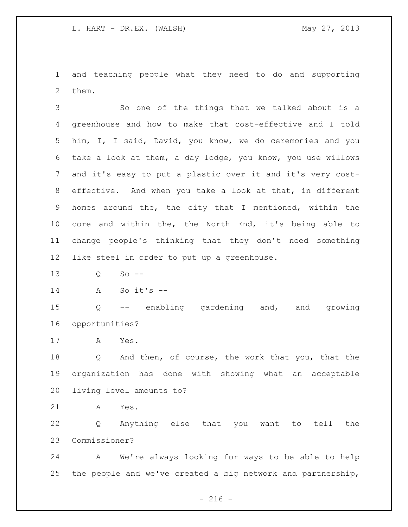and teaching people what they need to do and supporting them.

 So one of the things that we talked about is a greenhouse and how to make that cost-effective and I told him, I, I said, David, you know, we do ceremonies and you take a look at them, a day lodge, you know, you use willows and it's easy to put a plastic over it and it's very cost- effective. And when you take a look at that, in different homes around the, the city that I mentioned, within the core and within the, the North End, it's being able to change people's thinking that they don't need something like steel in order to put up a greenhouse.

Q So --

A So it's --

 Q -- enabling gardening and, and growing opportunities?

A Yes.

 Q And then, of course, the work that you, that the organization has done with showing what an acceptable living level amounts to?

A Yes.

 Q Anything else that you want to tell the Commissioner?

 A We're always looking for ways to be able to help the people and we've created a big network and partnership,

 $- 216 -$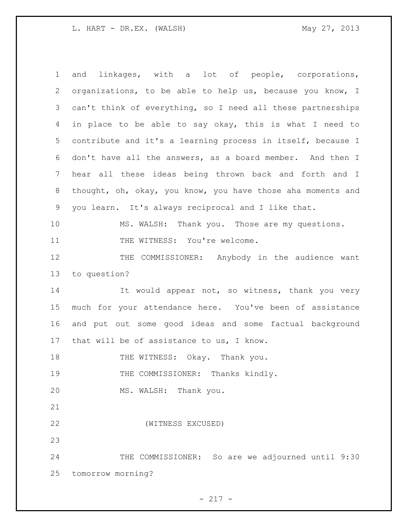L. HART - DR.EX. (WALSH) May 27, 2013

| $\mathbf 1$ | linkages, with a lot of people, corporations,<br>and        |
|-------------|-------------------------------------------------------------|
| 2           | organizations, to be able to help us, because you know, I   |
| 3           | can't think of everything, so I need all these partnerships |
| 4           | in place to be able to say okay, this is what I need to     |
| 5           | contribute and it's a learning process in itself, because I |
| 6           | don't have all the answers, as a board member. And then I   |
| 7           | hear all these ideas being thrown back and forth and I      |
| 8           | thought, oh, okay, you know, you have those aha moments and |
| 9           | you learn. It's always reciprocal and I like that.          |
| 10          | MS. WALSH: Thank you. Those are my questions.               |
| 11          | THE WITNESS: You're welcome.                                |
| 12          | THE COMMISSIONER: Anybody in the audience want              |
| 13          | to question?                                                |
| 14          | It would appear not, so witness, thank you very             |
| 15          | much for your attendance here. You've been of assistance    |
| 16          | and put out some good ideas and some factual background     |
| 17          | that will be of assistance to us, I know.                   |
| 18          | THE WITNESS: Okay. Thank you.                               |
| 19          | THE COMMISSIONER: Thanks kindly.                            |
| 20          | MS. WALSH: Thank you.                                       |
| 21          |                                                             |
| 22          | (WITNESS EXCUSED)                                           |
| 23          |                                                             |
| 24          | THE COMMISSIONER: So are we adjourned until 9:30            |
| 25          | tomorrow morning?                                           |

- 217 -